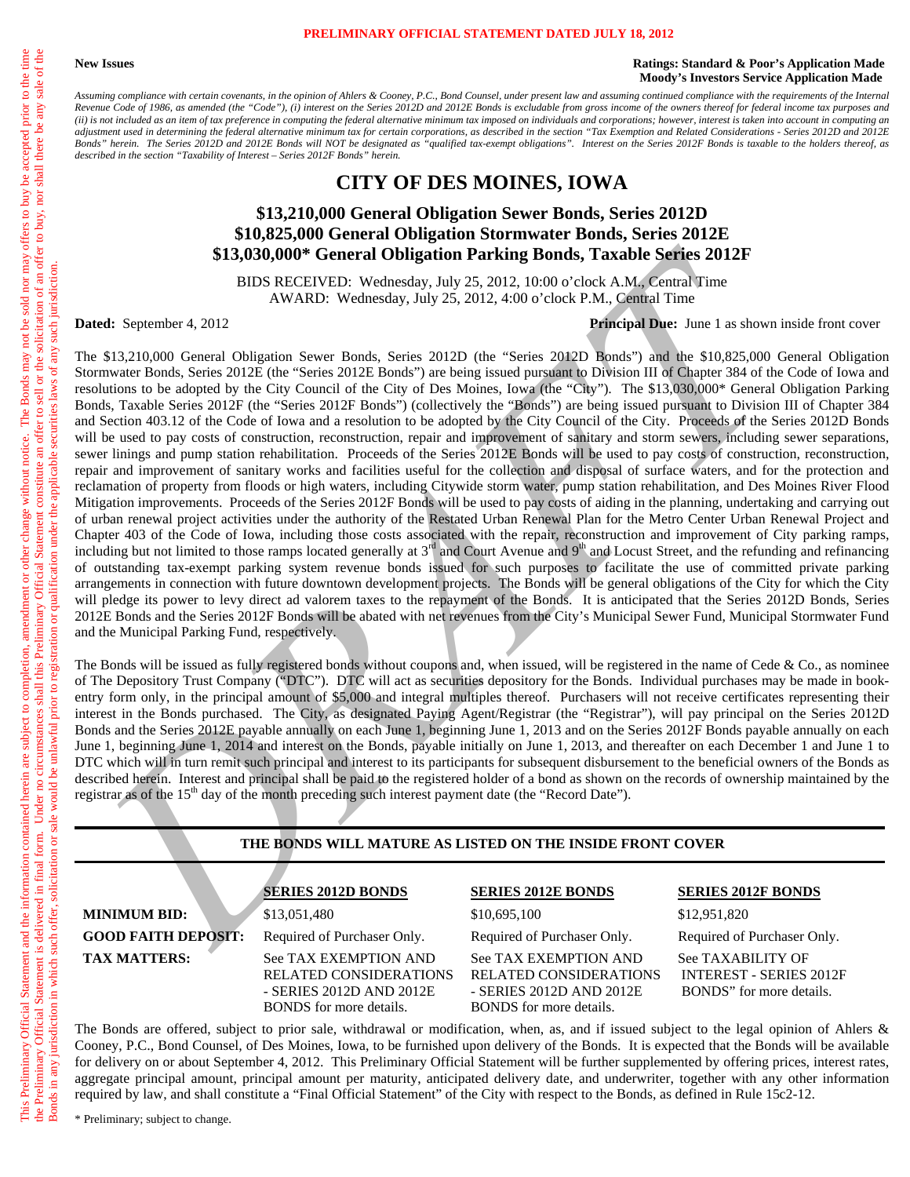#### **PRELIMINARY OFFICIAL STATEMENT DATED JULY 18, 2012**

#### **New Issues Ratings: Standard & Poor's Application Made Moody's Investors Service Application Made**

*Assuming compliance with certain covenants, in the opinion of Ahlers & Cooney, P.C., Bond Counsel, under present law and assuming continued compliance with the requirements of the Internal Revenue Code of 1986, as amended (the "Code"), (i) interest on the Series 2012D and 2012E Bonds is excludable from gross income of the owners thereof for federal income tax purposes and (ii) is not included as an item of tax preference in computing the federal alternative minimum tax imposed on individuals and corporations; however, interest is taken into account in computing an adjustment used in determining the federal alternative minimum tax for certain corporations, as described in the section "Tax Exemption and Related Considerations - Series 2012D and 2012E Bonds" herein. The Series 2012D and 2012E Bonds will NOT be designated as "qualified tax-exempt obligations". Interest on the Series 2012F Bonds is taxable to the holders thereof, as described in the section "Taxability of Interest – Series 2012F Bonds" herein.* 

# **CITY OF DES MOINES, IOWA**

# **\$13,210,000 General Obligation Sewer Bonds, Series 2012D \$10,825,000 General Obligation Stormwater Bonds, Series 2012E \$13,030,000\* General Obligation Parking Bonds, Taxable Series 2012F**

BIDS RECEIVED: Wednesday, July 25, 2012, 10:00 o'clock A.M., Central Time AWARD: Wednesday, July 25, 2012, 4:00 o'clock P.M., Central Time

**Dated:** September 4, 2012 **Principal Due:** June 1 as shown inside front cover

No the corresponds the correspondent of the based of the correspondent of the based of the correspondent of the correspondent of the correspondent of the correspondent of the correspondent of the correspondent of the corr The \$13,210,000 General Obligation Sewer Bonds, Series 2012D (the "Series 2012D Bonds") and the \$10,825,000 General Obligation Stormwater Bonds, Series 2012E (the "Series 2012E Bonds") are being issued pursuant to Division III of Chapter 384 of the Code of Iowa and resolutions to be adopted by the City Council of the City of Des Moines, Iowa (the "City"). The \$13,030,000\* General Obligation Parking Bonds, Taxable Series 2012F (the "Series 2012F Bonds") (collectively the "Bonds") are being issued pursuant to Division III of Chapter 384 and Section 403.12 of the Code of Iowa and a resolution to be adopted by the City Council of the City. Proceeds of the Series 2012D Bonds will be used to pay costs of construction, reconstruction, repair and improvement of sanitary and storm sewers, including sewer separations, sewer linings and pump station rehabilitation. Proceeds of the Series 2012E Bonds will be used to pay costs of construction, reconstruction, repair and improvement of sanitary works and facilities useful for the collection and disposal of surface waters, and for the protection and reclamation of property from floods or high waters, including Citywide storm water, pump station rehabilitation, and Des Moines River Flood Mitigation improvements. Proceeds of the Series 2012F Bonds will be used to pay costs of aiding in the planning, undertaking and carrying out of urban renewal project activities under the authority of the Restated Urban Renewal Plan for the Metro Center Urban Renewal Project and Chapter 403 of the Code of Iowa, including those costs associated with the repair, reconstruction and improvement of City parking ramps, including but not limited to those ramps located generally at  $3<sup>rd</sup>$  and Court Avenue and  $9<sup>th</sup>$  and Locust Street, and the refunding and refinancing of outstanding tax-exempt parking system revenue bonds issued for such purposes to facilitate the use of committed private parking arrangements in connection with future downtown development projects. The Bonds will be general obligations of the City for which the City will pledge its power to levy direct ad valorem taxes to the repayment of the Bonds. It is anticipated that the Series 2012D Bonds, Series 2012E Bonds and the Series 2012F Bonds will be abated with net revenues from the City's Municipal Sewer Fund, Municipal Stormwater Fund and the Municipal Parking Fund, respectively.

The Bonds will be issued as fully registered bonds without coupons and, when issued, will be registered in the name of Cede & Co., as nominee of The Depository Trust Company ("DTC"). DTC will act as securities depository for the Bonds. Individual purchases may be made in bookentry form only, in the principal amount of \$5,000 and integral multiples thereof. Purchasers will not receive certificates representing their interest in the Bonds purchased. The City, as designated Paying Agent/Registrar (the "Registrar"), will pay principal on the Series 2012D Bonds and the Series 2012E payable annually on each June 1, beginning June 1, 2013 and on the Series 2012F Bonds payable annually on each June 1, beginning June 1, 2014 and interest on the Bonds, payable initially on June 1, 2013, and thereafter on each December 1 and June 1 to DTC which will in turn remit such principal and interest to its participants for subsequent disbursement to the beneficial owners of the Bonds as described herein. Interest and principal shall be paid to the registered holder of a bond as shown on the records of ownership maintained by the registrar as of the 15<sup>th</sup> day of the month preceding such interest payment date (the "Record Date").

#### **THE BONDS WILL MATURE AS LISTED ON THE INSIDE FRONT COVER**

**MINIMUM BID:** \$13,051,480 \$10,695,100 \$12,951,820 TAX MATTERS: See TAX EXEMPTION AND RELATED CONSIDERATIONS - SERIES 2012D AND 2012E

BONDS for more details.

**SERIES 2012D BONDS SERIES 2012E BONDS SERIES 2012F BONDS**

**GOOD FAITH DEPOSIT:** Required of Purchaser Only. Required of Purchaser Only. Required of Purchaser Only. See TAX EXEMPTION AND RELATED CONSIDERATIONS - SERIES 2012D AND 2012E BONDS for more details.

See TAXABILITY OF INTEREST - SERIES 2012F BONDS" for more details.

The Bonds are offered, subject to prior sale, withdrawal or modification, when, as, and if issued subject to the legal opinion of Ahlers & Cooney, P.C., Bond Counsel, of Des Moines, Iowa, to be furnished upon delivery of the Bonds. It is expected that the Bonds will be available for delivery on or about September 4, 2012. This Preliminary Official Statement will be further supplemented by offering prices, interest rates, aggregate principal amount, principal amount per maturity, anticipated delivery date, and underwriter, together with any other information required by law, and shall constitute a "Final Official Statement" of the City with respect to the Bonds, as defined in Rule 15c2-12.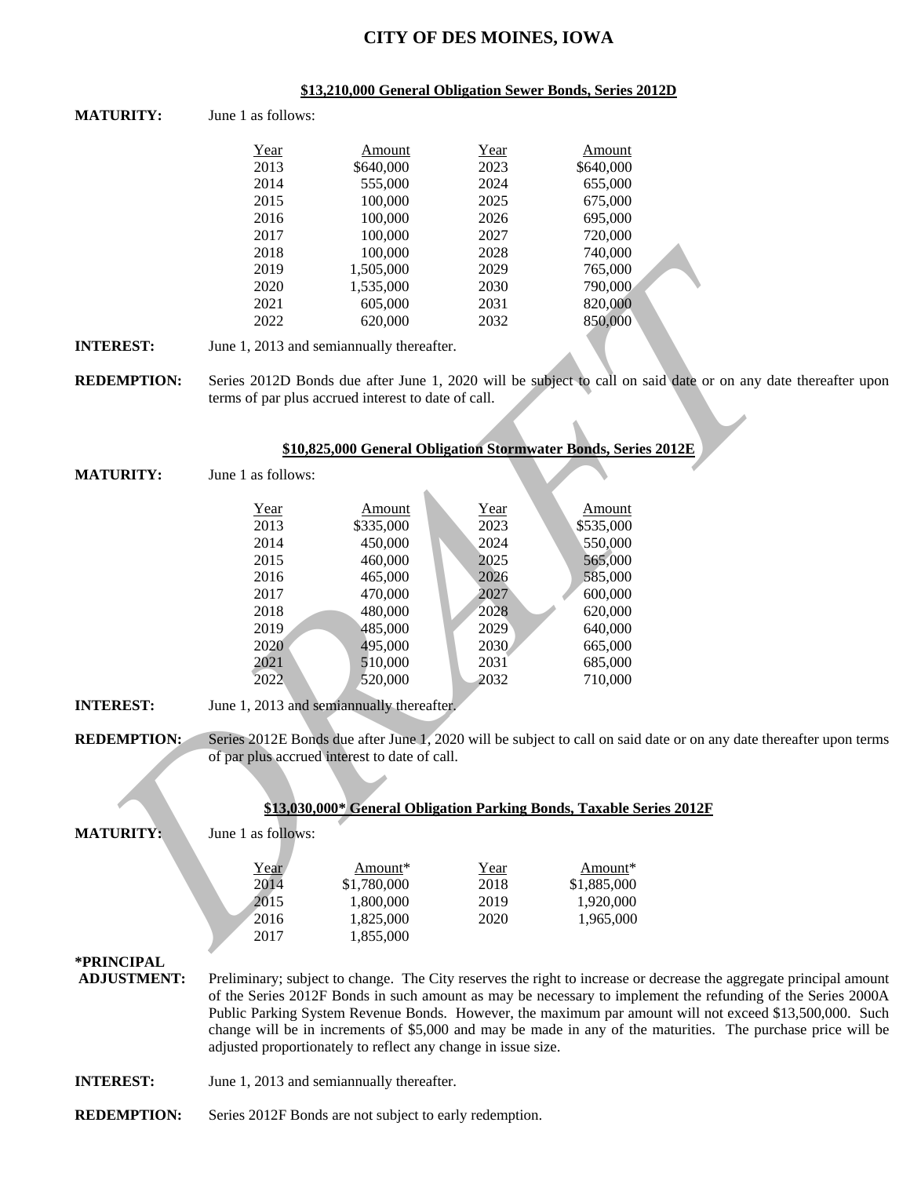# **CITY OF DES MOINES, IOWA**

#### **\$13,210,000 General Obligation Sewer Bonds, Series 2012D**

**MATURITY:** June 1 as follows:

| Year | Amount    | Year | Amount    |
|------|-----------|------|-----------|
| 2013 | \$640,000 | 2023 | \$640,000 |
| 2014 | 555,000   | 2024 | 655,000   |
| 2015 | 100,000   | 2025 | 675,000   |
| 2016 | 100,000   | 2026 | 695,000   |
| 2017 | 100,000   | 2027 | 720,000   |
| 2018 | 100,000   | 2028 | 740,000   |
| 2019 | 1,505,000 | 2029 | 765,000   |
| 2020 | 1,535,000 | 2030 | 790,000   |
| 2021 | 605,000   | 2031 | 820,000   |
| 2022 | 620,000   | 2032 | 850,000   |

|                    | 2018                                                | 100,000                                                              | 2028 | 740,000     |                                                                                                                     |
|--------------------|-----------------------------------------------------|----------------------------------------------------------------------|------|-------------|---------------------------------------------------------------------------------------------------------------------|
|                    | 2019                                                | 1,505,000                                                            | 2029 | 765,000     |                                                                                                                     |
|                    | 2020                                                | 1,535,000                                                            | 2030 | 790,000     |                                                                                                                     |
|                    | 2021                                                | 605,000                                                              | 2031 | 820,000     |                                                                                                                     |
|                    | 2022                                                | 620,000                                                              | 2032 | 850,000     |                                                                                                                     |
| <b>INTEREST:</b>   | June 1, 2013 and semiannually thereafter.           |                                                                      |      |             |                                                                                                                     |
| <b>REDEMPTION:</b> |                                                     |                                                                      |      |             | Series 2012D Bonds due after June 1, 2020 will be subject to call on said date or on any date thereafter upon       |
|                    | terms of par plus accrued interest to date of call. |                                                                      |      |             |                                                                                                                     |
|                    |                                                     | \$10,825,000 General Obligation Stormwater Bonds, Series 2012E       |      |             |                                                                                                                     |
|                    |                                                     |                                                                      |      |             |                                                                                                                     |
| <b>MATURITY:</b>   | June 1 as follows:                                  |                                                                      |      |             |                                                                                                                     |
|                    | Year                                                | Amount                                                               | Year | Amount      |                                                                                                                     |
|                    | 2013                                                | \$335,000                                                            | 2023 | \$535,000   |                                                                                                                     |
|                    | 2014                                                | 450,000                                                              | 2024 | 550,000     |                                                                                                                     |
|                    | 2015                                                | 460,000                                                              | 2025 | 565,000     |                                                                                                                     |
|                    | 2016                                                | 465,000                                                              | 2026 | 585,000     |                                                                                                                     |
|                    | 2017                                                | 470,000                                                              | 2027 | 600,000     |                                                                                                                     |
|                    | 2018                                                | 480,000                                                              | 2028 | 620,000     |                                                                                                                     |
|                    | 2019                                                | 485,000                                                              | 2029 | 640,000     |                                                                                                                     |
|                    | 2020                                                | 495,000                                                              | 2030 | 665,000     |                                                                                                                     |
|                    | 2021                                                | 510,000                                                              | 2031 | 685,000     |                                                                                                                     |
|                    | 2022                                                | 520,000                                                              | 2032 | 710,000     |                                                                                                                     |
| <b>INTEREST:</b>   | June 1, 2013 and semiannually thereafter.           |                                                                      |      |             |                                                                                                                     |
| <b>REDEMPTION:</b> |                                                     |                                                                      |      |             | Series 2012E Bonds due after June 1, 2020 will be subject to call on said date or on any date thereafter upon terms |
|                    | of par plus accrued interest to date of call.       |                                                                      |      |             |                                                                                                                     |
|                    |                                                     |                                                                      |      |             |                                                                                                                     |
|                    |                                                     |                                                                      |      |             |                                                                                                                     |
|                    |                                                     | \$13,030,000* General Obligation Parking Bonds, Taxable Series 2012F |      |             |                                                                                                                     |
| <b>MATURITY:</b>   | June 1 as follows:                                  |                                                                      |      |             |                                                                                                                     |
|                    | Year                                                | Amount*                                                              | Year | Amount*     |                                                                                                                     |
|                    | 2014                                                | \$1,780,000                                                          | 2018 | \$1,885,000 |                                                                                                                     |
|                    | 2015                                                | 1,800,000                                                            | 2019 | 1,920,000   |                                                                                                                     |
|                    | 2016                                                | 1,825,000                                                            | 2020 | 1,965,000   |                                                                                                                     |
|                    | 2017                                                | 1,855,000                                                            |      |             |                                                                                                                     |
|                    |                                                     |                                                                      |      |             |                                                                                                                     |

|                    |                                                               |             |      | \$13,030,000* General Obligation Parking Bonds, Taxable Series 2012F |                                                                                                                    |
|--------------------|---------------------------------------------------------------|-------------|------|----------------------------------------------------------------------|--------------------------------------------------------------------------------------------------------------------|
| <b>MATURITY:</b>   | June 1 as follows:                                            |             |      |                                                                      |                                                                                                                    |
|                    | Year                                                          | Amount*     | Year | Amount*                                                              |                                                                                                                    |
|                    | 2014                                                          | \$1,780,000 | 2018 | \$1,885,000                                                          |                                                                                                                    |
|                    | 2015                                                          | 1,800,000   | 2019 | 1,920,000                                                            |                                                                                                                    |
|                    | 2016                                                          | 1,825,000   | 2020 | 1.965.000                                                            |                                                                                                                    |
|                    | 2017                                                          | 1,855,000   |      |                                                                      |                                                                                                                    |
| *PRINCIPAL         |                                                               |             |      |                                                                      |                                                                                                                    |
| <b>ADJUSTMENT:</b> |                                                               |             |      |                                                                      | Preliminary; subject to change. The City reserves the right to increase or decrease the aggregate principal amount |
|                    |                                                               |             |      |                                                                      | of the Series 2012F Bonds in such amount as may be necessary to implement the refunding of the Series 2000A        |
|                    |                                                               |             |      |                                                                      | Public Parking System Revenue Bonds. However, the maximum par amount will not exceed \$13,500,000. Such            |
|                    |                                                               |             |      |                                                                      | change will be in increments of \$5,000 and may be made in any of the maturities. The purchase price will be       |
|                    | adjusted proportionately to reflect any change in issue size. |             |      |                                                                      |                                                                                                                    |
| <b>INTEREST:</b>   | June 1, 2013 and semian mually thereafter.                    |             |      |                                                                      |                                                                                                                    |

**REDEMPTION:** Series 2012F Bonds are not subject to early redemption.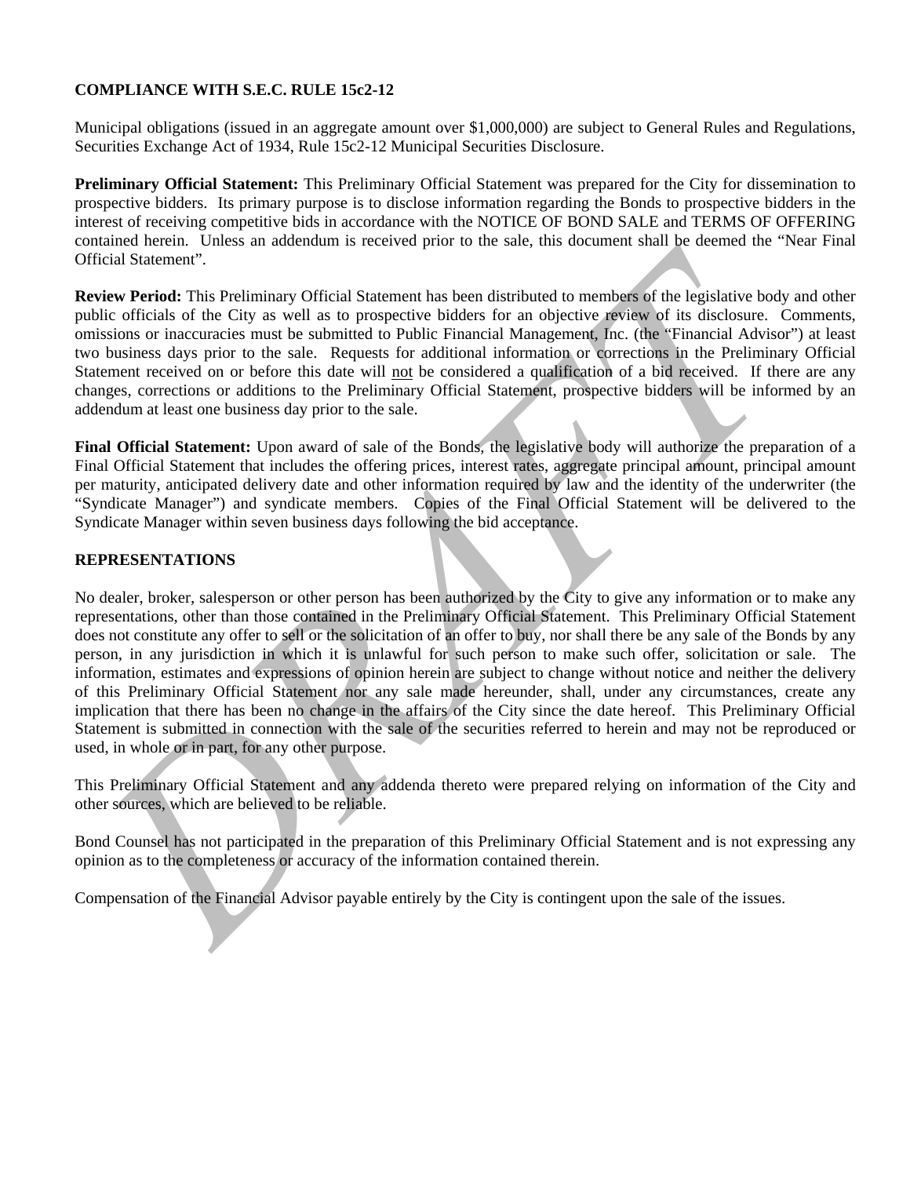# **COMPLIANCE WITH S.E.C. RULE 15c2-12**

Municipal obligations (issued in an aggregate amount over \$1,000,000) are subject to General Rules and Regulations, Securities Exchange Act of 1934, Rule 15c2-12 Municipal Securities Disclosure.

**Preliminary Official Statement:** This Preliminary Official Statement was prepared for the City for dissemination to prospective bidders. Its primary purpose is to disclose information regarding the Bonds to prospective bidders in the interest of receiving competitive bids in accordance with the NOTICE OF BOND SALE and TERMS OF OFFERING contained herein. Unless an addendum is received prior to the sale, this document shall be deemed the "Near Final Official Statement".

**Review Period:** This Preliminary Official Statement has been distributed to members of the legislative body and other public officials of the City as well as to prospective bidders for an objective review of its disclosure. Comments, omissions or inaccuracies must be submitted to Public Financial Management, Inc. (the "Financial Advisor") at least two business days prior to the sale. Requests for additional information or corrections in the Preliminary Official Statement received on or before this date will not be considered a qualification of a bid received. If there are any changes, corrections or additions to the Preliminary Official Statement, prospective bidders will be informed by an addendum at least one business day prior to the sale.

**Final Official Statement:** Upon award of sale of the Bonds, the legislative body will authorize the preparation of a Final Official Statement that includes the offering prices, interest rates, aggregate principal amount, principal amount per maturity, anticipated delivery date and other information required by law and the identity of the underwriter (the "Syndicate Manager") and syndicate members. Copies of the Final Official Statement will be delivered to the Syndicate Manager within seven business days following the bid acceptance.

# **REPRESENTATIONS**

Ifficial Studento-<sup>1</sup>.<br> **OFICIAL Students** The Indimension of the Sale of the Sale of the Sale of the Sale of the Elistative both and<br>
Dublic officials of the Clyi as well as to prospective biolets for an objective geview No dealer, broker, salesperson or other person has been authorized by the City to give any information or to make any representations, other than those contained in the Preliminary Official Statement. This Preliminary Official Statement does not constitute any offer to sell or the solicitation of an offer to buy, nor shall there be any sale of the Bonds by any person, in any jurisdiction in which it is unlawful for such person to make such offer, solicitation or sale. The information, estimates and expressions of opinion herein are subject to change without notice and neither the delivery of this Preliminary Official Statement nor any sale made hereunder, shall, under any circumstances, create any implication that there has been no change in the affairs of the City since the date hereof. This Preliminary Official Statement is submitted in connection with the sale of the securities referred to herein and may not be reproduced or used, in whole or in part, for any other purpose.

This Preliminary Official Statement and any addenda thereto were prepared relying on information of the City and other sources, which are believed to be reliable.

Bond Counsel has not participated in the preparation of this Preliminary Official Statement and is not expressing any opinion as to the completeness or accuracy of the information contained therein.

Compensation of the Financial Advisor payable entirely by the City is contingent upon the sale of the issues.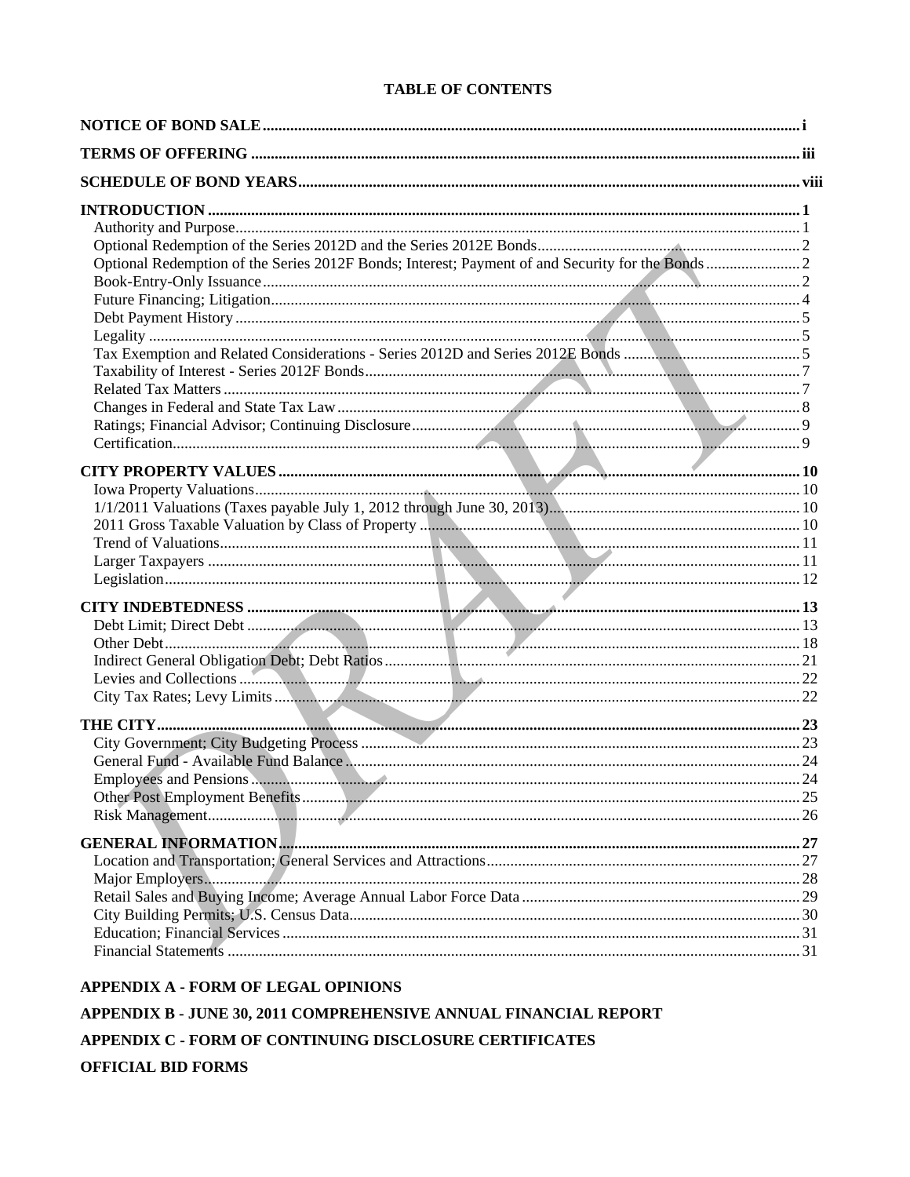# **TABLE OF CONTENTS**

## APPENDIX A - FORM OF LEGAL OPINIONS

# APPENDIX B - JUNE 30, 2011 COMPREHENSIVE ANNUAL FINANCIAL REPORT

APPENDIX C - FORM OF CONTINUING DISCLOSURE CERTIFICATES

# **OFFICIAL BID FORMS**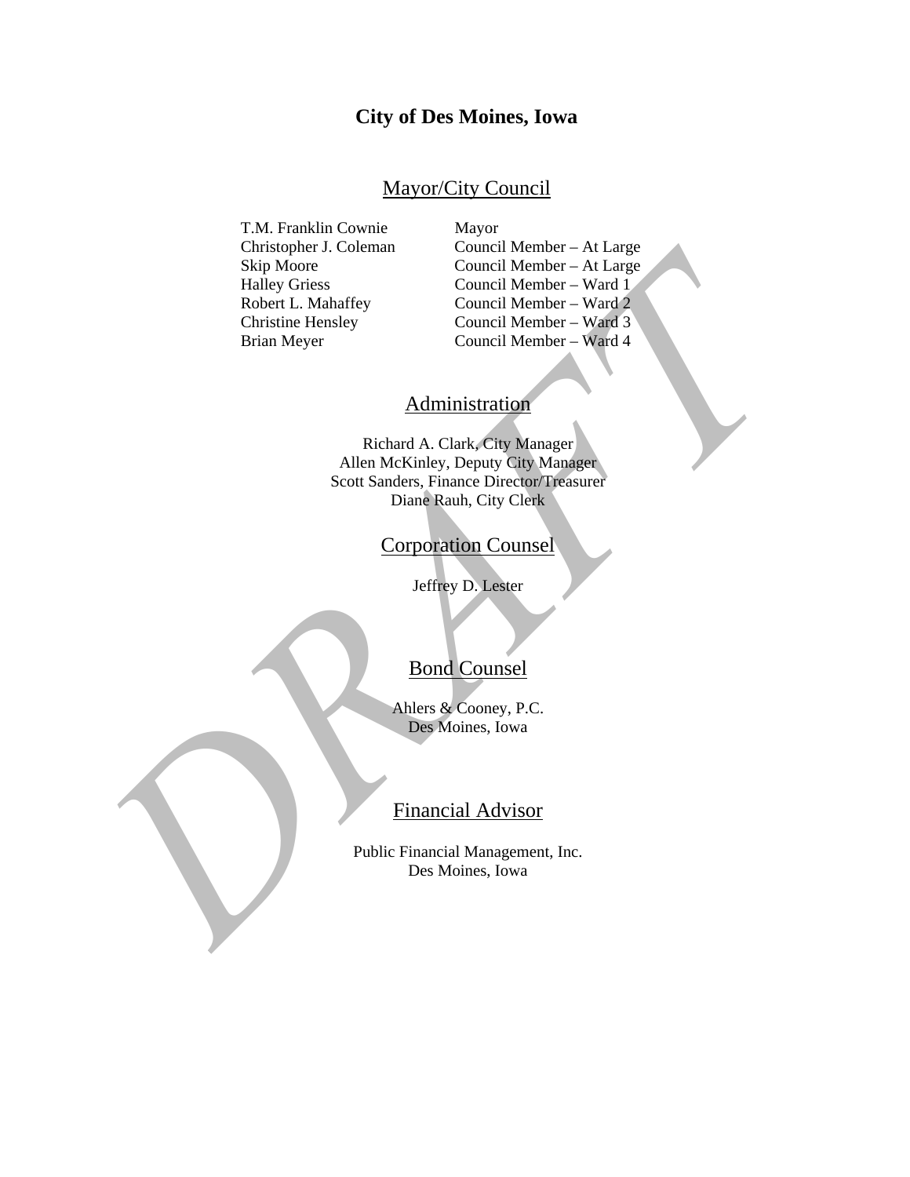# **City of Des Moines, Iowa**

# Mayor/City Council

T.M. Franklin Cownie Mayor

 Christopher J. Coleman Council Member – At Large Skip Moore Council Member – At Large Halley Griess Council Member – Ward 1 Robert L. Mahaffey Council Member – Ward 2 Christine Hensley Council Member – Ward 3 Brian Meyer Council Member – Ward 4

# **Administration**

Curiscoper J. Coleman<br>
Ship Moore<br>
Council Member – Na Large<br>
Halfor Cristine<br>
Home L. Mahaffey<br>
Control Member – Ward<br>
Curistine Hensley<br>
Control Member – Ward<br>
Curistine Hensley<br>
Council Member – Ward<br>
Council Member – W Richard A. Clark, City Manager Allen McKinley, Deputy City Manager Scott Sanders, Finance Director/Treasurer Diane Rauh, City Clerk

# Corporation Counsel

Jeffrey D. Lester

# Bond Counsel

Ahlers & Cooney, P.C. Des Moines, Iowa

# Financial Advisor

Public Financial Management, Inc. Des Moines, Iowa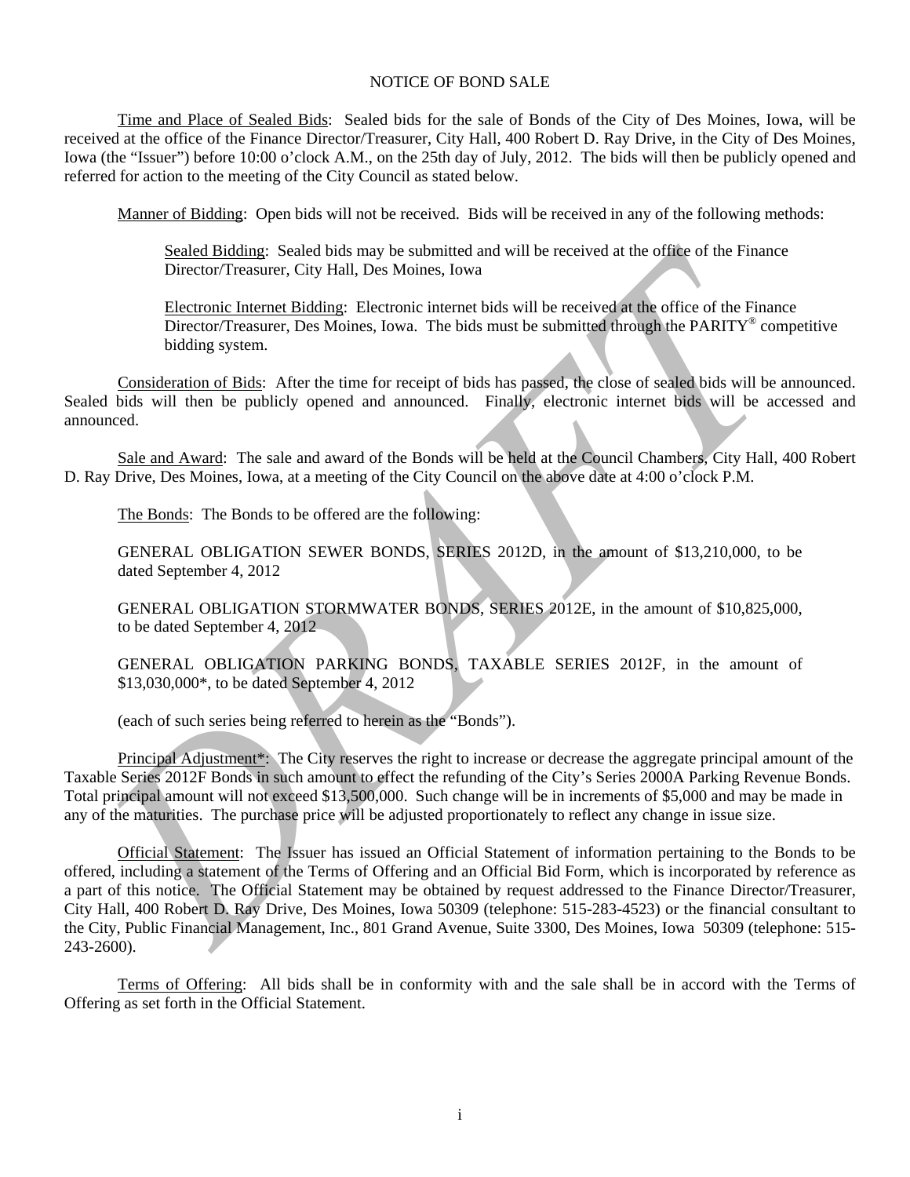# NOTICE OF BOND SALE

Time and Place of Sealed Bids: Sealed bids for the sale of Bonds of the City of Des Moines, Iowa, will be received at the office of the Finance Director/Treasurer, City Hall, 400 Robert D. Ray Drive, in the City of Des Moines, Iowa (the "Issuer") before 10:00 o'clock A.M., on the 25th day of July, 2012. The bids will then be publicly opened and referred for action to the meeting of the City Council as stated below.

Manner of Bidding: Open bids will not be received. Bids will be received in any of the following methods:

Sealed Bidding: Sealed bids may be submitted and will be received at the office of the Finance Director/Treasurer, City Hall, Des Moines, Iowa

Electronic Internet Bidding: Electronic internet bids will be received at the office of the Finance Director/Treasurer, Des Moines, Iowa. The bids must be submitted through the PARITY<sup>®</sup> competitive bidding system.

Consideration of Bids: After the time for receipt of bids has passed, the close of sealed bids will be announced. Sealed bids will then be publicly opened and announced. Finally, electronic internet bids will be accessed and announced.

Sale and Award: The sale and award of the Bonds will be held at the Council Chambers, City Hall, 400 Robert D. Ray Drive, Des Moines, Iowa, at a meeting of the City Council on the above date at 4:00 o'clock P.M.

The Bonds: The Bonds to be offered are the following:

GENERAL OBLIGATION SEWER BONDS, SERIES 2012D, in the amount of \$13,210,000, to be dated September 4, 2012

GENERAL OBLIGATION STORMWATER BONDS, SERIES 2012E, in the amount of \$10,825,000, to be dated September 4, 2012

GENERAL OBLIGATION PARKING BONDS, TAXABLE SERIES 2012F, in the amount of \$13,030,000\*, to be dated September 4, 2012

(each of such series being referred to herein as the "Bonds").

Principal Adjustment\*: The City reserves the right to increase or decrease the aggregate principal amount of the Taxable Series 2012F Bonds in such amount to effect the refunding of the City's Series 2000A Parking Revenue Bonds. Total principal amount will not exceed \$13,500,000. Such change will be in increments of \$5,000 and may be made in any of the maturities. The purchase price will be adjusted proportionately to reflect any change in issue size.

Scale Bidding: Scalentine Research bis may be ushnitred and will be received at the office of the Finance<br>Director Treasurer, City Hall, Des Moines, Iowa<br>
Hieremain Immeric Hidding: Fleermoic internet bids will be received Official Statement: The Issuer has issued an Official Statement of information pertaining to the Bonds to be offered, including a statement of the Terms of Offering and an Official Bid Form, which is incorporated by reference as a part of this notice. The Official Statement may be obtained by request addressed to the Finance Director/Treasurer, City Hall, 400 Robert D. Ray Drive, Des Moines, Iowa 50309 (telephone: 515-283-4523) or the financial consultant to the City, Public Financial Management, Inc., 801 Grand Avenue, Suite 3300, Des Moines, Iowa 50309 (telephone: 515- 243-2600).

Terms of Offering: All bids shall be in conformity with and the sale shall be in accord with the Terms of Offering as set forth in the Official Statement.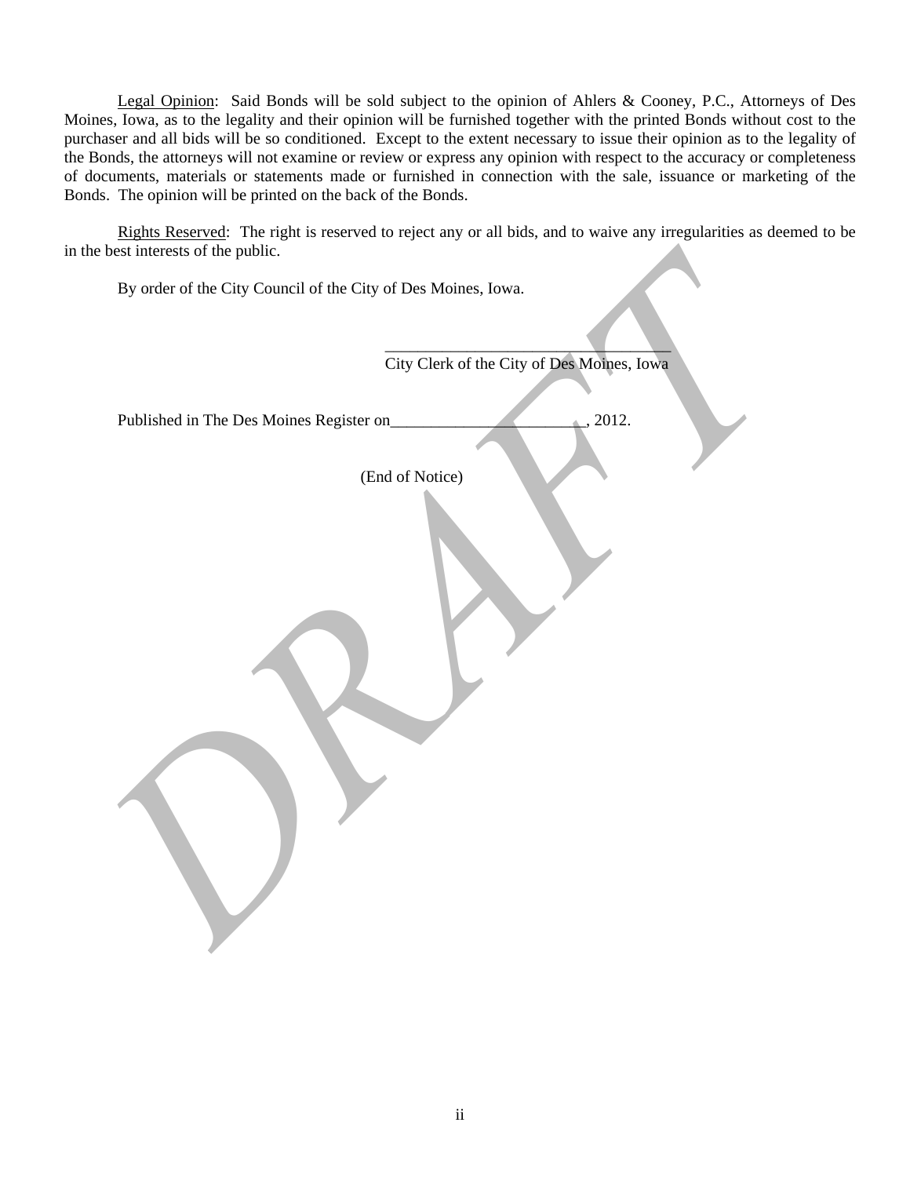Legal Opinion: Said Bonds will be sold subject to the opinion of Ahlers & Cooney, P.C., Attorneys of Des Moines, Iowa, as to the legality and their opinion will be furnished together with the printed Bonds without cost to the purchaser and all bids will be so conditioned. Except to the extent necessary to issue their opinion as to the legality of the Bonds, the attorneys will not examine or review or express any opinion with respect to the accuracy or completeness of documents, materials or statements made or furnished in connection with the sale, issuance or marketing of the Bonds. The opinion will be printed on the back of the Bonds.

Rights Reserved: The right is reserved to reject any or all bids, and to waive any irregularities as deemed to be in the best interests of the public.

| in the best interests of the public.                          |                                            |
|---------------------------------------------------------------|--------------------------------------------|
| By order of the City Council of the City of Des Moines, Iowa. |                                            |
|                                                               |                                            |
|                                                               | City Clerk of the City of Des Moines, Iowa |
|                                                               |                                            |
| Published in The Des Moines Register on_                      | , 2012.                                    |
| (End of Notice)                                               |                                            |
|                                                               |                                            |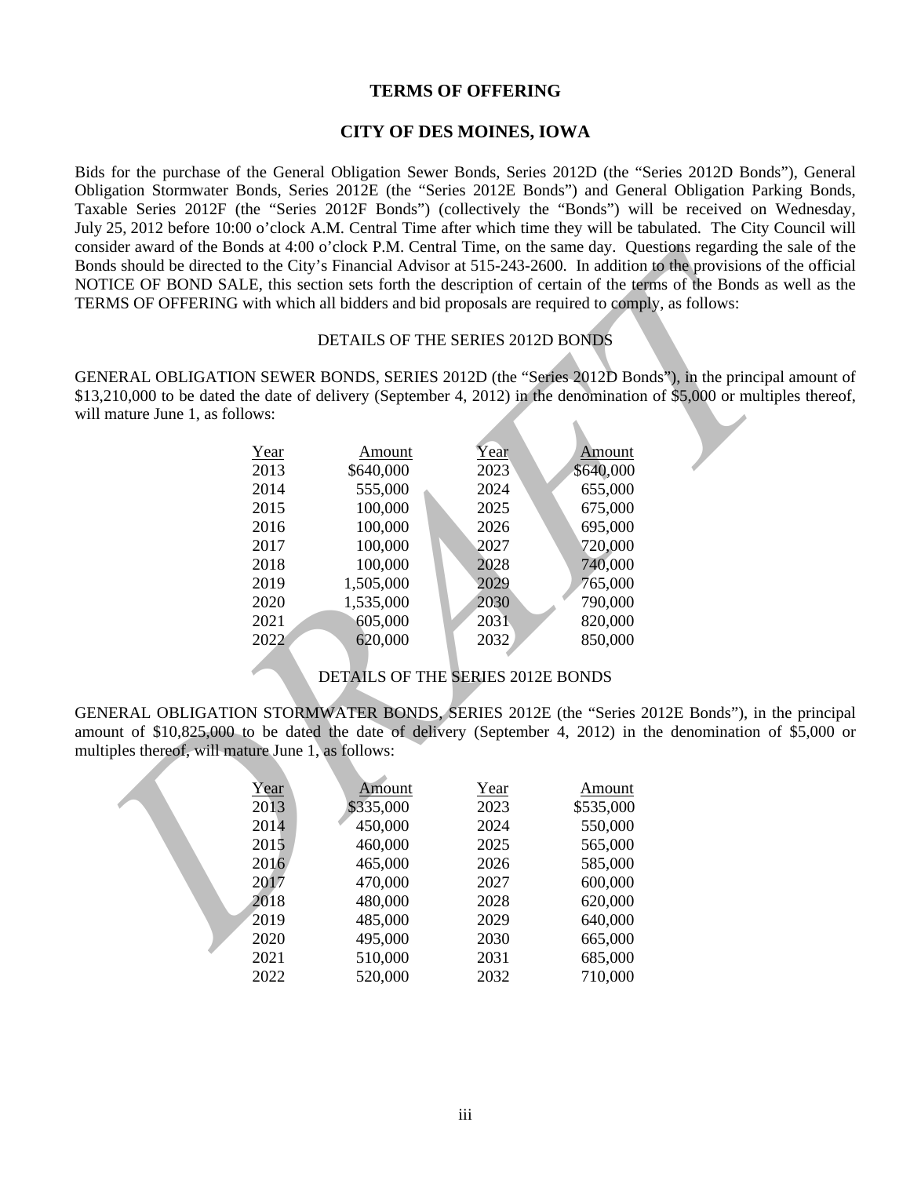# **TERMS OF OFFERING**

# **CITY OF DES MOINES, IOWA**

Bids for the purchase of the General Obligation Sewer Bonds, Series 2012D (the "Series 2012D Bonds"), General Obligation Stormwater Bonds, Series 2012E (the "Series 2012E Bonds") and General Obligation Parking Bonds, Taxable Series 2012F (the "Series 2012F Bonds") (collectively the "Bonds") will be received on Wednesday, July 25, 2012 before 10:00 o'clock A.M. Central Time after which time they will be tabulated. The City Council will consider award of the Bonds at 4:00 o'clock P.M. Central Time, on the same day. Questions regarding the sale of the Bonds should be directed to the City's Financial Advisor at 515-243-2600. In addition to the provisions of the official NOTICE OF BOND SALE, this section sets forth the description of certain of the terms of the Bonds as well as the TERMS OF OFFERING with which all bidders and bid proposals are required to comply, as follows:

#### DETAILS OF THE SERIES 2012D BONDS

GENERAL OBLIGATION SEWER BONDS, SERIES 2012D (the "Series 2012D Bonds"), in the principal amount of \$13,210,000 to be dated the date of delivery (September 4, 2012) in the denomination of \$5,000 or multiples thereof, will mature June 1, as follows:

| Year | Amount    | Year | Amount    |
|------|-----------|------|-----------|
| 2013 | \$640,000 | 2023 | \$640,000 |
| 2014 | 555,000   | 2024 | 655,000   |
| 2015 | 100,000   | 2025 | 675,000   |
| 2016 | 100,000   | 2026 | 695,000   |
| 2017 | 100,000   | 2027 | 720,000   |
| 2018 | 100,000   | 2028 | 740,000   |
| 2019 | 1,505,000 | 2029 | 765,000   |
| 2020 | 1,535,000 | 2030 | 790,000   |
| 2021 | 605,000   | 2031 | 820,000   |
| 2022 | 620,000   | 2032 | 850,000   |
|      |           |      |           |

DETAILS OF THE SERIES 2012E BONDS

GENERAL OBLIGATION STORMWATER BONDS, SERIES 2012E (the "Series 2012E Bonds"), in the principal amount of \$10,825,000 to be dated the date of delivery (September 4, 2012) in the denomination of \$5,000 or multiples thereof, will mature June 1, as follows:

| ERMS OF OFFERING with which all bidders and bid proposals are required to comply, as follows: |      |                                   |      |           | onsider award of the Bonds at 4:00 o'clock P.M. Central Time, on the same day. Questions regarding the sale o<br>onds should be directed to the City's Financial Advisor at 515-243-2600. In addition to the provisions of the off<br>OTICE OF BOND SALE, this section sets forth the description of certain of the terms of the Bonds as well a |
|-----------------------------------------------------------------------------------------------|------|-----------------------------------|------|-----------|--------------------------------------------------------------------------------------------------------------------------------------------------------------------------------------------------------------------------------------------------------------------------------------------------------------------------------------------------|
|                                                                                               |      | DETAILS OF THE SERIES 2012D BONDS |      |           |                                                                                                                                                                                                                                                                                                                                                  |
|                                                                                               |      |                                   |      |           | ENERAL OBLIGATION SEWER BONDS, SERIES 2012D (the "Series 2012D Bonds"), in the principal amou<br>13,210,000 to be dated the date of delivery (September 4, 2012) in the denomination of \$5,000 or multiples the                                                                                                                                 |
| ill mature June 1, as follows:                                                                |      |                                   |      |           |                                                                                                                                                                                                                                                                                                                                                  |
|                                                                                               | Year | Amount                            | Year | Amount    |                                                                                                                                                                                                                                                                                                                                                  |
|                                                                                               | 2013 | \$640,000                         | 2023 | \$640,000 |                                                                                                                                                                                                                                                                                                                                                  |
|                                                                                               | 2014 | 555,000                           | 2024 | 655,000   |                                                                                                                                                                                                                                                                                                                                                  |
|                                                                                               | 2015 | 100,000                           | 2025 | 675,000   |                                                                                                                                                                                                                                                                                                                                                  |
|                                                                                               | 2016 | 100,000                           | 2026 | 695,000   |                                                                                                                                                                                                                                                                                                                                                  |
|                                                                                               | 2017 | 100,000                           | 2027 | 720,000   |                                                                                                                                                                                                                                                                                                                                                  |
|                                                                                               | 2018 | 100,000                           | 2028 | 740,000   |                                                                                                                                                                                                                                                                                                                                                  |
|                                                                                               | 2019 | 1,505,000                         | 2029 | 765,000   |                                                                                                                                                                                                                                                                                                                                                  |
|                                                                                               | 2020 | 1,535,000                         | 2030 | 790,000   |                                                                                                                                                                                                                                                                                                                                                  |
|                                                                                               | 2021 | 605,000                           | 2031 | 820,000   |                                                                                                                                                                                                                                                                                                                                                  |
|                                                                                               | 2022 | 620,000                           | 2032 | 850,000   |                                                                                                                                                                                                                                                                                                                                                  |
|                                                                                               |      |                                   |      |           |                                                                                                                                                                                                                                                                                                                                                  |
|                                                                                               |      | DETAILS OF THE SERIES 2012E BONDS |      |           |                                                                                                                                                                                                                                                                                                                                                  |
|                                                                                               |      |                                   |      |           | ENERAL OBLIGATION STORMWATER BONDS, SERIES 2012E (the "Series 2012E Bonds"), in the prin                                                                                                                                                                                                                                                         |
|                                                                                               |      |                                   |      |           | mount of \$10,825,000 to be dated the date of delivery (September 4, 2012) in the denomination of \$5,00                                                                                                                                                                                                                                         |
| nultiples thereof, will mature June 1, as follows:                                            |      |                                   |      |           |                                                                                                                                                                                                                                                                                                                                                  |
|                                                                                               | Year | Amount                            | Year | Amount    |                                                                                                                                                                                                                                                                                                                                                  |
|                                                                                               | 2013 | \$335,000                         | 2023 | \$535,000 |                                                                                                                                                                                                                                                                                                                                                  |
|                                                                                               | 2014 | 450,000                           | 2024 | 550,000   |                                                                                                                                                                                                                                                                                                                                                  |
|                                                                                               | 2015 | 460,000                           | 2025 | 565,000   |                                                                                                                                                                                                                                                                                                                                                  |
|                                                                                               | 2016 | 465,000                           | 2026 | 585,000   |                                                                                                                                                                                                                                                                                                                                                  |
|                                                                                               | 2017 | 470,000                           | 2027 | 600,000   |                                                                                                                                                                                                                                                                                                                                                  |
|                                                                                               | 2018 | 480,000                           | 2028 | 620,000   |                                                                                                                                                                                                                                                                                                                                                  |
|                                                                                               | 2019 | 485,000                           | 2029 | 640,000   |                                                                                                                                                                                                                                                                                                                                                  |
|                                                                                               | 2020 | 495,000                           | 2030 | 665,000   |                                                                                                                                                                                                                                                                                                                                                  |
|                                                                                               | 2021 | 510,000                           | 2031 | 685,000   |                                                                                                                                                                                                                                                                                                                                                  |
|                                                                                               | 2022 | 520,000                           | 2032 | 710,000   |                                                                                                                                                                                                                                                                                                                                                  |
|                                                                                               |      |                                   |      |           |                                                                                                                                                                                                                                                                                                                                                  |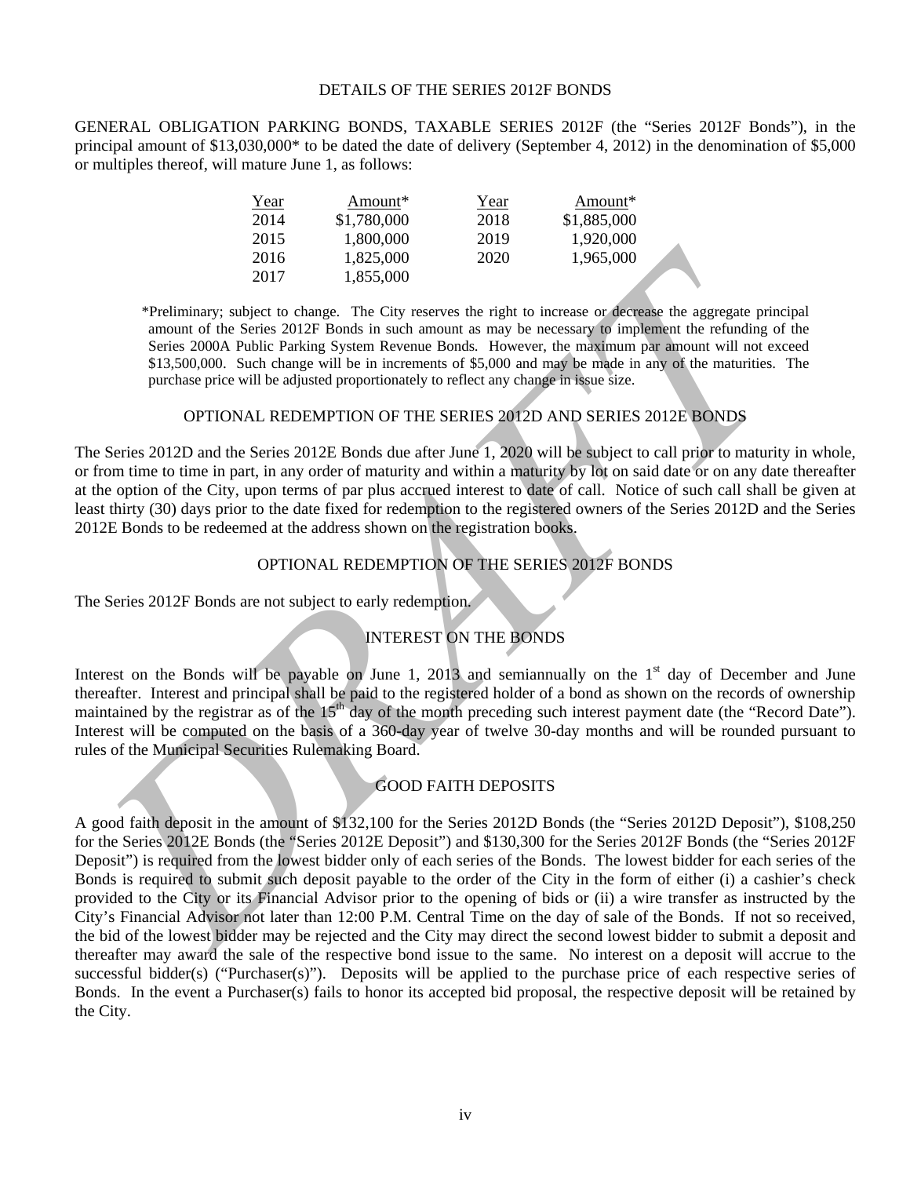#### DETAILS OF THE SERIES 2012F BONDS

GENERAL OBLIGATION PARKING BONDS, TAXABLE SERIES 2012F (the "Series 2012F Bonds"), in the principal amount of \$13,030,000\* to be dated the date of delivery (September 4, 2012) in the denomination of \$5,000 or multiples thereof, will mature June 1, as follows:

| Year | Amount*     | Year | Amount*     |
|------|-------------|------|-------------|
| 2014 | \$1,780,000 | 2018 | \$1,885,000 |
| 2015 | 1,800,000   | 2019 | 1,920,000   |
| 2016 | 1.825,000   | 2020 | 1,965,000   |
| 2017 | 1,855,000   |      |             |

\*Preliminary; subject to change. The City reserves the right to increase or decrease the aggregate principal amount of the Series 2012F Bonds in such amount as may be necessary to implement the refunding of the Series 2000A Public Parking System Revenue Bonds. However, the maximum par amount will not exceed \$13,500,000. Such change will be in increments of \$5,000 and may be made in any of the maturities. The purchase price will be adjusted proportionately to reflect any change in issue size.

# OPTIONAL REDEMPTION OF THE SERIES 2012D AND SERIES 2012E BONDS

The Series 2012D and the Series 2012E Bonds due after June 1, 2020 will be subject to call prior to maturity in whole, or from time to time in part, in any order of maturity and within a maturity by lot on said date or on any date thereafter at the option of the City, upon terms of par plus accrued interest to date of call. Notice of such call shall be given at least thirty (30) days prior to the date fixed for redemption to the registered owners of the Series 2012D and the Series 2012E Bonds to be redeemed at the address shown on the registration books.

# OPTIONAL REDEMPTION OF THE SERIES 2012F BONDS

The Series 2012F Bonds are not subject to early redemption.

# INTEREST ON THE BONDS

Interest on the Bonds will be payable on June 1, 2013 and semiannually on the  $1<sup>st</sup>$  day of December and June thereafter. Interest and principal shall be paid to the registered holder of a bond as shown on the records of ownership maintained by the registrar as of the 15<sup>th</sup> day of the month preceding such interest payment date (the "Record Date"). Interest will be computed on the basis of a 360-day year of twelve 30-day months and will be rounded pursuant to rules of the Municipal Securities Rulemaking Board.

# GOOD FAITH DEPOSITS

2017 1325,000<br>
2020 1325,000<br>
<sup>2021</sup> 2017 1325,000<br>
<sup>2021</sup> 2017 1325,000<br>
<sup>2021</sup> 2017 1325,000<br>
<sup>2021</sup> 2017 1325,000<br>
<sup>2021</sup> 2045,000<br> **Exces 2000A Pehite be street and the Series 2021 Bonds in such most<br>
State 2000A Pehit** A good faith deposit in the amount of \$132,100 for the Series 2012D Bonds (the "Series 2012D Deposit"), \$108,250 for the Series 2012E Bonds (the "Series 2012E Deposit") and \$130,300 for the Series 2012F Bonds (the "Series 2012F Deposit") is required from the lowest bidder only of each series of the Bonds. The lowest bidder for each series of the Bonds is required to submit such deposit payable to the order of the City in the form of either (i) a cashier's check provided to the City or its Financial Advisor prior to the opening of bids or (ii) a wire transfer as instructed by the City's Financial Advisor not later than 12:00 P.M. Central Time on the day of sale of the Bonds. If not so received, the bid of the lowest bidder may be rejected and the City may direct the second lowest bidder to submit a deposit and thereafter may award the sale of the respective bond issue to the same. No interest on a deposit will accrue to the successful bidder(s) ("Purchaser(s)"). Deposits will be applied to the purchase price of each respective series of Bonds. In the event a Purchaser(s) fails to honor its accepted bid proposal, the respective deposit will be retained by the City.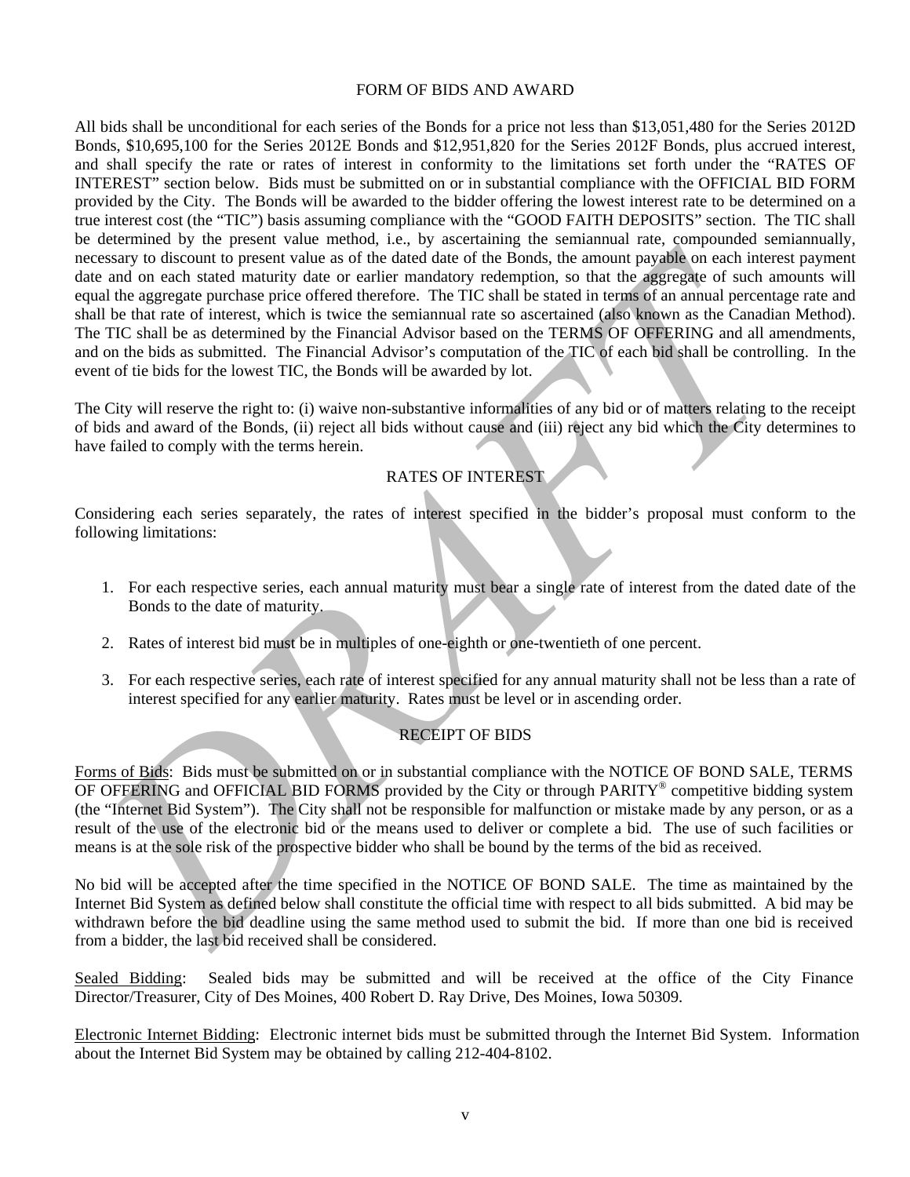#### FORM OF BIDS AND AWARD

consensy to discount to present value as of the dated due of the finds, the amount payable on each interest payable<br>at an do next) asset and many due or earlier mandatory redemption, so that the aggregate of such amounts<br>a All bids shall be unconditional for each series of the Bonds for a price not less than \$13,051,480 for the Series 2012D Bonds, \$10,695,100 for the Series 2012E Bonds and \$12,951,820 for the Series 2012F Bonds, plus accrued interest, and shall specify the rate or rates of interest in conformity to the limitations set forth under the "RATES OF INTEREST" section below. Bids must be submitted on or in substantial compliance with the OFFICIAL BID FORM provided by the City. The Bonds will be awarded to the bidder offering the lowest interest rate to be determined on a true interest cost (the "TIC") basis assuming compliance with the "GOOD FAITH DEPOSITS" section. The TIC shall be determined by the present value method, i.e., by ascertaining the semiannual rate, compounded semiannually, necessary to discount to present value as of the dated date of the Bonds, the amount payable on each interest payment date and on each stated maturity date or earlier mandatory redemption, so that the aggregate of such amounts will equal the aggregate purchase price offered therefore. The TIC shall be stated in terms of an annual percentage rate and shall be that rate of interest, which is twice the semiannual rate so ascertained (also known as the Canadian Method). The TIC shall be as determined by the Financial Advisor based on the TERMS OF OFFERING and all amendments, and on the bids as submitted. The Financial Advisor's computation of the TIC of each bid shall be controlling. In the event of tie bids for the lowest TIC, the Bonds will be awarded by lot.

The City will reserve the right to: (i) waive non-substantive informalities of any bid or of matters relating to the receipt of bids and award of the Bonds, (ii) reject all bids without cause and (iii) reject any bid which the City determines to have failed to comply with the terms herein.

# RATES OF INTEREST

Considering each series separately, the rates of interest specified in the bidder's proposal must conform to the following limitations:

- 1. For each respective series, each annual maturity must bear a single rate of interest from the dated date of the Bonds to the date of maturity.
- 2. Rates of interest bid must be in multiples of one-eighth or one-twentieth of one percent.
- 3. For each respective series, each rate of interest specified for any annual maturity shall not be less than a rate of interest specified for any earlier maturity. Rates must be level or in ascending order.

# RECEIPT OF BIDS

Forms of Bids: Bids must be submitted on or in substantial compliance with the NOTICE OF BOND SALE, TERMS OF OFFERING and OFFICIAL BID FORMS provided by the City or through PARITY® competitive bidding system (the "Internet Bid System"). The City shall not be responsible for malfunction or mistake made by any person, or as a result of the use of the electronic bid or the means used to deliver or complete a bid. The use of such facilities or means is at the sole risk of the prospective bidder who shall be bound by the terms of the bid as received.

No bid will be accepted after the time specified in the NOTICE OF BOND SALE. The time as maintained by the Internet Bid System as defined below shall constitute the official time with respect to all bids submitted. A bid may be withdrawn before the bid deadline using the same method used to submit the bid. If more than one bid is received from a bidder, the last bid received shall be considered.

Sealed Bidding: Sealed bids may be submitted and will be received at the office of the City Finance Director/Treasurer, City of Des Moines, 400 Robert D. Ray Drive, Des Moines, Iowa 50309.

Electronic Internet Bidding: Electronic internet bids must be submitted through the Internet Bid System. Information about the Internet Bid System may be obtained by calling 212-404-8102.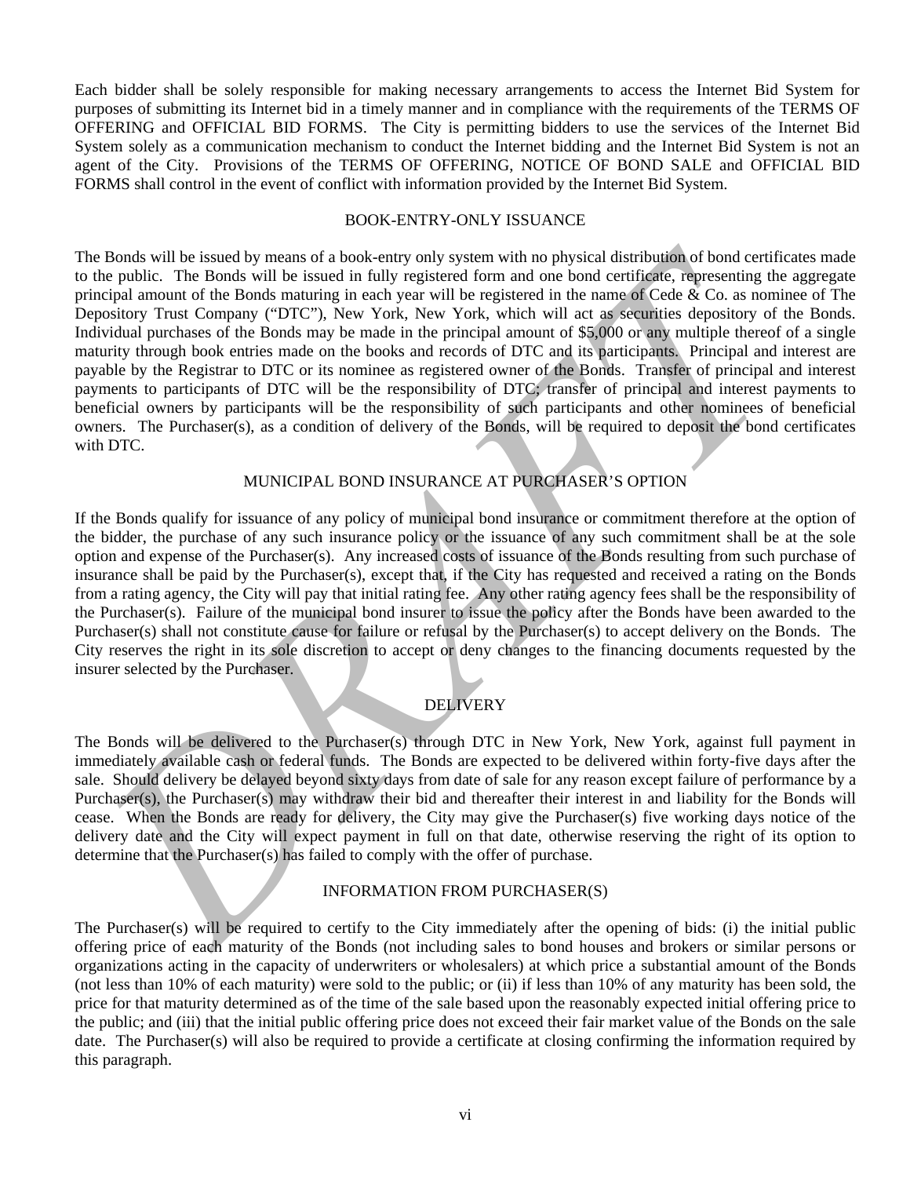Each bidder shall be solely responsible for making necessary arrangements to access the Internet Bid System for purposes of submitting its Internet bid in a timely manner and in compliance with the requirements of the TERMS OF OFFERING and OFFICIAL BID FORMS. The City is permitting bidders to use the services of the Internet Bid System solely as a communication mechanism to conduct the Internet bidding and the Internet Bid System is not an agent of the City. Provisions of the TERMS OF OFFERING, NOTICE OF BOND SALE and OFFICIAL BID FORMS shall control in the event of conflict with information provided by the Internet Bid System.

#### BOOK-ENTRY-ONLY ISSUANCE

In Bonds will be issued by mean of a book-entry only system with no physical distribution of book profile<br>constraints in the profile of the Book and the issued in fully registered form and one bond certifigate, representin The Bonds will be issued by means of a book-entry only system with no physical distribution of bond certificates made to the public. The Bonds will be issued in fully registered form and one bond certificate, representing the aggregate principal amount of the Bonds maturing in each year will be registered in the name of Cede & Co. as nominee of The Depository Trust Company ("DTC"), New York, New York, which will act as securities depository of the Bonds. Individual purchases of the Bonds may be made in the principal amount of \$5,000 or any multiple thereof of a single maturity through book entries made on the books and records of DTC and its participants. Principal and interest are payable by the Registrar to DTC or its nominee as registered owner of the Bonds. Transfer of principal and interest payments to participants of DTC will be the responsibility of DTC; transfer of principal and interest payments to beneficial owners by participants will be the responsibility of such participants and other nominees of beneficial owners. The Purchaser(s), as a condition of delivery of the Bonds, will be required to deposit the bond certificates with DTC.

# MUNICIPAL BOND INSURANCE AT PURCHASER'S OPTION

If the Bonds qualify for issuance of any policy of municipal bond insurance or commitment therefore at the option of the bidder, the purchase of any such insurance policy or the issuance of any such commitment shall be at the sole option and expense of the Purchaser(s). Any increased costs of issuance of the Bonds resulting from such purchase of insurance shall be paid by the Purchaser(s), except that, if the City has requested and received a rating on the Bonds from a rating agency, the City will pay that initial rating fee. Any other rating agency fees shall be the responsibility of the Purchaser(s). Failure of the municipal bond insurer to issue the policy after the Bonds have been awarded to the Purchaser(s) shall not constitute cause for failure or refusal by the Purchaser(s) to accept delivery on the Bonds. The City reserves the right in its sole discretion to accept or deny changes to the financing documents requested by the insurer selected by the Purchaser.

# DELIVERY

The Bonds will be delivered to the Purchaser(s) through DTC in New York, New York, against full payment in immediately available cash or federal funds. The Bonds are expected to be delivered within forty-five days after the sale. Should delivery be delayed beyond sixty days from date of sale for any reason except failure of performance by a Purchaser(s), the Purchaser(s) may withdraw their bid and thereafter their interest in and liability for the Bonds will cease. When the Bonds are ready for delivery, the City may give the Purchaser(s) five working days notice of the delivery date and the City will expect payment in full on that date, otherwise reserving the right of its option to determine that the Purchaser(s) has failed to comply with the offer of purchase.

## INFORMATION FROM PURCHASER(S)

The Purchaser(s) will be required to certify to the City immediately after the opening of bids: (i) the initial public offering price of each maturity of the Bonds (not including sales to bond houses and brokers or similar persons or organizations acting in the capacity of underwriters or wholesalers) at which price a substantial amount of the Bonds (not less than 10% of each maturity) were sold to the public; or (ii) if less than 10% of any maturity has been sold, the price for that maturity determined as of the time of the sale based upon the reasonably expected initial offering price to the public; and (iii) that the initial public offering price does not exceed their fair market value of the Bonds on the sale date. The Purchaser(s) will also be required to provide a certificate at closing confirming the information required by this paragraph.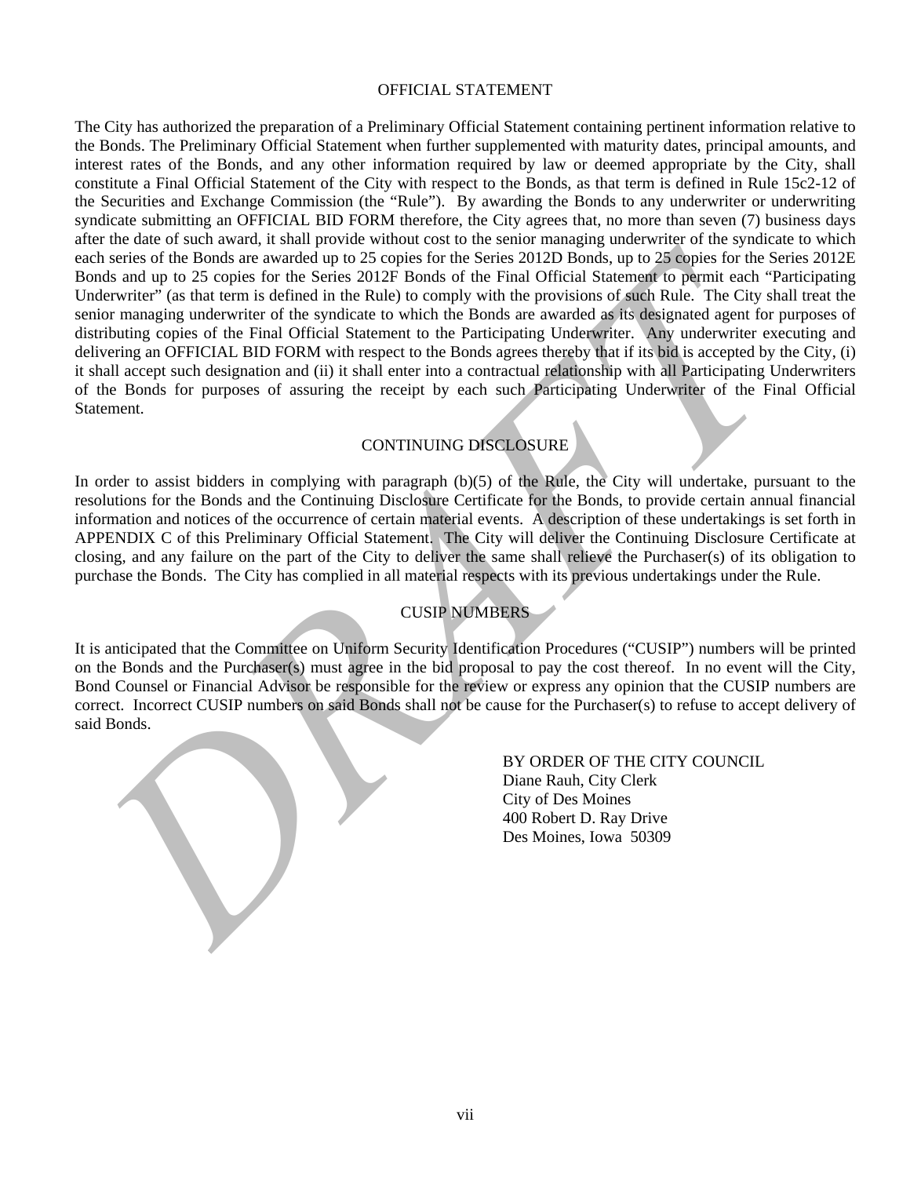#### OFFICIAL STATEMENT

The broad are awarded up to 25 copies for the Series 2012F Bonds of the Final Official Stateman's comparison that is compared to the Series 2012F Bonds of the Final Official Stateman's comparison on 25 copies for the Serie The City has authorized the preparation of a Preliminary Official Statement containing pertinent information relative to the Bonds. The Preliminary Official Statement when further supplemented with maturity dates, principal amounts, and interest rates of the Bonds, and any other information required by law or deemed appropriate by the City, shall constitute a Final Official Statement of the City with respect to the Bonds, as that term is defined in Rule 15c2-12 of the Securities and Exchange Commission (the "Rule"). By awarding the Bonds to any underwriter or underwriting syndicate submitting an OFFICIAL BID FORM therefore, the City agrees that, no more than seven (7) business days after the date of such award, it shall provide without cost to the senior managing underwriter of the syndicate to which each series of the Bonds are awarded up to 25 copies for the Series 2012D Bonds, up to 25 copies for the Series 2012E Bonds and up to 25 copies for the Series 2012F Bonds of the Final Official Statement to permit each "Participating Underwriter" (as that term is defined in the Rule) to comply with the provisions of such Rule. The City shall treat the senior managing underwriter of the syndicate to which the Bonds are awarded as its designated agent for purposes of distributing copies of the Final Official Statement to the Participating Underwriter. Any underwriter executing and delivering an OFFICIAL BID FORM with respect to the Bonds agrees thereby that if its bid is accepted by the City, (i) it shall accept such designation and (ii) it shall enter into a contractual relationship with all Participating Underwriters of the Bonds for purposes of assuring the receipt by each such Participating Underwriter of the Final Official Statement.

# CONTINUING DISCLOSURE

In order to assist bidders in complying with paragraph (b)(5) of the Rule, the City will undertake, pursuant to the resolutions for the Bonds and the Continuing Disclosure Certificate for the Bonds, to provide certain annual financial information and notices of the occurrence of certain material events. A description of these undertakings is set forth in APPENDIX C of this Preliminary Official Statement. The City will deliver the Continuing Disclosure Certificate at closing, and any failure on the part of the City to deliver the same shall relieve the Purchaser(s) of its obligation to purchase the Bonds. The City has complied in all material respects with its previous undertakings under the Rule.

# CUSIP NUMBERS

It is anticipated that the Committee on Uniform Security Identification Procedures ("CUSIP") numbers will be printed on the Bonds and the Purchaser(s) must agree in the bid proposal to pay the cost thereof. In no event will the City, Bond Counsel or Financial Advisor be responsible for the review or express any opinion that the CUSIP numbers are correct. Incorrect CUSIP numbers on said Bonds shall not be cause for the Purchaser(s) to refuse to accept delivery of said Bonds.

> BY ORDER OF THE CITY COUNCIL Diane Rauh, City Clerk City of Des Moines 400 Robert D. Ray Drive Des Moines, Iowa 50309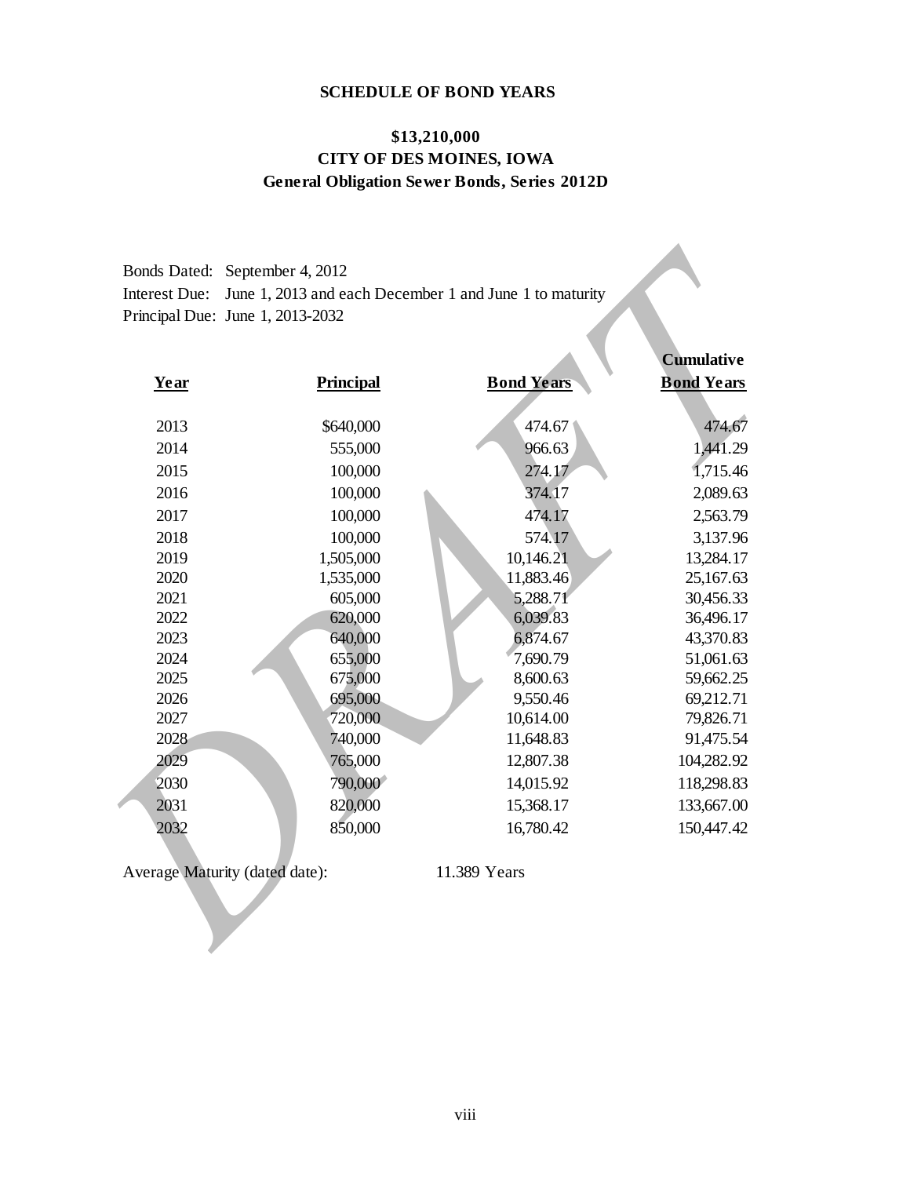# **SCHEDULE OF BOND YEARS**

# **\$13,210,000 CITY OF DES MOINES, IOWA General Obligation Sewer Bonds, Series 2012D**

| Bonds Dated: September 4, 2012                                        |  |
|-----------------------------------------------------------------------|--|
| Interest Due: June 1, 2013 and each December 1 and June 1 to maturity |  |
| Principal Due: June 1, 2013-2032                                      |  |

| <b>Principal</b> |                                                                             | <b>Cumulative</b>                                           |
|------------------|-----------------------------------------------------------------------------|-------------------------------------------------------------|
|                  | <b>Bond Years</b>                                                           | <b>Bond Years</b>                                           |
|                  |                                                                             |                                                             |
| \$640,000        | 474.67                                                                      | 474.67                                                      |
|                  |                                                                             | 1,441.29                                                    |
|                  |                                                                             | 1,715.46                                                    |
|                  |                                                                             | 2,089.63                                                    |
|                  |                                                                             | 2,563.79                                                    |
|                  |                                                                             | 3,137.96                                                    |
|                  | 10,146.21                                                                   | 13,284.17                                                   |
| 1,535,000        | 11,883.46                                                                   | 25,167.63                                                   |
| 605,000          | 5,288.71                                                                    | 30,456.33                                                   |
| 620,000          | 6,039.83                                                                    | 36,496.17                                                   |
| 640,000          | 6,874.67                                                                    | 43,370.83                                                   |
| 655,000          | 7,690.79                                                                    | 51,061.63                                                   |
| 675,000          | 8,600.63                                                                    | 59,662.25                                                   |
| 695,000          | 9,550.46                                                                    | 69,212.71                                                   |
| 720,000          | 10,614.00                                                                   | 79,826.71                                                   |
|                  |                                                                             | 91,475.54                                                   |
| 765,000          | 12,807.38                                                                   | 104,282.92                                                  |
| 790,000          | 14,015.92                                                                   | 118,298.83                                                  |
| 820,000          | 15,368.17                                                                   | 133,667.00                                                  |
| 850,000          | 16,780.42                                                                   | 150,447.42                                                  |
|                  |                                                                             |                                                             |
|                  | 555,000<br>100,000<br>100,000<br>100,000<br>100,000<br>1,505,000<br>740,000 | 966.63<br>274.17<br>374.17<br>474.17<br>574.17<br>11,648.83 |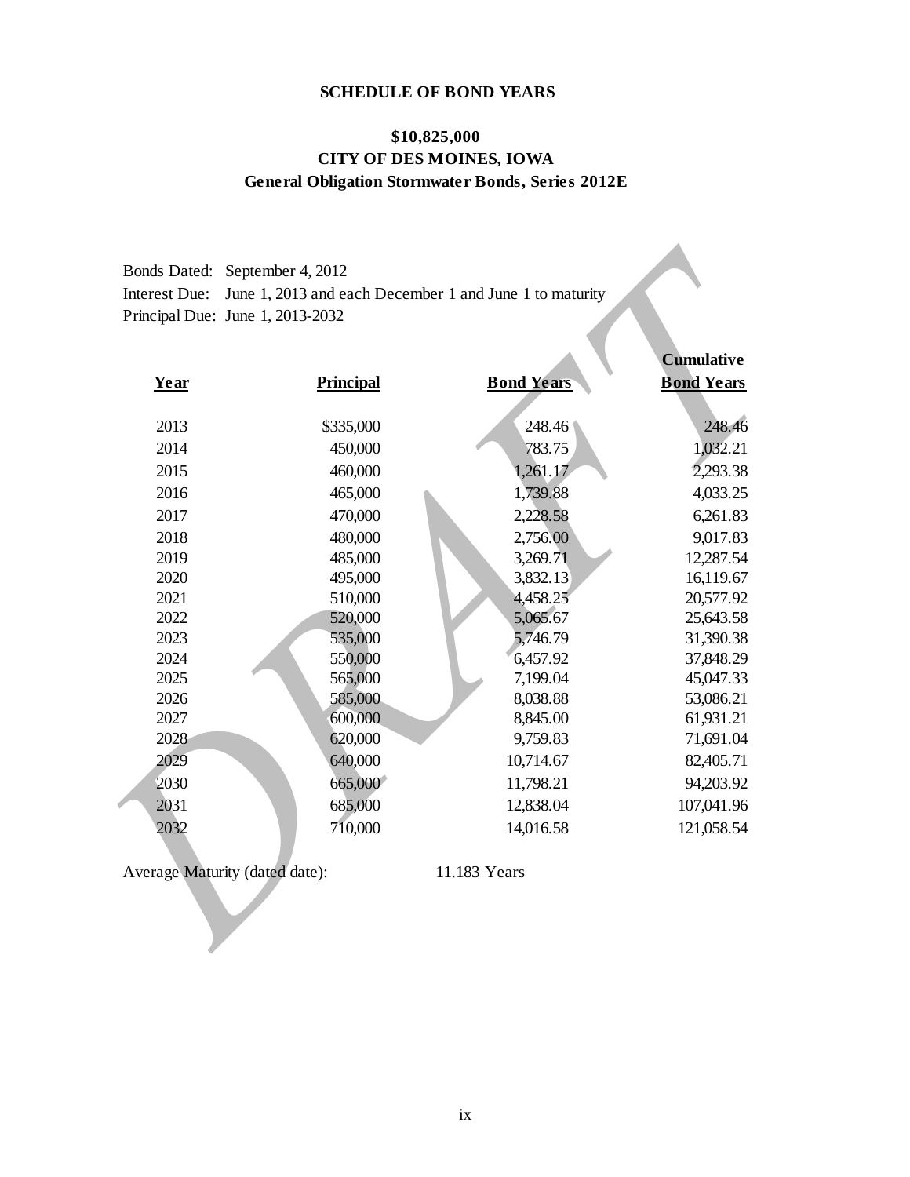# **SCHEDULE OF BOND YEARS**

# **\$10,825,000 CITY OF DES MOINES, IOWA General Obligation Stormwater Bonds, Series 2012E**

| Bonds Dated: September 4, 2012                                        |
|-----------------------------------------------------------------------|
| Interest Due: June 1, 2013 and each December 1 and June 1 to maturity |
| Principal Due: June $1, 2013 - 2032$                                  |

| Year                           | <b>Principal</b> | <b>Bond Years</b> | <b>Cumulative</b><br><b>Bond Years</b> |
|--------------------------------|------------------|-------------------|----------------------------------------|
|                                |                  |                   |                                        |
| 2013                           | \$335,000        | 248.46            | 248.46                                 |
| 2014                           | 450,000          | 783.75            | 1,032.21                               |
| 2015                           | 460,000          | 1,261.17          | 2,293.38                               |
| 2016                           | 465,000          | 1,739.88          | 4,033.25                               |
| 2017                           | 470,000          | 2,228.58          | 6,261.83                               |
| 2018                           | 480,000          | 2,756.00          | 9,017.83                               |
| 2019                           | 485,000          | 3,269.71          | 12,287.54                              |
| 2020                           | 495,000          | 3,832.13          | 16,119.67                              |
| 2021                           | 510,000          | 4,458.25          | 20,577.92                              |
| 2022                           | 520,000          | 5,065.67          | 25,643.58                              |
| 2023                           | 535,000          | 5,746.79          | 31,390.38                              |
| 2024                           | 550,000          | 6,457.92          | 37,848.29                              |
| 2025                           | 565,000          | 7,199.04          | 45,047.33                              |
| 2026                           | 585,000          | 8,038.88          | 53,086.21                              |
| 2027                           | 600,000          | 8,845.00          | 61,931.21                              |
| 2028                           | 620,000          | 9,759.83          | 71,691.04                              |
| 2029                           | 640,000          | 10,714.67         | 82,405.71                              |
| 2030                           | 665,000          | 11,798.21         | 94,203.92                              |
| 2031                           | 685,000          | 12,838.04         | 107,041.96                             |
| 2032                           | 710,000          | 14,016.58         | 121,058.54                             |
| Average Maturity (dated date): |                  | 11.183 Years      |                                        |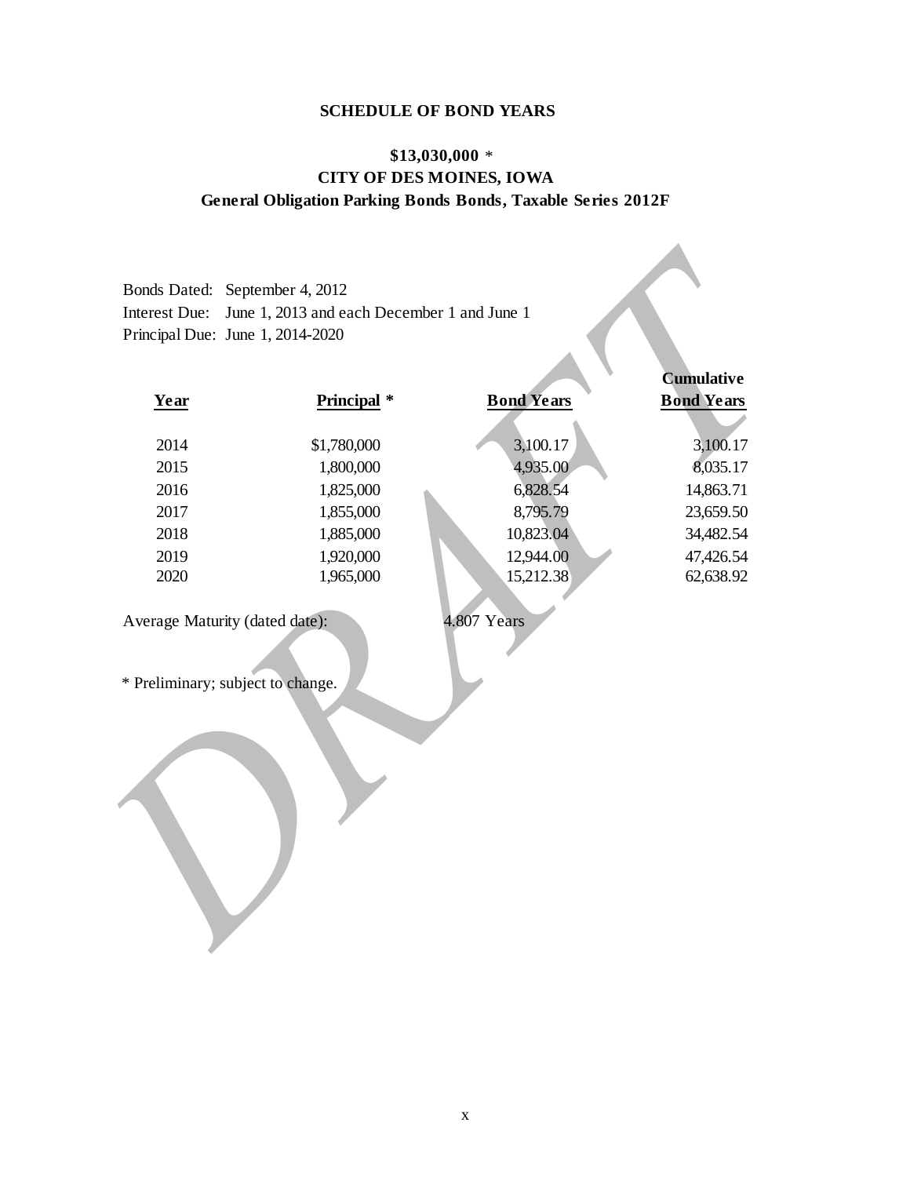# **SCHEDULE OF BOND YEARS**

# **\$13,030,000** \* **CITY OF DES MOINES, IOWA General Obligation Parking Bonds Bonds, Taxable Series 2012F**

|                                   |             |                   | <b>Cumulative</b> |
|-----------------------------------|-------------|-------------------|-------------------|
| Year                              | Principal * | <b>Bond Years</b> | <b>Bond Years</b> |
| 2014                              | \$1,780,000 | 3,100.17          | 3,100.17          |
| 2015                              | 1,800,000   | 4,935.00          | 8,035.17          |
| 2016                              | 1,825,000   | 6,828.54          | 14,863.71         |
| 2017                              | 1,855,000   | 8,795.79          | 23,659.50         |
| 2018                              | 1,885,000   | 10,823.04         | 34,482.54         |
| 2019                              | 1,920,000   | 12,944.00         | 47,426.54         |
| 2020                              | 1,965,000   | 15,212.38         | 62,638.92         |
| * Preliminary; subject to change. |             |                   |                   |

x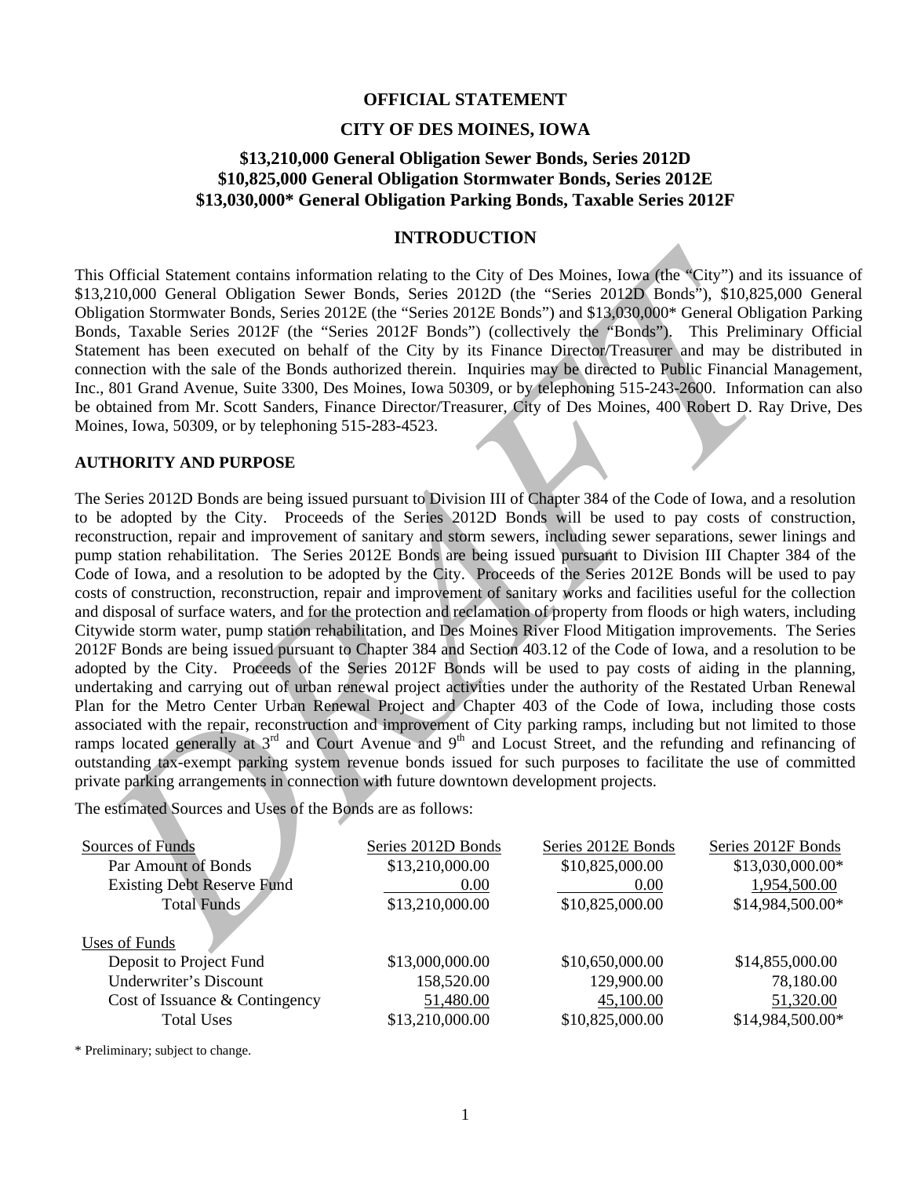#### **OFFICIAL STATEMENT**

#### **CITY OF DES MOINES, IOWA**

# **\$13,210,000 General Obligation Sewer Bonds, Series 2012D \$10,825,000 General Obligation Stormwater Bonds, Series 2012E \$13,030,000\* General Obligation Parking Bonds, Taxable Series 2012F**

# **INTRODUCTION**

This Official Statement contains information relating to the City of Des Moines, Iowa (the "City") and its issuance of \$13,210,000 General Obligation Sewer Bonds, Series 2012D (the "Series 2012D Bonds"), \$10,825,000 General Obligation Stormwater Bonds, Series 2012E (the "Series 2012E Bonds") and \$13,030,000\* General Obligation Parking Bonds, Taxable Series 2012F (the "Series 2012F Bonds") (collectively the "Bonds"). This Preliminary Official Statement has been executed on behalf of the City by its Finance Director/Treasurer and may be distributed in connection with the sale of the Bonds authorized therein. Inquiries may be directed to Public Financial Management, Inc., 801 Grand Avenue, Suite 3300, Des Moines, Iowa 50309, or by telephoning 515-243-2600. Information can also be obtained from Mr. Scott Sanders, Finance Director/Treasurer, City of Des Moines, 400 Robert D. Ray Drive, Des Moines, Iowa, 50309, or by telephoning 515-283-4523.

#### **AUTHORITY AND PURPOSE**

his Official Statement contains information relating to the City of Des Moines, lowg (the "City") and is issua<br>
13.210,0000 General Obligation Sever Bonds. Series 2012 De (the "Series 2012 Dends") and 813,090.000 General The Series 2012D Bonds are being issued pursuant to Division III of Chapter 384 of the Code of Iowa, and a resolution to be adopted by the City. Proceeds of the Series 2012D Bonds will be used to pay costs of construction, reconstruction, repair and improvement of sanitary and storm sewers, including sewer separations, sewer linings and pump station rehabilitation. The Series 2012E Bonds are being issued pursuant to Division III Chapter 384 of the Code of Iowa, and a resolution to be adopted by the City. Proceeds of the Series 2012E Bonds will be used to pay costs of construction, reconstruction, repair and improvement of sanitary works and facilities useful for the collection and disposal of surface waters, and for the protection and reclamation of property from floods or high waters, including Citywide storm water, pump station rehabilitation, and Des Moines River Flood Mitigation improvements. The Series 2012F Bonds are being issued pursuant to Chapter 384 and Section 403.12 of the Code of Iowa, and a resolution to be adopted by the City. Proceeds of the Series 2012F Bonds will be used to pay costs of aiding in the planning, undertaking and carrying out of urban renewal project activities under the authority of the Restated Urban Renewal Plan for the Metro Center Urban Renewal Project and Chapter 403 of the Code of Iowa, including those costs associated with the repair, reconstruction and improvement of City parking ramps, including but not limited to those ramps located generally at 3<sup>rd</sup> and Court Avenue and 9<sup>th</sup> and Locust Street, and the refunding and refinancing of outstanding tax-exempt parking system revenue bonds issued for such purposes to facilitate the use of committed private parking arrangements in connection with future downtown development projects.

The estimated Sources and Uses of the Bonds are as follows:

| Sources of Funds                  | Series 2012D Bonds | Series 2012E Bonds | Series 2012F Bonds |
|-----------------------------------|--------------------|--------------------|--------------------|
| Par Amount of Bonds               | \$13,210,000.00    | \$10,825,000.00    | \$13,030,000.00*   |
| <b>Existing Debt Reserve Fund</b> | 0.00               | 0.00               | 1,954,500.00       |
| <b>Total Funds</b>                | \$13,210,000.00    | \$10,825,000.00    | \$14,984,500.00*   |
| Uses of Funds                     |                    |                    |                    |
| Deposit to Project Fund           | \$13,000,000.00    | \$10,650,000.00    | \$14,855,000.00    |
| Underwriter's Discount            | 158,520.00         | 129,900.00         | 78,180.00          |
| Cost of Issuance & Contingency    | 51,480.00          | 45,100.00          | 51,320.00          |
| <b>Total Uses</b>                 | \$13,210,000.00    | \$10,825,000.00    | \$14,984,500.00*   |
|                                   |                    |                    |                    |

\* Preliminary; subject to change.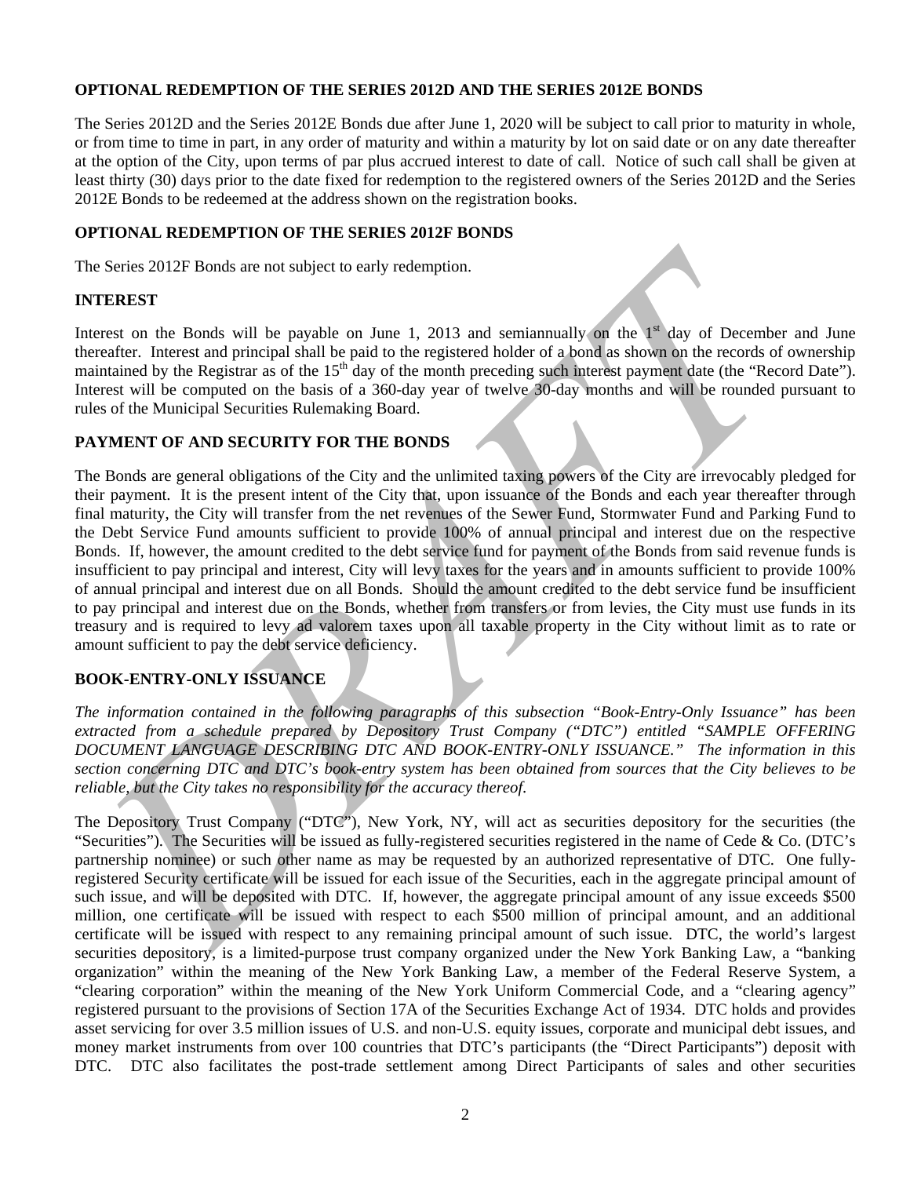# **OPTIONAL REDEMPTION OF THE SERIES 2012D AND THE SERIES 2012E BONDS**

The Series 2012D and the Series 2012E Bonds due after June 1, 2020 will be subject to call prior to maturity in whole, or from time to time in part, in any order of maturity and within a maturity by lot on said date or on any date thereafter at the option of the City, upon terms of par plus accrued interest to date of call. Notice of such call shall be given at least thirty (30) days prior to the date fixed for redemption to the registered owners of the Series 2012D and the Series 2012E Bonds to be redeemed at the address shown on the registration books.

# **OPTIONAL REDEMPTION OF THE SERIES 2012F BONDS**

The Series 2012F Bonds are not subject to early redemption.

#### **INTEREST**

Interest on the Bonds will be payable on June 1, 2013 and semiannually on the  $1<sup>st</sup>$  day of December and June thereafter. Interest and principal shall be paid to the registered holder of a bond as shown on the records of ownership maintained by the Registrar as of the 15<sup>th</sup> day of the month preceding such interest payment date (the "Record Date"). Interest will be computed on the basis of a 360-day year of twelve 30-day months and will be rounded pursuant to rules of the Municipal Securities Rulemaking Board.

## **PAYMENT OF AND SECURITY FOR THE BONDS**

he Series 2012F Bonds are not subject to early redemption.<br> **NTEREST**<br>
Interestriction the bands will be payable on June 1, 2013 and semianmulty on the <sup>1</sup> day of December and<br>
treatered on the Registraria so the 15<sup>3</sup> day The Bonds are general obligations of the City and the unlimited taxing powers of the City are irrevocably pledged for their payment. It is the present intent of the City that, upon issuance of the Bonds and each year thereafter through final maturity, the City will transfer from the net revenues of the Sewer Fund, Stormwater Fund and Parking Fund to the Debt Service Fund amounts sufficient to provide 100% of annual principal and interest due on the respective Bonds. If, however, the amount credited to the debt service fund for payment of the Bonds from said revenue funds is insufficient to pay principal and interest, City will levy taxes for the years and in amounts sufficient to provide 100% of annual principal and interest due on all Bonds. Should the amount credited to the debt service fund be insufficient to pay principal and interest due on the Bonds, whether from transfers or from levies, the City must use funds in its treasury and is required to levy ad valorem taxes upon all taxable property in the City without limit as to rate or amount sufficient to pay the debt service deficiency.

# **BOOK-ENTRY-ONLY ISSUANCE**

*The information contained in the following paragraphs of this subsection "Book-Entry-Only Issuance" has been extracted from a schedule prepared by Depository Trust Company ("DTC") entitled "SAMPLE OFFERING DOCUMENT LANGUAGE DESCRIBING DTC AND BOOK-ENTRY-ONLY ISSUANCE." The information in this section concerning DTC and DTC's book-entry system has been obtained from sources that the City believes to be reliable, but the City takes no responsibility for the accuracy thereof.* 

The Depository Trust Company ("DTC"), New York, NY, will act as securities depository for the securities (the "Securities"). The Securities will be issued as fully-registered securities registered in the name of Cede & Co. (DTC's partnership nominee) or such other name as may be requested by an authorized representative of DTC. One fullyregistered Security certificate will be issued for each issue of the Securities, each in the aggregate principal amount of such issue, and will be deposited with DTC. If, however, the aggregate principal amount of any issue exceeds \$500 million, one certificate will be issued with respect to each \$500 million of principal amount, and an additional certificate will be issued with respect to any remaining principal amount of such issue. DTC, the world's largest securities depository, is a limited-purpose trust company organized under the New York Banking Law, a "banking organization" within the meaning of the New York Banking Law, a member of the Federal Reserve System, a "clearing corporation" within the meaning of the New York Uniform Commercial Code, and a "clearing agency" registered pursuant to the provisions of Section 17A of the Securities Exchange Act of 1934. DTC holds and provides asset servicing for over 3.5 million issues of U.S. and non-U.S. equity issues, corporate and municipal debt issues, and money market instruments from over 100 countries that DTC's participants (the "Direct Participants") deposit with DTC. DTC also facilitates the post-trade settlement among Direct Participants of sales and other securities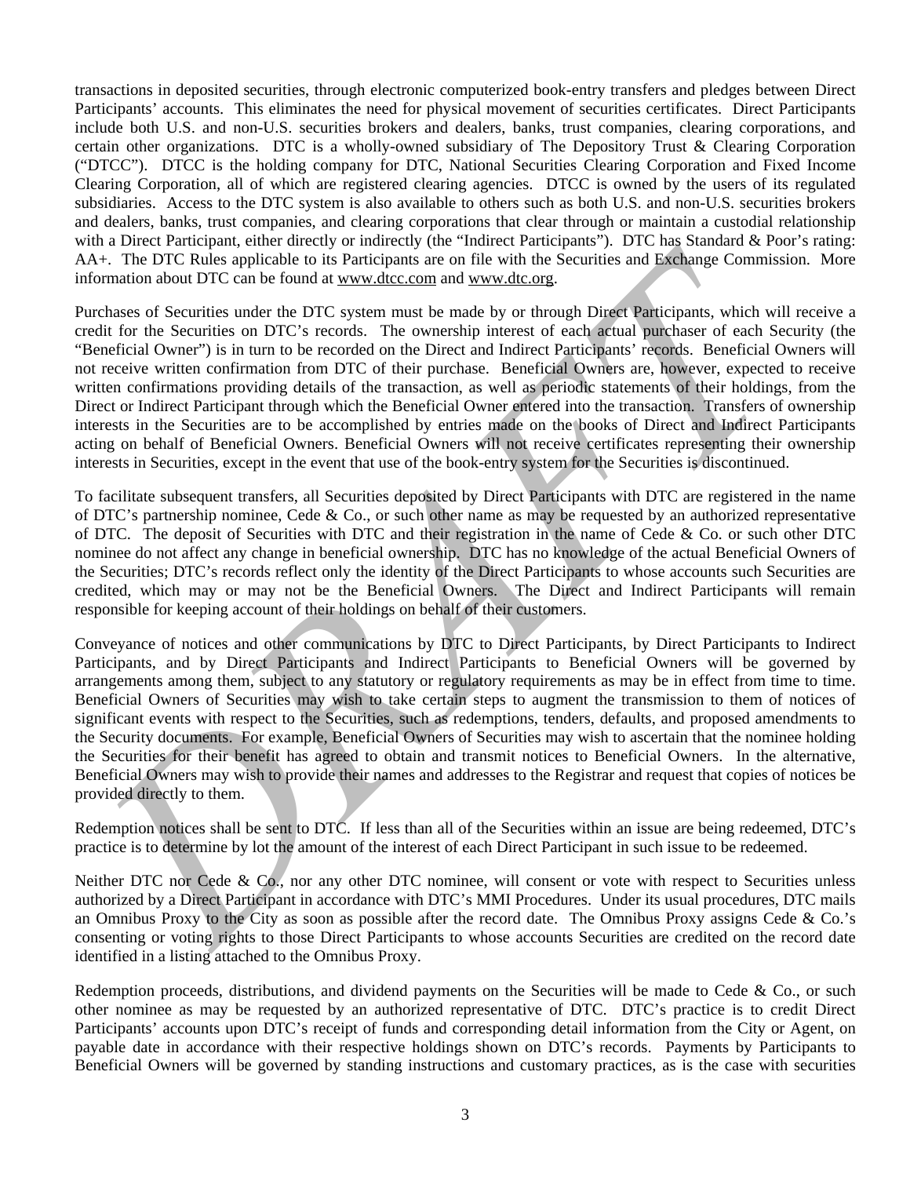transactions in deposited securities, through electronic computerized book-entry transfers and pledges between Direct Participants' accounts. This eliminates the need for physical movement of securities certificates. Direct Participants include both U.S. and non-U.S. securities brokers and dealers, banks, trust companies, clearing corporations, and certain other organizations. DTC is a wholly-owned subsidiary of The Depository Trust & Clearing Corporation ("DTCC"). DTCC is the holding company for DTC, National Securities Clearing Corporation and Fixed Income Clearing Corporation, all of which are registered clearing agencies. DTCC is owned by the users of its regulated subsidiaries. Access to the DTC system is also available to others such as both U.S. and non-U.S. securities brokers and dealers, banks, trust companies, and clearing corporations that clear through or maintain a custodial relationship with a Direct Participant, either directly or indirectly (the "Indirect Participants"). DTC has Standard & Poor's rating: AA+. The DTC Rules applicable to its Participants are on file with the Securities and Exchange Commission. More information about DTC can be found at www.dtcc.com and www.dtc.org.

A<sub>2</sub>. The DIYC Rules applicable to its Participans are on fits with the Securities and Edelmans Commission. Next the Securities and Edelmans are on fits with the Securities and Edelmans Commission. Next the formula and the Purchases of Securities under the DTC system must be made by or through Direct Participants, which will receive a credit for the Securities on DTC's records. The ownership interest of each actual purchaser of each Security (the "Beneficial Owner") is in turn to be recorded on the Direct and Indirect Participants' records. Beneficial Owners will not receive written confirmation from DTC of their purchase. Beneficial Owners are, however, expected to receive written confirmations providing details of the transaction, as well as periodic statements of their holdings, from the Direct or Indirect Participant through which the Beneficial Owner entered into the transaction. Transfers of ownership interests in the Securities are to be accomplished by entries made on the books of Direct and Indirect Participants acting on behalf of Beneficial Owners. Beneficial Owners will not receive certificates representing their ownership interests in Securities, except in the event that use of the book-entry system for the Securities is discontinued.

To facilitate subsequent transfers, all Securities deposited by Direct Participants with DTC are registered in the name of DTC's partnership nominee, Cede & Co., or such other name as may be requested by an authorized representative of DTC. The deposit of Securities with DTC and their registration in the name of Cede & Co. or such other DTC nominee do not affect any change in beneficial ownership. DTC has no knowledge of the actual Beneficial Owners of the Securities; DTC's records reflect only the identity of the Direct Participants to whose accounts such Securities are credited, which may or may not be the Beneficial Owners. The Direct and Indirect Participants will remain responsible for keeping account of their holdings on behalf of their customers.

Conveyance of notices and other communications by DTC to Direct Participants, by Direct Participants to Indirect Participants, and by Direct Participants and Indirect Participants to Beneficial Owners will be governed by arrangements among them, subject to any statutory or regulatory requirements as may be in effect from time to time. Beneficial Owners of Securities may wish to take certain steps to augment the transmission to them of notices of significant events with respect to the Securities, such as redemptions, tenders, defaults, and proposed amendments to the Security documents. For example, Beneficial Owners of Securities may wish to ascertain that the nominee holding the Securities for their benefit has agreed to obtain and transmit notices to Beneficial Owners. In the alternative, Beneficial Owners may wish to provide their names and addresses to the Registrar and request that copies of notices be provided directly to them.

Redemption notices shall be sent to DTC. If less than all of the Securities within an issue are being redeemed, DTC's practice is to determine by lot the amount of the interest of each Direct Participant in such issue to be redeemed.

Neither DTC nor Cede & Co., nor any other DTC nominee, will consent or vote with respect to Securities unless authorized by a Direct Participant in accordance with DTC's MMI Procedures. Under its usual procedures, DTC mails an Omnibus Proxy to the City as soon as possible after the record date. The Omnibus Proxy assigns Cede & Co.'s consenting or voting rights to those Direct Participants to whose accounts Securities are credited on the record date identified in a listing attached to the Omnibus Proxy.

Redemption proceeds, distributions, and dividend payments on the Securities will be made to Cede & Co., or such other nominee as may be requested by an authorized representative of DTC. DTC's practice is to credit Direct Participants' accounts upon DTC's receipt of funds and corresponding detail information from the City or Agent, on payable date in accordance with their respective holdings shown on DTC's records. Payments by Participants to Beneficial Owners will be governed by standing instructions and customary practices, as is the case with securities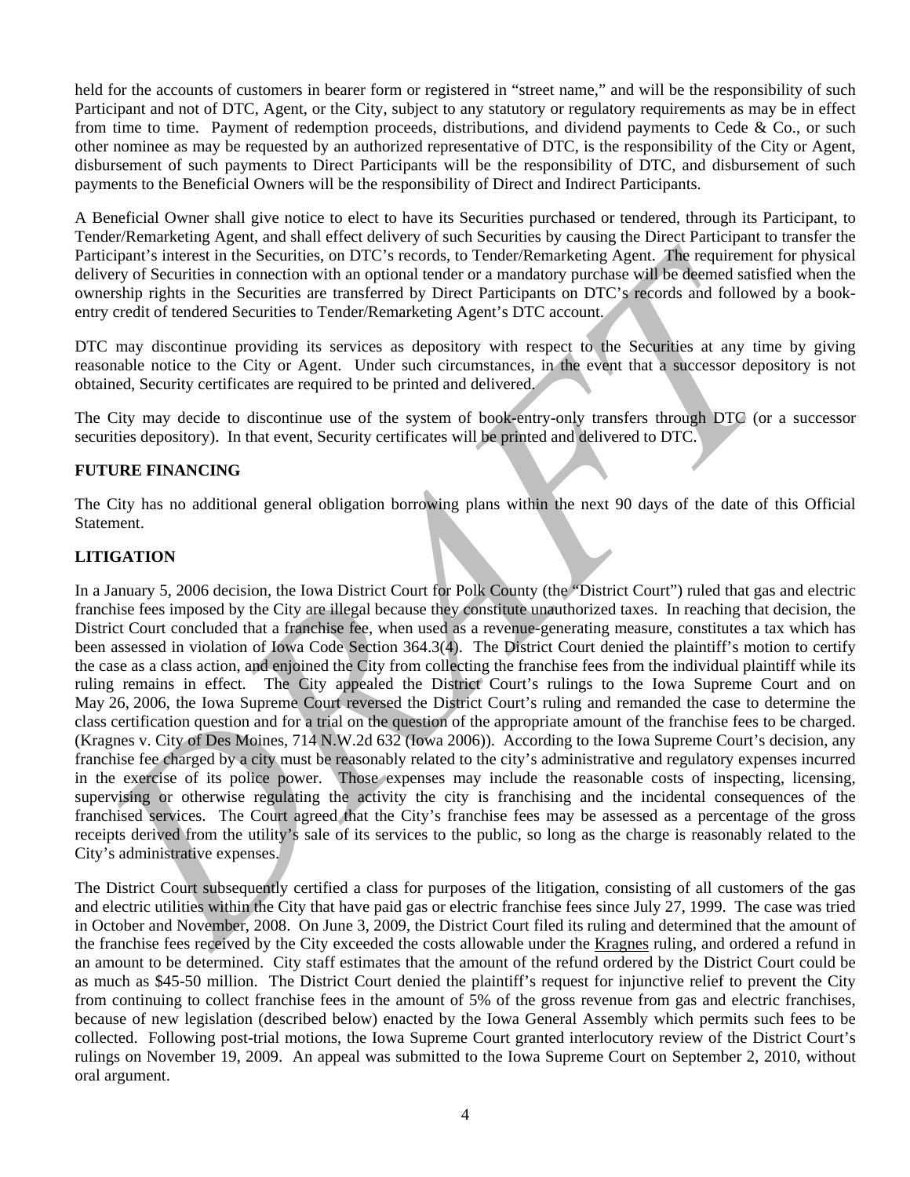held for the accounts of customers in bearer form or registered in "street name," and will be the responsibility of such Participant and not of DTC, Agent, or the City, subject to any statutory or regulatory requirements as may be in effect from time to time. Payment of redemption proceeds, distributions, and dividend payments to Cede & Co., or such other nominee as may be requested by an authorized representative of DTC, is the responsibility of the City or Agent, disbursement of such payments to Direct Participants will be the responsibility of DTC, and disbursement of such payments to the Beneficial Owners will be the responsibility of Direct and Indirect Participants.

A Beneficial Owner shall give notice to elect to have its Securities purchased or tendered, through its Participant, to Tender/Remarketing Agent, and shall effect delivery of such Securities by causing the Direct Participant to transfer the Participant's interest in the Securities, on DTC's records, to Tender/Remarketing Agent. The requirement for physical delivery of Securities in connection with an optional tender or a mandatory purchase will be deemed satisfied when the ownership rights in the Securities are transferred by Direct Participants on DTC's records and followed by a bookentry credit of tendered Securities to Tender/Remarketing Agent's DTC account.

DTC may discontinue providing its services as depository with respect to the Securities at any time by giving reasonable notice to the City or Agent. Under such circumstances, in the event that a successor depository is not obtained, Security certificates are required to be printed and delivered.

The City may decide to discontinue use of the system of book-entry-only transfers through DTC (or a successor securities depository). In that event, Security certificates will be printed and delivered to DTC.

# **FUTURE FINANCING**

The City has no additional general obligation borrowing plans within the next 90 days of the date of this Official Statement.

# **LITIGATION**

articipant is interest in the Securities, on DTC's records, to Tender/Remindeting Agent. The requirement for physical participant is the securities in connection with an optional tender or a mandatory purchase will be dige In a January 5, 2006 decision, the Iowa District Court for Polk County (the "District Court") ruled that gas and electric franchise fees imposed by the City are illegal because they constitute unauthorized taxes. In reaching that decision, the District Court concluded that a franchise fee, when used as a revenue-generating measure, constitutes a tax which has been assessed in violation of Iowa Code Section 364.3(4). The District Court denied the plaintiff's motion to certify the case as a class action, and enjoined the City from collecting the franchise fees from the individual plaintiff while its ruling remains in effect. The City appealed the District Court's rulings to the Iowa Supreme Court and on May 26, 2006, the Iowa Supreme Court reversed the District Court's ruling and remanded the case to determine the class certification question and for a trial on the question of the appropriate amount of the franchise fees to be charged. (Kragnes v. City of Des Moines, 714 N.W.2d 632 (Iowa 2006)). According to the Iowa Supreme Court's decision, any franchise fee charged by a city must be reasonably related to the city's administrative and regulatory expenses incurred in the exercise of its police power. Those expenses may include the reasonable costs of inspecting, licensing, supervising or otherwise regulating the activity the city is franchising and the incidental consequences of the franchised services. The Court agreed that the City's franchise fees may be assessed as a percentage of the gross receipts derived from the utility's sale of its services to the public, so long as the charge is reasonably related to the City's administrative expenses.

The District Court subsequently certified a class for purposes of the litigation, consisting of all customers of the gas and electric utilities within the City that have paid gas or electric franchise fees since July 27, 1999. The case was tried in October and November, 2008. On June 3, 2009, the District Court filed its ruling and determined that the amount of the franchise fees received by the City exceeded the costs allowable under the Kragnes ruling, and ordered a refund in an amount to be determined. City staff estimates that the amount of the refund ordered by the District Court could be as much as \$45-50 million. The District Court denied the plaintiff's request for injunctive relief to prevent the City from continuing to collect franchise fees in the amount of 5% of the gross revenue from gas and electric franchises, because of new legislation (described below) enacted by the Iowa General Assembly which permits such fees to be collected. Following post-trial motions, the Iowa Supreme Court granted interlocutory review of the District Court's rulings on November 19, 2009. An appeal was submitted to the Iowa Supreme Court on September 2, 2010, without oral argument.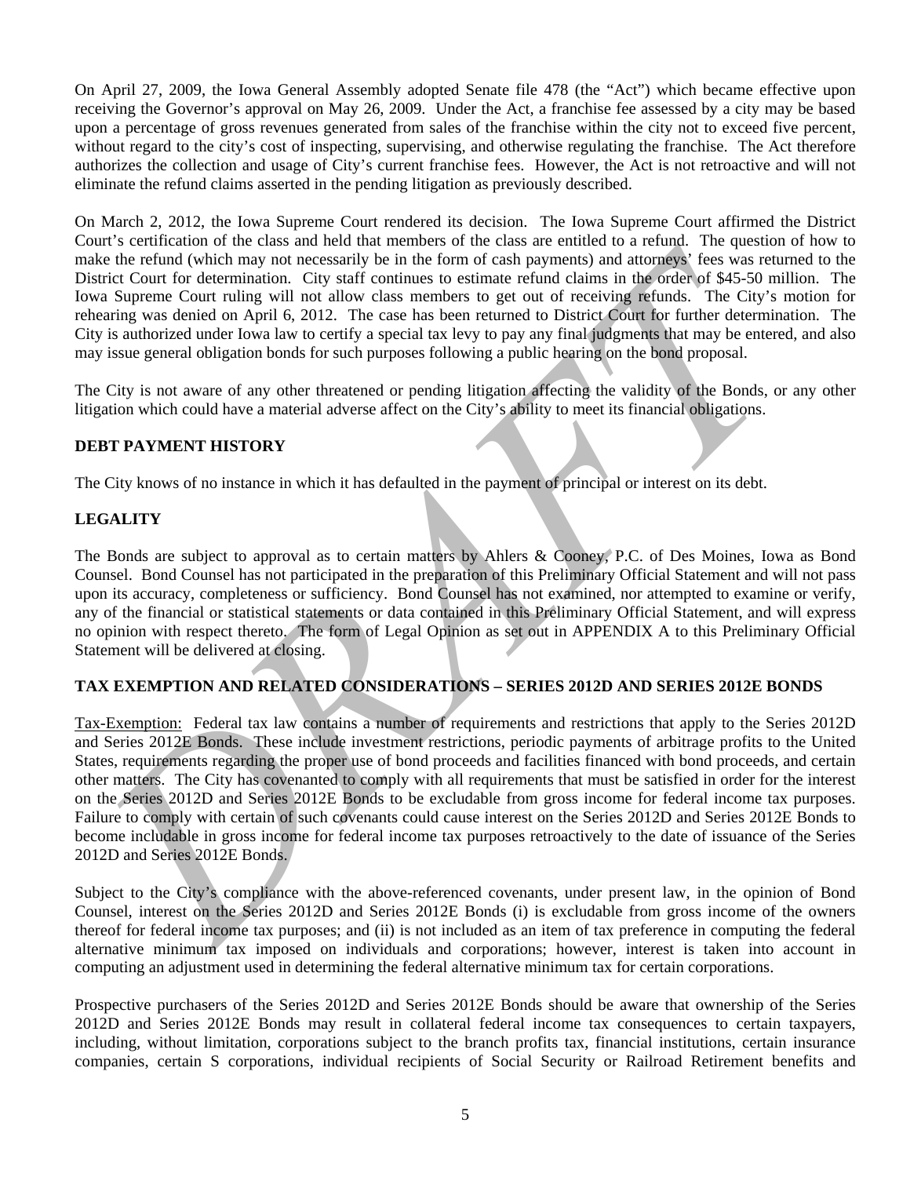On April 27, 2009, the Iowa General Assembly adopted Senate file 478 (the "Act") which became effective upon receiving the Governor's approval on May 26, 2009. Under the Act, a franchise fee assessed by a city may be based upon a percentage of gross revenues generated from sales of the franchise within the city not to exceed five percent, without regard to the city's cost of inspecting, supervising, and otherwise regulating the franchise. The Act therefore authorizes the collection and usage of City's current franchise fees. However, the Act is not retroactive and will not eliminate the refund claims asserted in the pending litigation as previously described.

On March 2, 2012, the Iowa Supreme Court rendered its decision. The Iowa Supreme Court affirmed the District Court's certification of the class and held that members of the class are entitled to a refund. The question of how to make the refund (which may not necessarily be in the form of cash payments) and attorneys' fees was returned to the District Court for determination. City staff continues to estimate refund claims in the order of \$45-50 million. The Iowa Supreme Court ruling will not allow class members to get out of receiving refunds. The City's motion for rehearing was denied on April 6, 2012. The case has been returned to District Court for further determination. The City is authorized under Iowa law to certify a special tax levy to pay any final judgments that may be entered, and also may issue general obligation bonds for such purposes following a public hearing on the bond proposal.

The City is not aware of any other threatened or pending litigation affecting the validity of the Bonds, or any other litigation which could have a material adverse affect on the City's ability to meet its financial obligations.

# **DEBT PAYMENT HISTORY**

The City knows of no instance in which it has defaulted in the payment of principal or interest on its debt.

# **LEGALITY**

The Bonds are subject to approval as to certain matters by Ahlers & Cooney, P.C. of Des Moines, Iowa as Bond Counsel. Bond Counsel has not participated in the preparation of this Preliminary Official Statement and will not pass upon its accuracy, completeness or sufficiency. Bond Counsel has not examined, nor attempted to examine or verify, any of the financial or statistical statements or data contained in this Preliminary Official Statement, and will express no opinion with respect thereto. The form of Legal Opinion as set out in APPENDIX A to this Preliminary Official Statement will be delivered at closing.

# **TAX EXEMPTION AND RELATED CONSIDERATIONS – SERIES 2012D AND SERIES 2012E BONDS**

anke the entrind (which may be necessarily by in the form of cast hay means a attention of the stationary and the entrindent form of the form of cast have the properties for system control in the station Coupling with one Tax-Exemption: Federal tax law contains a number of requirements and restrictions that apply to the Series 2012D and Series 2012E Bonds. These include investment restrictions, periodic payments of arbitrage profits to the United States, requirements regarding the proper use of bond proceeds and facilities financed with bond proceeds, and certain other matters. The City has covenanted to comply with all requirements that must be satisfied in order for the interest on the Series 2012D and Series 2012E Bonds to be excludable from gross income for federal income tax purposes. Failure to comply with certain of such covenants could cause interest on the Series 2012D and Series 2012E Bonds to become includable in gross income for federal income tax purposes retroactively to the date of issuance of the Series 2012D and Series 2012E Bonds.

Subject to the City's compliance with the above-referenced covenants, under present law, in the opinion of Bond Counsel, interest on the Series 2012D and Series 2012E Bonds (i) is excludable from gross income of the owners thereof for federal income tax purposes; and (ii) is not included as an item of tax preference in computing the federal alternative minimum tax imposed on individuals and corporations; however, interest is taken into account in computing an adjustment used in determining the federal alternative minimum tax for certain corporations.

Prospective purchasers of the Series 2012D and Series 2012E Bonds should be aware that ownership of the Series 2012D and Series 2012E Bonds may result in collateral federal income tax consequences to certain taxpayers, including, without limitation, corporations subject to the branch profits tax, financial institutions, certain insurance companies, certain S corporations, individual recipients of Social Security or Railroad Retirement benefits and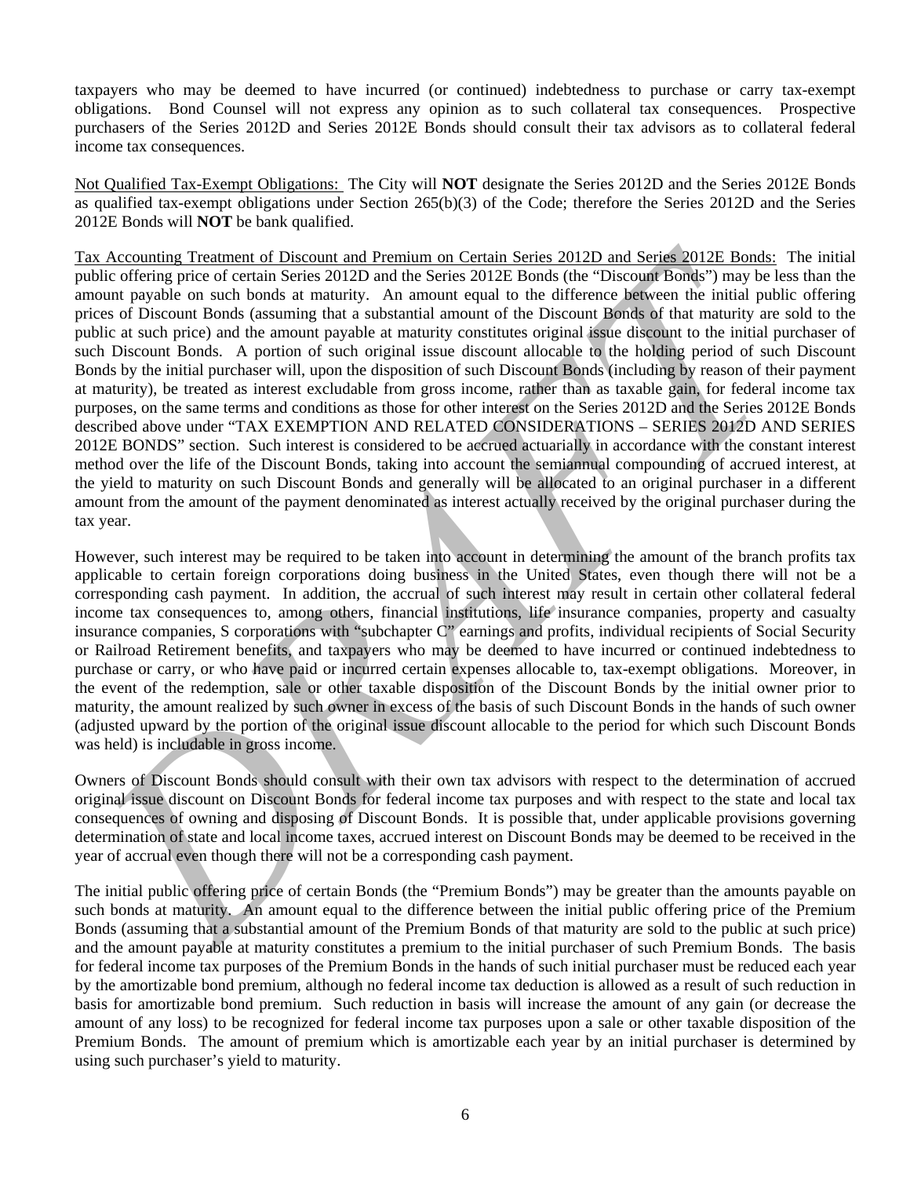taxpayers who may be deemed to have incurred (or continued) indebtedness to purchase or carry tax-exempt obligations. Bond Counsel will not express any opinion as to such collateral tax consequences. Prospective purchasers of the Series 2012D and Series 2012E Bonds should consult their tax advisors as to collateral federal income tax consequences.

Not Qualified Tax-Exempt Obligations: The City will **NOT** designate the Series 2012D and the Series 2012E Bonds as qualified tax-exempt obligations under Section 265(b)(3) of the Code; therefore the Series 2012D and the Series 2012E Bonds will **NOT** be bank qualified.

ax Accounting <u>Free of</u> certain Strissom and Permium on Certain Series 2012D and Series 2012D. The meass are also assumptioned to the Permium Bords are more proportions and the substitute of the permission of the permissio Tax Accounting Treatment of Discount and Premium on Certain Series 2012D and Series 2012E Bonds: The initial public offering price of certain Series 2012D and the Series 2012E Bonds (the "Discount Bonds") may be less than the amount payable on such bonds at maturity. An amount equal to the difference between the initial public offering prices of Discount Bonds (assuming that a substantial amount of the Discount Bonds of that maturity are sold to the public at such price) and the amount payable at maturity constitutes original issue discount to the initial purchaser of such Discount Bonds. A portion of such original issue discount allocable to the holding period of such Discount Bonds by the initial purchaser will, upon the disposition of such Discount Bonds (including by reason of their payment at maturity), be treated as interest excludable from gross income, rather than as taxable gain, for federal income tax purposes, on the same terms and conditions as those for other interest on the Series 2012D and the Series 2012E Bonds described above under "TAX EXEMPTION AND RELATED CONSIDERATIONS – SERIES 2012D AND SERIES 2012E BONDS" section. Such interest is considered to be accrued actuarially in accordance with the constant interest method over the life of the Discount Bonds, taking into account the semiannual compounding of accrued interest, at the yield to maturity on such Discount Bonds and generally will be allocated to an original purchaser in a different amount from the amount of the payment denominated as interest actually received by the original purchaser during the tax year.

However, such interest may be required to be taken into account in determining the amount of the branch profits tax applicable to certain foreign corporations doing business in the United States, even though there will not be a corresponding cash payment. In addition, the accrual of such interest may result in certain other collateral federal income tax consequences to, among others, financial institutions, life insurance companies, property and casualty insurance companies, S corporations with "subchapter C" earnings and profits, individual recipients of Social Security or Railroad Retirement benefits, and taxpayers who may be deemed to have incurred or continued indebtedness to purchase or carry, or who have paid or incurred certain expenses allocable to, tax-exempt obligations. Moreover, in the event of the redemption, sale or other taxable disposition of the Discount Bonds by the initial owner prior to maturity, the amount realized by such owner in excess of the basis of such Discount Bonds in the hands of such owner (adjusted upward by the portion of the original issue discount allocable to the period for which such Discount Bonds was held) is includable in gross income.

Owners of Discount Bonds should consult with their own tax advisors with respect to the determination of accrued original issue discount on Discount Bonds for federal income tax purposes and with respect to the state and local tax consequences of owning and disposing of Discount Bonds. It is possible that, under applicable provisions governing determination of state and local income taxes, accrued interest on Discount Bonds may be deemed to be received in the year of accrual even though there will not be a corresponding cash payment.

The initial public offering price of certain Bonds (the "Premium Bonds") may be greater than the amounts payable on such bonds at maturity. An amount equal to the difference between the initial public offering price of the Premium Bonds (assuming that a substantial amount of the Premium Bonds of that maturity are sold to the public at such price) and the amount payable at maturity constitutes a premium to the initial purchaser of such Premium Bonds. The basis for federal income tax purposes of the Premium Bonds in the hands of such initial purchaser must be reduced each year by the amortizable bond premium, although no federal income tax deduction is allowed as a result of such reduction in basis for amortizable bond premium. Such reduction in basis will increase the amount of any gain (or decrease the amount of any loss) to be recognized for federal income tax purposes upon a sale or other taxable disposition of the Premium Bonds. The amount of premium which is amortizable each year by an initial purchaser is determined by using such purchaser's yield to maturity.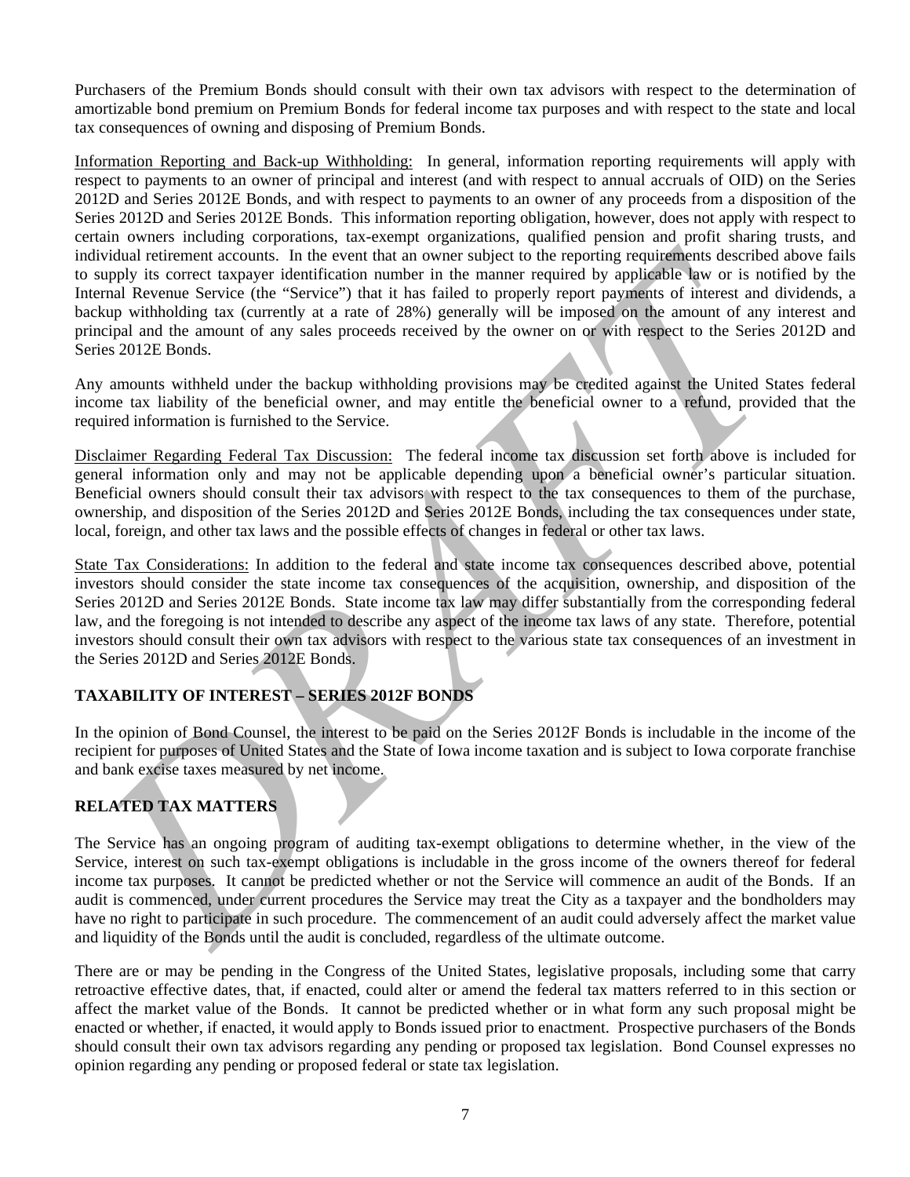Purchasers of the Premium Bonds should consult with their own tax advisors with respect to the determination of amortizable bond premium on Premium Bonds for federal income tax purposes and with respect to the state and local tax consequences of owning and disposing of Premium Bonds.

dividual attributed attent accounts. In the event that an owner subject to the reporting required then the same terminological attributed and the same supply its correct taxpayer identification number in the manner require Information Reporting and Back-up Withholding: In general, information reporting requirements will apply with respect to payments to an owner of principal and interest (and with respect to annual accruals of OID) on the Series 2012D and Series 2012E Bonds, and with respect to payments to an owner of any proceeds from a disposition of the Series 2012D and Series 2012E Bonds. This information reporting obligation, however, does not apply with respect to certain owners including corporations, tax-exempt organizations, qualified pension and profit sharing trusts, and individual retirement accounts. In the event that an owner subject to the reporting requirements described above fails to supply its correct taxpayer identification number in the manner required by applicable law or is notified by the Internal Revenue Service (the "Service") that it has failed to properly report payments of interest and dividends, a backup withholding tax (currently at a rate of 28%) generally will be imposed on the amount of any interest and principal and the amount of any sales proceeds received by the owner on or with respect to the Series 2012D and Series 2012E Bonds.

Any amounts withheld under the backup withholding provisions may be credited against the United States federal income tax liability of the beneficial owner, and may entitle the beneficial owner to a refund, provided that the required information is furnished to the Service.

Disclaimer Regarding Federal Tax Discussion: The federal income tax discussion set forth above is included for general information only and may not be applicable depending upon a beneficial owner's particular situation. Beneficial owners should consult their tax advisors with respect to the tax consequences to them of the purchase, ownership, and disposition of the Series 2012D and Series 2012E Bonds, including the tax consequences under state, local, foreign, and other tax laws and the possible effects of changes in federal or other tax laws.

State Tax Considerations: In addition to the federal and state income tax consequences described above, potential investors should consider the state income tax consequences of the acquisition, ownership, and disposition of the Series 2012D and Series 2012E Bonds. State income tax law may differ substantially from the corresponding federal law, and the foregoing is not intended to describe any aspect of the income tax laws of any state. Therefore, potential investors should consult their own tax advisors with respect to the various state tax consequences of an investment in the Series 2012D and Series 2012E Bonds.

# **TAXABILITY OF INTEREST – SERIES 2012F BONDS**

In the opinion of Bond Counsel, the interest to be paid on the Series 2012F Bonds is includable in the income of the recipient for purposes of United States and the State of Iowa income taxation and is subject to Iowa corporate franchise and bank excise taxes measured by net income.

# **RELATED TAX MATTERS**

The Service has an ongoing program of auditing tax-exempt obligations to determine whether, in the view of the Service, interest on such tax-exempt obligations is includable in the gross income of the owners thereof for federal income tax purposes. It cannot be predicted whether or not the Service will commence an audit of the Bonds. If an audit is commenced, under current procedures the Service may treat the City as a taxpayer and the bondholders may have no right to participate in such procedure. The commencement of an audit could adversely affect the market value and liquidity of the Bonds until the audit is concluded, regardless of the ultimate outcome.

There are or may be pending in the Congress of the United States, legislative proposals, including some that carry retroactive effective dates, that, if enacted, could alter or amend the federal tax matters referred to in this section or affect the market value of the Bonds. It cannot be predicted whether or in what form any such proposal might be enacted or whether, if enacted, it would apply to Bonds issued prior to enactment. Prospective purchasers of the Bonds should consult their own tax advisors regarding any pending or proposed tax legislation. Bond Counsel expresses no opinion regarding any pending or proposed federal or state tax legislation.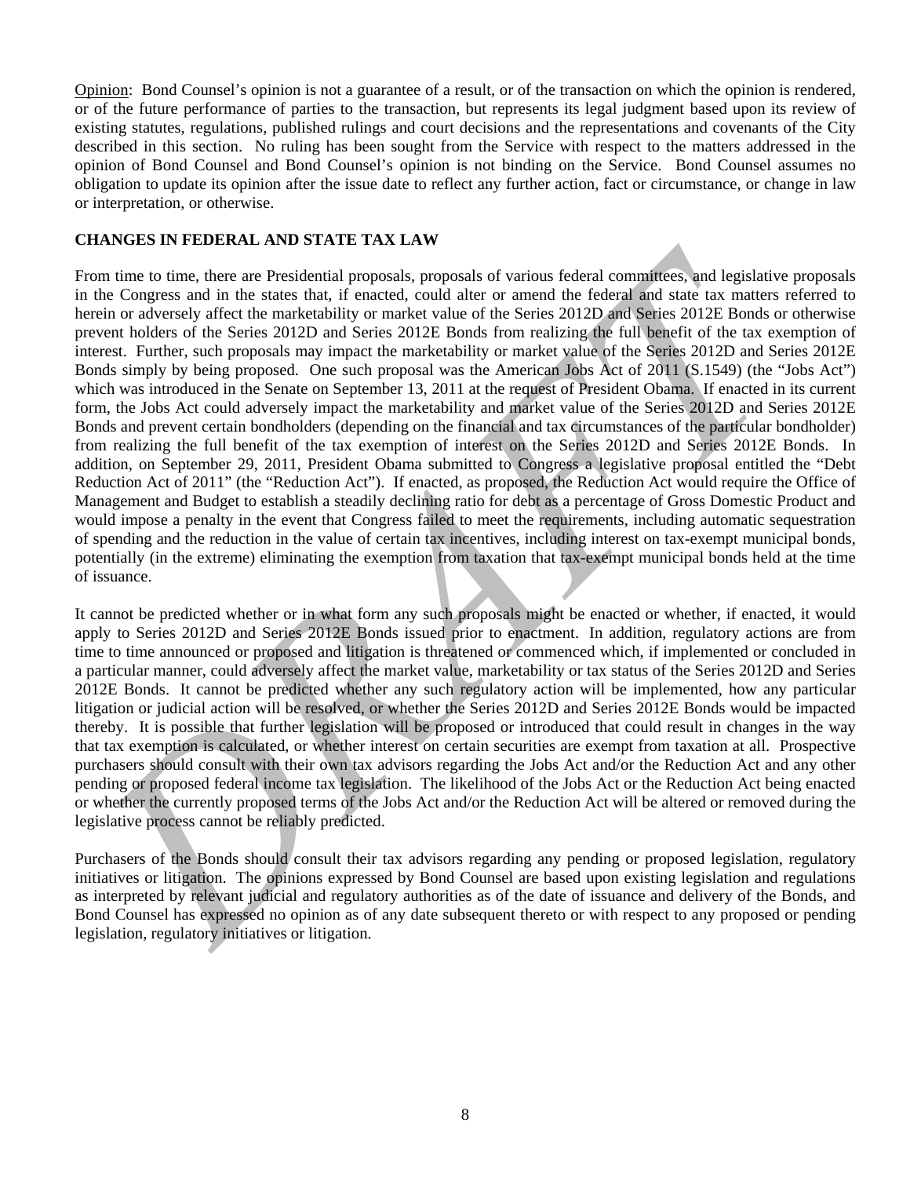Opinion: Bond Counsel's opinion is not a guarantee of a result, or of the transaction on which the opinion is rendered, or of the future performance of parties to the transaction, but represents its legal judgment based upon its review of existing statutes, regulations, published rulings and court decisions and the representations and covenants of the City described in this section. No ruling has been sought from the Service with respect to the matters addressed in the opinion of Bond Counsel and Bond Counsel's opinion is not binding on the Service. Bond Counsel assumes no obligation to update its opinion after the issue date to reflect any further action, fact or circumstance, or change in law or interpretation, or otherwise.

## **CHANGES IN FEDERAL AND STATE TAX LAW**

rom time to time, there are Presidential proposals, proposals of various federal committees, and legislative proposarion in the states that the compares on the focus of the Conservation of the Conservation of the Conservat From time to time, there are Presidential proposals, proposals of various federal committees, and legislative proposals in the Congress and in the states that, if enacted, could alter or amend the federal and state tax matters referred to herein or adversely affect the marketability or market value of the Series 2012D and Series 2012E Bonds or otherwise prevent holders of the Series 2012D and Series 2012E Bonds from realizing the full benefit of the tax exemption of interest. Further, such proposals may impact the marketability or market value of the Series 2012D and Series 2012E Bonds simply by being proposed. One such proposal was the American Jobs Act of 2011 (S.1549) (the "Jobs Act") which was introduced in the Senate on September 13, 2011 at the request of President Obama. If enacted in its current form, the Jobs Act could adversely impact the marketability and market value of the Series 2012D and Series 2012E Bonds and prevent certain bondholders (depending on the financial and tax circumstances of the particular bondholder) from realizing the full benefit of the tax exemption of interest on the Series 2012D and Series 2012E Bonds. In addition, on September 29, 2011, President Obama submitted to Congress a legislative proposal entitled the "Debt Reduction Act of 2011" (the "Reduction Act"). If enacted, as proposed, the Reduction Act would require the Office of Management and Budget to establish a steadily declining ratio for debt as a percentage of Gross Domestic Product and would impose a penalty in the event that Congress failed to meet the requirements, including automatic sequestration of spending and the reduction in the value of certain tax incentives, including interest on tax-exempt municipal bonds, potentially (in the extreme) eliminating the exemption from taxation that tax-exempt municipal bonds held at the time of issuance.

It cannot be predicted whether or in what form any such proposals might be enacted or whether, if enacted, it would apply to Series 2012D and Series 2012E Bonds issued prior to enactment. In addition, regulatory actions are from time to time announced or proposed and litigation is threatened or commenced which, if implemented or concluded in a particular manner, could adversely affect the market value, marketability or tax status of the Series 2012D and Series 2012E Bonds. It cannot be predicted whether any such regulatory action will be implemented, how any particular litigation or judicial action will be resolved, or whether the Series 2012D and Series 2012E Bonds would be impacted thereby. It is possible that further legislation will be proposed or introduced that could result in changes in the way that tax exemption is calculated, or whether interest on certain securities are exempt from taxation at all. Prospective purchasers should consult with their own tax advisors regarding the Jobs Act and/or the Reduction Act and any other pending or proposed federal income tax legislation. The likelihood of the Jobs Act or the Reduction Act being enacted or whether the currently proposed terms of the Jobs Act and/or the Reduction Act will be altered or removed during the legislative process cannot be reliably predicted.

Purchasers of the Bonds should consult their tax advisors regarding any pending or proposed legislation, regulatory initiatives or litigation. The opinions expressed by Bond Counsel are based upon existing legislation and regulations as interpreted by relevant judicial and regulatory authorities as of the date of issuance and delivery of the Bonds, and Bond Counsel has expressed no opinion as of any date subsequent thereto or with respect to any proposed or pending legislation, regulatory initiatives or litigation.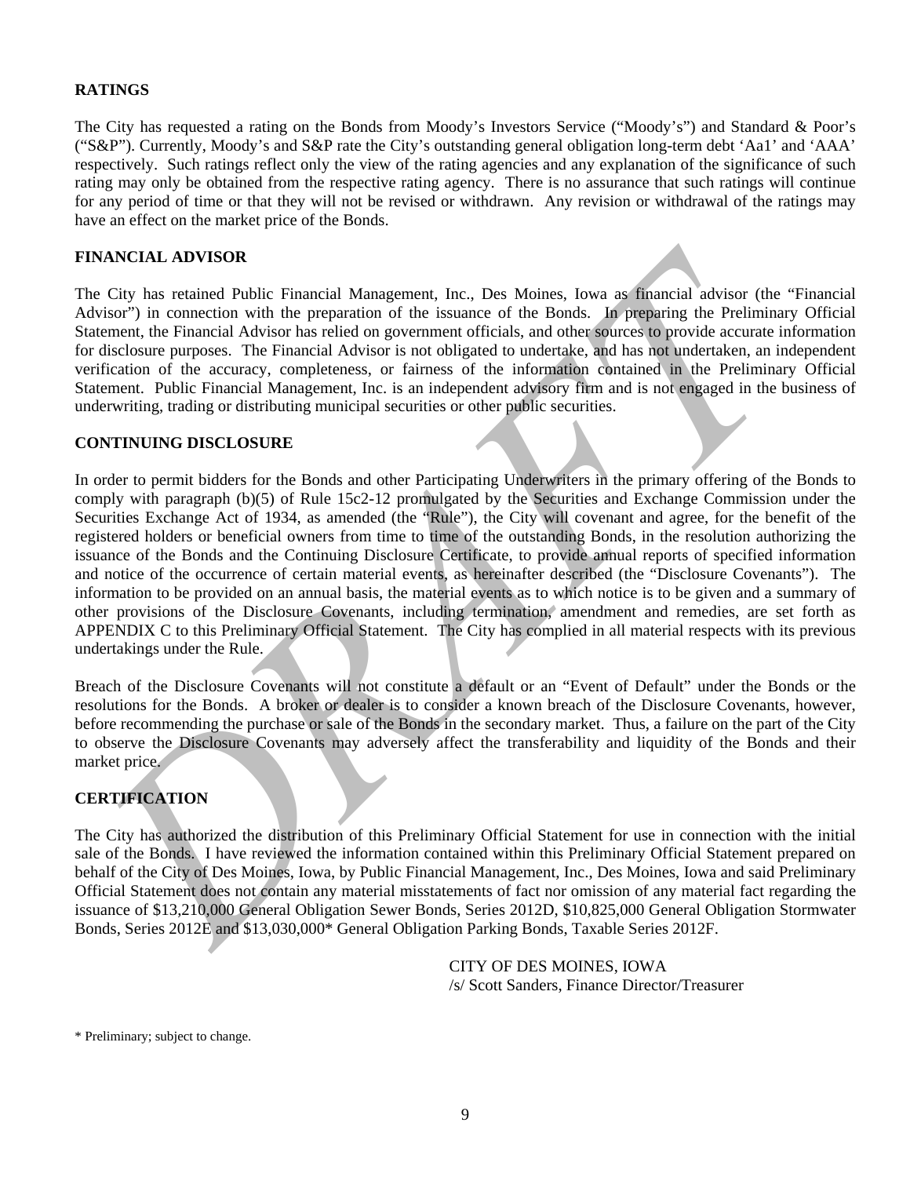# **RATINGS**

The City has requested a rating on the Bonds from Moody's Investors Service ("Moody's") and Standard & Poor's ("S&P"). Currently, Moody's and S&P rate the City's outstanding general obligation long-term debt 'Aa1' and 'AAA' respectively. Such ratings reflect only the view of the rating agencies and any explanation of the significance of such rating may only be obtained from the respective rating agency. There is no assurance that such ratings will continue for any period of time or that they will not be revised or withdrawn. Any revision or withdrawal of the ratings may have an effect on the market price of the Bonds.

# **FINANCIAL ADVISOR**

The City has retained Public Financial Management, Inc., Des Moines, Iowa as financial advisor (the "Financial Advisor") in connection with the preparation of the issuance of the Bonds. In preparing the Preliminary Official Statement, the Financial Advisor has relied on government officials, and other sources to provide accurate information for disclosure purposes. The Financial Advisor is not obligated to undertake, and has not undertaken, an independent verification of the accuracy, completeness, or fairness of the information contained in the Preliminary Official Statement. Public Financial Management, Inc. is an independent advisory firm and is not engaged in the business of underwriting, trading or distributing municipal securities or other public securities.

#### **CONTINUING DISCLOSURE**

**INANCIAL ADVISOR**<br>
INCRISITE: (IT) has reduned Public Financial Management, Inc., Des Moines, Iowa as fuancial advisor (the "Fina<br>
dictior") in connection with the preparation of the issuance of the Bonds. In preparing th In order to permit bidders for the Bonds and other Participating Underwriters in the primary offering of the Bonds to comply with paragraph (b)(5) of Rule 15c2-12 promulgated by the Securities and Exchange Commission under the Securities Exchange Act of 1934, as amended (the "Rule"), the City will covenant and agree, for the benefit of the registered holders or beneficial owners from time to time of the outstanding Bonds, in the resolution authorizing the issuance of the Bonds and the Continuing Disclosure Certificate, to provide annual reports of specified information and notice of the occurrence of certain material events, as hereinafter described (the "Disclosure Covenants"). The information to be provided on an annual basis, the material events as to which notice is to be given and a summary of other provisions of the Disclosure Covenants, including termination, amendment and remedies, are set forth as APPENDIX C to this Preliminary Official Statement. The City has complied in all material respects with its previous undertakings under the Rule.

Breach of the Disclosure Covenants will not constitute a default or an "Event of Default" under the Bonds or the resolutions for the Bonds. A broker or dealer is to consider a known breach of the Disclosure Covenants, however, before recommending the purchase or sale of the Bonds in the secondary market. Thus, a failure on the part of the City to observe the Disclosure Covenants may adversely affect the transferability and liquidity of the Bonds and their market price.

# **CERTIFICATION**

The City has authorized the distribution of this Preliminary Official Statement for use in connection with the initial sale of the Bonds. I have reviewed the information contained within this Preliminary Official Statement prepared on behalf of the City of Des Moines, Iowa, by Public Financial Management, Inc., Des Moines, Iowa and said Preliminary Official Statement does not contain any material misstatements of fact nor omission of any material fact regarding the issuance of \$13,210,000 General Obligation Sewer Bonds, Series 2012D, \$10,825,000 General Obligation Stormwater Bonds, Series 2012E and \$13,030,000\* General Obligation Parking Bonds, Taxable Series 2012F.

> CITY OF DES MOINES, IOWA /s/ Scott Sanders, Finance Director/Treasurer

\* Preliminary; subject to change.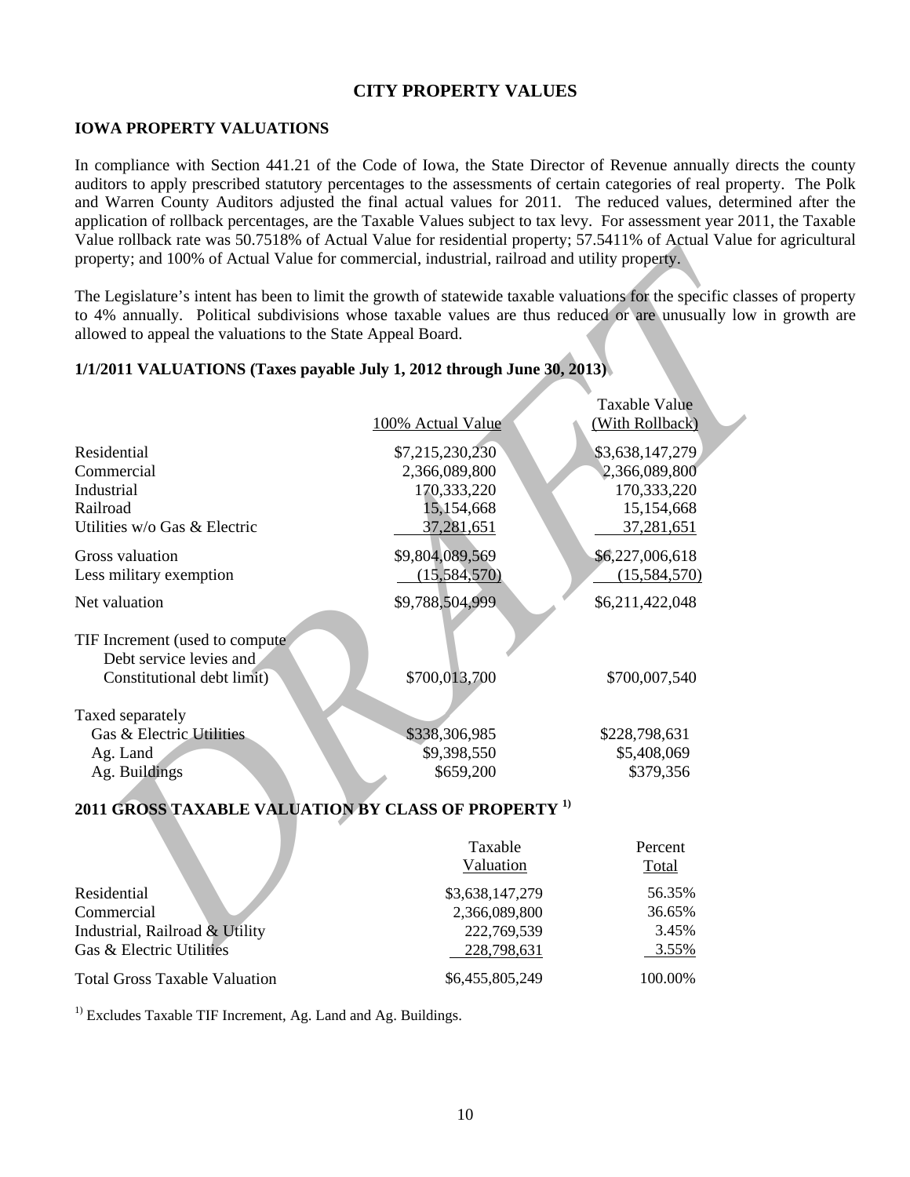# **CITY PROPERTY VALUES**

# **IOWA PROPERTY VALUATIONS**

In compliance with Section 441.21 of the Code of Iowa, the State Director of Revenue annually directs the county auditors to apply prescribed statutory percentages to the assessments of certain categories of real property. The Polk and Warren County Auditors adjusted the final actual values for 2011. The reduced values, determined after the application of rollback percentages, are the Taxable Values subject to tax levy. For assessment year 2011, the Taxable Value rollback rate was 50.7518% of Actual Value for residential property; 57.5411% of Actual Value for agricultural property; and 100% of Actual Value for commercial, industrial, railroad and utility property.

## **1/1/2011 VALUATIONS (Taxes payable July 1, 2012 through June 30, 2013)**

| property; and 100% of Actual Value for commercial, industrial, railroad and utility property. | 1.5                                                                         |                                                                                                                                                                                                                                       |
|-----------------------------------------------------------------------------------------------|-----------------------------------------------------------------------------|---------------------------------------------------------------------------------------------------------------------------------------------------------------------------------------------------------------------------------------|
| allowed to appeal the valuations to the State Appeal Board.                                   |                                                                             | The Legislature's intent has been to limit the growth of statewide taxable valuations for the specific classes of prop<br>to 4% annually. Political subdivisions whose taxable values are thus reduced or are unusually low in growth |
| 1/1/2011 VALUATIONS (Taxes payable July 1, 2012 through June 30, 2013).                       |                                                                             |                                                                                                                                                                                                                                       |
|                                                                                               | 100% Actual Value                                                           | <b>Taxable Value</b><br>(With Rollback)                                                                                                                                                                                               |
| Residential<br>Commercial<br>Industrial<br>Railroad<br>Utilities w/o Gas & Electric           | \$7,215,230,230<br>2,366,089,800<br>170,333,220<br>15,154,668<br>37,281,651 | \$3,638,147,279<br>2,366,089,800<br>170,333,220<br>15,154,668<br>37,281,651                                                                                                                                                           |
| Gross valuation<br>Less military exemption                                                    | \$9,804,089,569<br>(15, 584, 570)                                           | \$6,227,006,618<br>(15,584,570)                                                                                                                                                                                                       |
| Net valuation                                                                                 | \$9,788,504,999                                                             | \$6,211,422,048                                                                                                                                                                                                                       |
| TIF Increment (used to compute<br>Debt service levies and<br>Constitutional debt limit)       | \$700,013,700                                                               | \$700,007,540                                                                                                                                                                                                                         |
| Taxed separately<br>Gas & Electric Utilities<br>Ag. Land<br>Ag. Buildings                     | \$338,306,985<br>\$9,398,550<br>\$659,200                                   | \$228,798,631<br>\$5,408,069<br>\$379,356                                                                                                                                                                                             |
| 2011 GROSS TAXABLE VALUATION BY CLASS OF PROPERTY <sup>1)</sup>                               |                                                                             |                                                                                                                                                                                                                                       |
|                                                                                               | Taxable<br>Valuation                                                        | Percent<br>Total                                                                                                                                                                                                                      |
| Residential<br>Commercial<br>Industrial, Railroad & Utility<br>Gas & Electric Utilities       | \$3,638,147,279<br>2,366,089,800<br>222,769,539<br>228,798,631              | 56.35%<br>36.65%<br>3.45%<br>3.55%                                                                                                                                                                                                    |

# **2011 GROSS TAXABLE VALUATION BY CLASS OF PROPERTY 1)**

|                                      | Taxable<br>Valuation | Percent<br>Total |
|--------------------------------------|----------------------|------------------|
| Residential                          | \$3,638,147,279      | 56.35%           |
| Commercial                           | 2,366,089,800        | 36.65%           |
| Industrial, Railroad & Utility       | 222,769,539          | 3.45%            |
| Gas & Electric Utilities             | 228,798,631          | 3.55%            |
| <b>Total Gross Taxable Valuation</b> | \$6,455,805,249      | 100.00%          |

<sup>1)</sup> Excludes Taxable TIF Increment, Ag. Land and Ag. Buildings.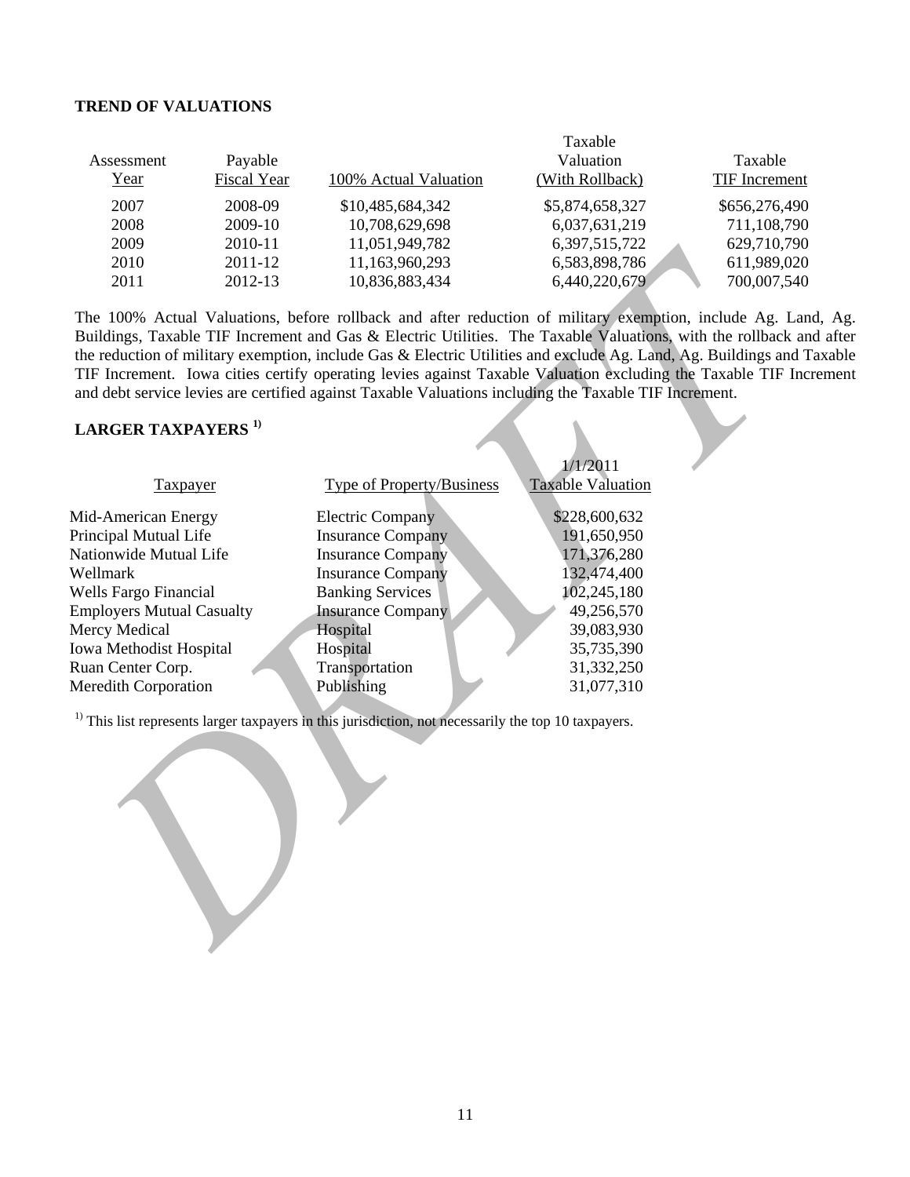#### **TREND OF VALUATIONS**

|            |                    |                       | Taxable         |               |
|------------|--------------------|-----------------------|-----------------|---------------|
| Assessment | Payable            |                       | Valuation       | Taxable       |
| Year       | <b>Fiscal Year</b> | 100% Actual Valuation | (With Rollback) | TIF Increment |
| 2007       | 2008-09            | \$10,485,684,342      | \$5,874,658,327 | \$656,276,490 |
| 2008       | 2009-10            | 10,708,629,698        | 6,037,631,219   | 711,108,790   |
| 2009       | 2010-11            | 11,051,949,782        | 6,397,515,722   | 629,710,790   |
| 2010       | $2011 - 12$        | 11,163,960,293        | 6,583,898,786   | 611,989,020   |
| 2011       | 2012-13            | 10,836,883,434        | 6,440,220,679   | 700,007,540   |

# **LARGER TAXPAYERS 1)**

| ZUU -                                        | 2010-11                   | 11,001,949,702                                                                                                                                                                                                                                                                                                                                                                                                                                                                                                                                                           | 0,391,313,122                | 029,710,790 |
|----------------------------------------------|---------------------------|--------------------------------------------------------------------------------------------------------------------------------------------------------------------------------------------------------------------------------------------------------------------------------------------------------------------------------------------------------------------------------------------------------------------------------------------------------------------------------------------------------------------------------------------------------------------------|------------------------------|-------------|
| 2010                                         | 11,163,960,293<br>2011-12 |                                                                                                                                                                                                                                                                                                                                                                                                                                                                                                                                                                          | 6,583,898,786                | 611,989,020 |
| 2011<br>2012-13                              |                           | 10,836,883,434                                                                                                                                                                                                                                                                                                                                                                                                                                                                                                                                                           | 6,440,220,679                | 700,007,540 |
|                                              |                           | The 100% Actual Valuations, before rollback and after reduction of military exemption, include Ag. Land,<br>Buildings, Taxable TIF Increment and Gas & Electric Utilities. The Taxable Valuations, with the rollback and<br>the reduction of military exemption, include Gas & Electric Utilities and exclude Ag. Land, Ag. Buildings and Tax<br>TIF Increment. Iowa cities certify operating levies against Taxable Valuation excluding the Taxable TIF Increa<br>and debt service levies are certified against Taxable Valuations including the Taxable TIF Increment. |                              |             |
|                                              |                           |                                                                                                                                                                                                                                                                                                                                                                                                                                                                                                                                                                          |                              |             |
| <b>LARGER TAXPAYERS</b> <sup>1)</sup>        |                           |                                                                                                                                                                                                                                                                                                                                                                                                                                                                                                                                                                          | 1/1/2011                     |             |
| <b>Taxpayer</b>                              |                           | <b>Type of Property/Business</b>                                                                                                                                                                                                                                                                                                                                                                                                                                                                                                                                         | <b>Taxable Valuation</b>     |             |
| Mid-American Energy<br>Principal Mutual Life |                           | <b>Electric Company</b><br><b>Insurance Company</b>                                                                                                                                                                                                                                                                                                                                                                                                                                                                                                                      | \$228,600,632<br>191,650,950 |             |
| Nationwide Mutual Life                       |                           | <b>Insurance Company</b>                                                                                                                                                                                                                                                                                                                                                                                                                                                                                                                                                 | 171,376,280                  |             |
| Wellmark                                     |                           | <b>Insurance Company</b>                                                                                                                                                                                                                                                                                                                                                                                                                                                                                                                                                 | 132,474,400                  |             |
| Wells Fargo Financial                        |                           | <b>Banking Services</b>                                                                                                                                                                                                                                                                                                                                                                                                                                                                                                                                                  | 102,245,180                  |             |
| <b>Employers Mutual Casualty</b>             |                           | <b>Insurance Company</b>                                                                                                                                                                                                                                                                                                                                                                                                                                                                                                                                                 | 49,256,570                   |             |
| Mercy Medical                                |                           | Hospital                                                                                                                                                                                                                                                                                                                                                                                                                                                                                                                                                                 | 39,083,930                   |             |
| Iowa Methodist Hospital                      |                           | Hospital                                                                                                                                                                                                                                                                                                                                                                                                                                                                                                                                                                 | 35,735,390                   |             |
| Ruan Center Corp.                            |                           | Transportation                                                                                                                                                                                                                                                                                                                                                                                                                                                                                                                                                           | 31,332,250                   |             |
| <b>Meredith Corporation</b>                  |                           | Publishing                                                                                                                                                                                                                                                                                                                                                                                                                                                                                                                                                               | 31,077,310                   |             |
|                                              |                           |                                                                                                                                                                                                                                                                                                                                                                                                                                                                                                                                                                          |                              |             |
|                                              |                           | $1$ This list represents larger taxpayers in this jurisdiction, not necessarily the top 10 taxpayers.                                                                                                                                                                                                                                                                                                                                                                                                                                                                    |                              |             |
|                                              |                           |                                                                                                                                                                                                                                                                                                                                                                                                                                                                                                                                                                          |                              |             |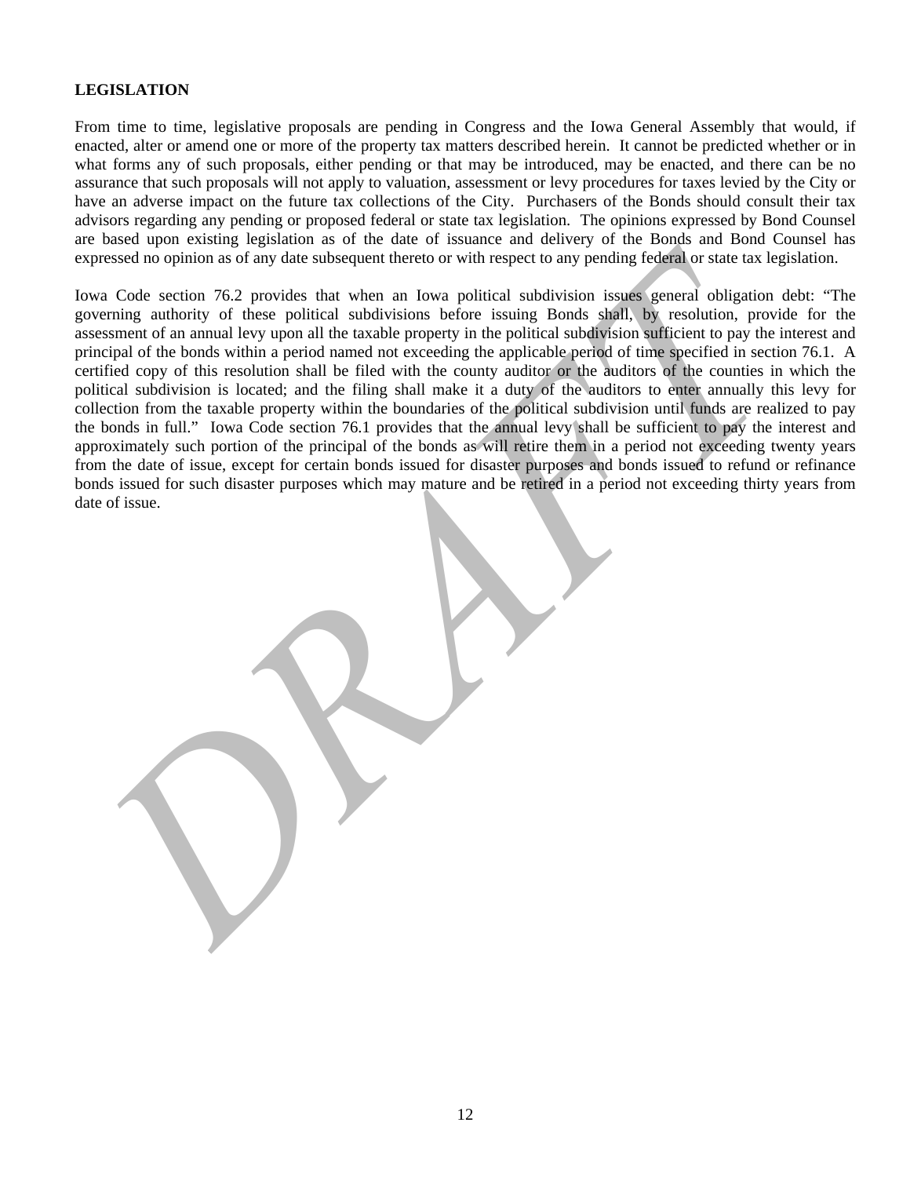# **LEGISLATION**

From time to time, legislative proposals are pending in Congress and the Iowa General Assembly that would, if enacted, alter or amend one or more of the property tax matters described herein. It cannot be predicted whether or in what forms any of such proposals, either pending or that may be introduced, may be enacted, and there can be no assurance that such proposals will not apply to valuation, assessment or levy procedures for taxes levied by the City or have an adverse impact on the future tax collections of the City. Purchasers of the Bonds should consult their tax advisors regarding any pending or proposed federal or state tax legislation. The opinions expressed by Bond Counsel are based upon existing legislation as of the date of issuance and delivery of the Bonds and Bond Counsel has expressed no opinion as of any date subsequent thereto or with respect to any pending federal or state tax legislation.

spressed no optimon as of any date subsequent thereto or with respect to any pending fedderal or state tax legislation correlation and the transitional subsequent thereto or with respect to any pending fedderal or state we Iowa Code section 76.2 provides that when an Iowa political subdivision issues general obligation debt: "The governing authority of these political subdivisions before issuing Bonds shall, by resolution, provide for the assessment of an annual levy upon all the taxable property in the political subdivision sufficient to pay the interest and principal of the bonds within a period named not exceeding the applicable period of time specified in section 76.1. A certified copy of this resolution shall be filed with the county auditor or the auditors of the counties in which the political subdivision is located; and the filing shall make it a duty of the auditors to enter annually this levy for collection from the taxable property within the boundaries of the political subdivision until funds are realized to pay the bonds in full." Iowa Code section 76.1 provides that the annual levy shall be sufficient to pay the interest and approximately such portion of the principal of the bonds as will retire them in a period not exceeding twenty years from the date of issue, except for certain bonds issued for disaster purposes and bonds issued to refund or refinance bonds issued for such disaster purposes which may mature and be retired in a period not exceeding thirty years from date of issue.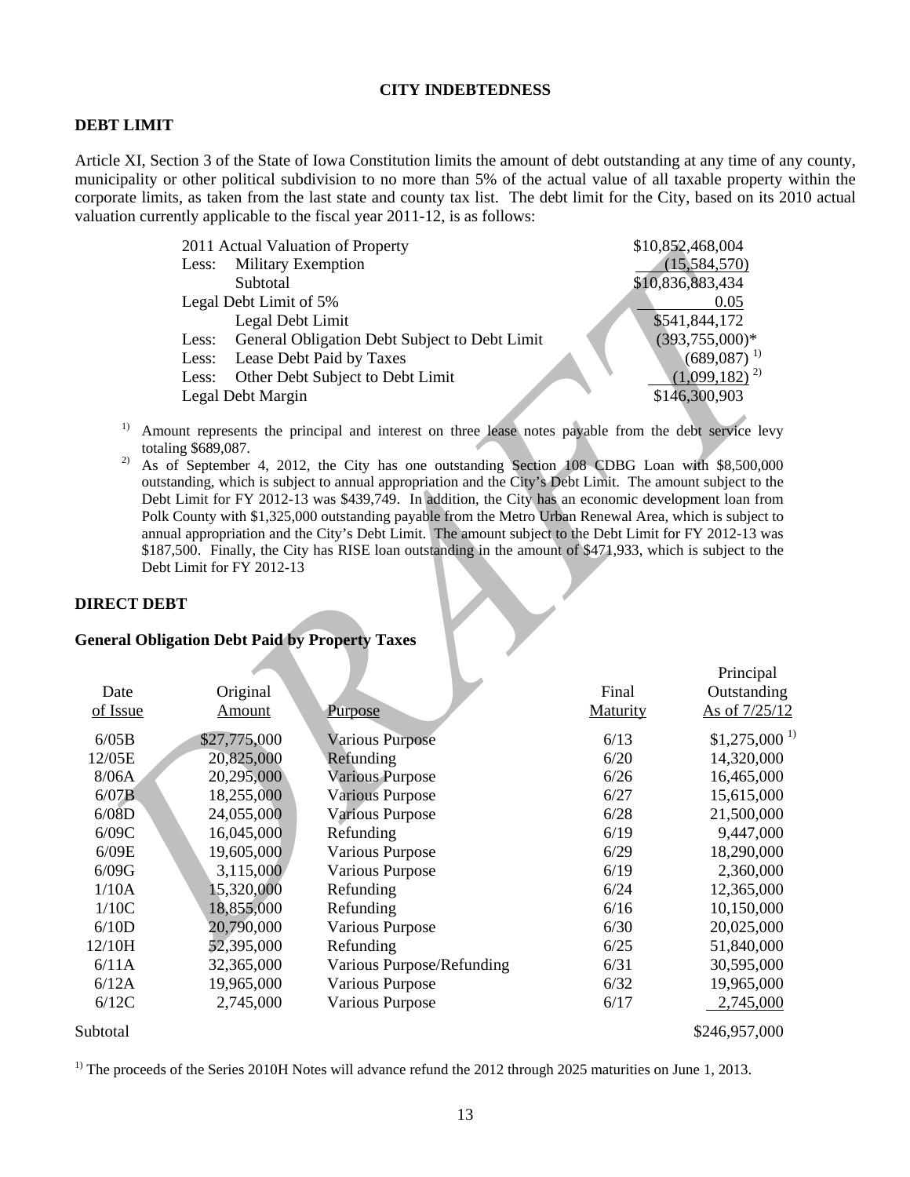#### **CITY INDEBTEDNESS**

#### **DEBT LIMIT**

Article XI, Section 3 of the State of Iowa Constitution limits the amount of debt outstanding at any time of any county, municipality or other political subdivision to no more than 5% of the actual value of all taxable property within the corporate limits, as taken from the last state and county tax list. The debt limit for the City, based on its 2010 actual valuation currently applicable to the fiscal year 2011-12, is as follows:

|       | 2011 Actual Valuation of Property             | \$10,852,468,004  |
|-------|-----------------------------------------------|-------------------|
|       | Less: Military Exemption                      | (15,584,570)      |
|       | Subtotal                                      | \$10,836,883,434  |
|       | Legal Debt Limit of 5%                        | 0.05              |
|       | Legal Debt Limit                              | \$541,844,172     |
| Less: | General Obligation Debt Subject to Debt Limit | $(393,755,000)*$  |
| Less: | Lease Debt Paid by Taxes                      | $(689,087)^{-1}$  |
| Less: | Other Debt Subject to Debt Limit              | $(1,099,182)^{2}$ |
|       | Legal Debt Margin                             | \$146,300,903     |
|       |                                               |                   |

- <sup>1)</sup> Amount represents the principal and interest on three lease notes payable from the debt service levy totaling \$689,087.
- <sup>2)</sup> As of September 4, 2012, the City has one outstanding Section 108 CDBG Loan with \$8,500,000 outstanding, which is subject to annual appropriation and the City's Debt Limit. The amount subject to the Debt Limit for FY 2012-13 was \$439,749. In addition, the City has an economic development loan from Polk County with \$1,325,000 outstanding payable from the Metro Urban Renewal Area, which is subject to annual appropriation and the City's Debt Limit. The amount subject to the Debt Limit for FY 2012-13 was \$187,500. Finally, the City has RISE loan outstanding in the amount of \$471,933, which is subject to the Debt Limit for FY 2012-13

#### **DIRECT DEBT**

# **General Obligation Debt Paid by Property Taxes**

|                                | 2011 Actual Valuation of Property<br>\$10,852,468,004  |                                                                                                                                                                                                                                                                                                                                                                                                                                                                                                                                                                                                                                                                                                                                                                |                           |                   |  |
|--------------------------------|--------------------------------------------------------|----------------------------------------------------------------------------------------------------------------------------------------------------------------------------------------------------------------------------------------------------------------------------------------------------------------------------------------------------------------------------------------------------------------------------------------------------------------------------------------------------------------------------------------------------------------------------------------------------------------------------------------------------------------------------------------------------------------------------------------------------------------|---------------------------|-------------------|--|
|                                | <b>Military Exemption</b><br>Less:                     |                                                                                                                                                                                                                                                                                                                                                                                                                                                                                                                                                                                                                                                                                                                                                                |                           | (15,584,570)      |  |
|                                | Subtotal                                               |                                                                                                                                                                                                                                                                                                                                                                                                                                                                                                                                                                                                                                                                                                                                                                |                           | \$10,836,883,434  |  |
|                                | Legal Debt Limit of 5%                                 |                                                                                                                                                                                                                                                                                                                                                                                                                                                                                                                                                                                                                                                                                                                                                                |                           | 0.05              |  |
|                                | Legal Debt Limit                                       |                                                                                                                                                                                                                                                                                                                                                                                                                                                                                                                                                                                                                                                                                                                                                                |                           | \$541,844,172     |  |
|                                | General Obligation Debt Subject to Debt Limit<br>Less: |                                                                                                                                                                                                                                                                                                                                                                                                                                                                                                                                                                                                                                                                                                                                                                | $(393,755,000)*$          |                   |  |
|                                | Lease Debt Paid by Taxes<br>Less:                      |                                                                                                                                                                                                                                                                                                                                                                                                                                                                                                                                                                                                                                                                                                                                                                | $(689,087)$ <sup>1)</sup> |                   |  |
|                                | Less:                                                  | Other Debt Subject to Debt Limit                                                                                                                                                                                                                                                                                                                                                                                                                                                                                                                                                                                                                                                                                                                               |                           | $(1,099,182)^{2}$ |  |
|                                | Legal Debt Margin                                      |                                                                                                                                                                                                                                                                                                                                                                                                                                                                                                                                                                                                                                                                                                                                                                |                           | \$146,300,903     |  |
| 1)<br>2)<br><b>DIRECT DEBT</b> | totaling \$689,087.<br>Debt Limit for FY 2012-13       | Amount represents the principal and interest on three lease notes payable from the debt service levy<br>As of September 4, 2012, the City has one outstanding Section 108 CDBG Loan with \$8,500,000<br>outstanding, which is subject to annual appropriation and the City's Debt Limit. The amount subject to the<br>Debt Limit for FY 2012-13 was \$439,749. In addition, the City has an economic development loan from<br>Polk County with \$1,325,000 outstanding payable from the Metro Urban Renewal Area, which is subject to<br>annual appropriation and the City's Debt Limit. The amount subject to the Debt Limit for FY 2012-13 was<br>\$187,500. Finally, the City has RISE loan outstanding in the amount of \$471,933, which is subject to the |                           |                   |  |
|                                | <b>General Obligation Debt Paid by Property Taxes</b>  |                                                                                                                                                                                                                                                                                                                                                                                                                                                                                                                                                                                                                                                                                                                                                                |                           |                   |  |
|                                |                                                        |                                                                                                                                                                                                                                                                                                                                                                                                                                                                                                                                                                                                                                                                                                                                                                |                           |                   |  |
|                                |                                                        |                                                                                                                                                                                                                                                                                                                                                                                                                                                                                                                                                                                                                                                                                                                                                                |                           | Principal         |  |
| Date                           | Original                                               |                                                                                                                                                                                                                                                                                                                                                                                                                                                                                                                                                                                                                                                                                                                                                                | Final                     | Outstanding       |  |
| of Issue                       | <b>Amount</b>                                          | Purpose                                                                                                                                                                                                                                                                                                                                                                                                                                                                                                                                                                                                                                                                                                                                                        | Maturity                  | As of 7/25/12     |  |
| 6/05B                          | \$27,775,000                                           | <b>Various Purpose</b>                                                                                                                                                                                                                                                                                                                                                                                                                                                                                                                                                                                                                                                                                                                                         | 6/13                      | $$1,275,000^{1}$  |  |
| 12/05E                         | 20,825,000                                             | Refunding                                                                                                                                                                                                                                                                                                                                                                                                                                                                                                                                                                                                                                                                                                                                                      | 6/20                      | 14,320,000        |  |
| 8/06A                          | 20,295,000                                             | <b>Various Purpose</b>                                                                                                                                                                                                                                                                                                                                                                                                                                                                                                                                                                                                                                                                                                                                         | 6/26                      | 16,465,000        |  |
| 6/07B                          | 18,255,000                                             | <b>Various Purpose</b>                                                                                                                                                                                                                                                                                                                                                                                                                                                                                                                                                                                                                                                                                                                                         | 6/27                      | 15,615,000        |  |
| 6/08D                          | 24,055,000                                             | <b>Various Purpose</b>                                                                                                                                                                                                                                                                                                                                                                                                                                                                                                                                                                                                                                                                                                                                         | 6/28                      | 21,500,000        |  |
| $6/09C$                        | 16,045,000                                             | Refunding                                                                                                                                                                                                                                                                                                                                                                                                                                                                                                                                                                                                                                                                                                                                                      | 6/19                      | 9,447,000         |  |
| 6/09E                          | 19,605,000                                             | Various Purpose                                                                                                                                                                                                                                                                                                                                                                                                                                                                                                                                                                                                                                                                                                                                                | 6/29                      | 18,290,000        |  |
| 6/09G                          | 3,115,000                                              | <b>Various Purpose</b>                                                                                                                                                                                                                                                                                                                                                                                                                                                                                                                                                                                                                                                                                                                                         | 6/19                      | 2,360,000         |  |
| 1/10A                          | 15,320,000                                             | Refunding                                                                                                                                                                                                                                                                                                                                                                                                                                                                                                                                                                                                                                                                                                                                                      | 6/24                      | 12,365,000        |  |
| 1/10C                          | 18,855,000                                             | Refunding                                                                                                                                                                                                                                                                                                                                                                                                                                                                                                                                                                                                                                                                                                                                                      | 6/16                      | 10,150,000        |  |
| 6/10D                          | 20,790,000                                             | Various Purpose                                                                                                                                                                                                                                                                                                                                                                                                                                                                                                                                                                                                                                                                                                                                                | 6/30                      | 20,025,000        |  |
| 12/10H                         | 52,395,000                                             | Refunding                                                                                                                                                                                                                                                                                                                                                                                                                                                                                                                                                                                                                                                                                                                                                      | 6/25                      | 51,840,000        |  |
| 6/11A                          | 32,365,000                                             | Various Purpose/Refunding                                                                                                                                                                                                                                                                                                                                                                                                                                                                                                                                                                                                                                                                                                                                      | 6/31                      | 30,595,000        |  |
| 6/12A                          | 19,965,000                                             | Various Purpose                                                                                                                                                                                                                                                                                                                                                                                                                                                                                                                                                                                                                                                                                                                                                | 6/32                      | 19,965,000        |  |
| 6/12C                          | 2,745,000                                              | <b>Various Purpose</b>                                                                                                                                                                                                                                                                                                                                                                                                                                                                                                                                                                                                                                                                                                                                         | 6/17                      | 2,745,000         |  |
| Subtotal                       |                                                        |                                                                                                                                                                                                                                                                                                                                                                                                                                                                                                                                                                                                                                                                                                                                                                |                           | \$246,957,000     |  |

<sup>1)</sup> The proceeds of the Series 2010H Notes will advance refund the 2012 through 2025 maturities on June 1, 2013.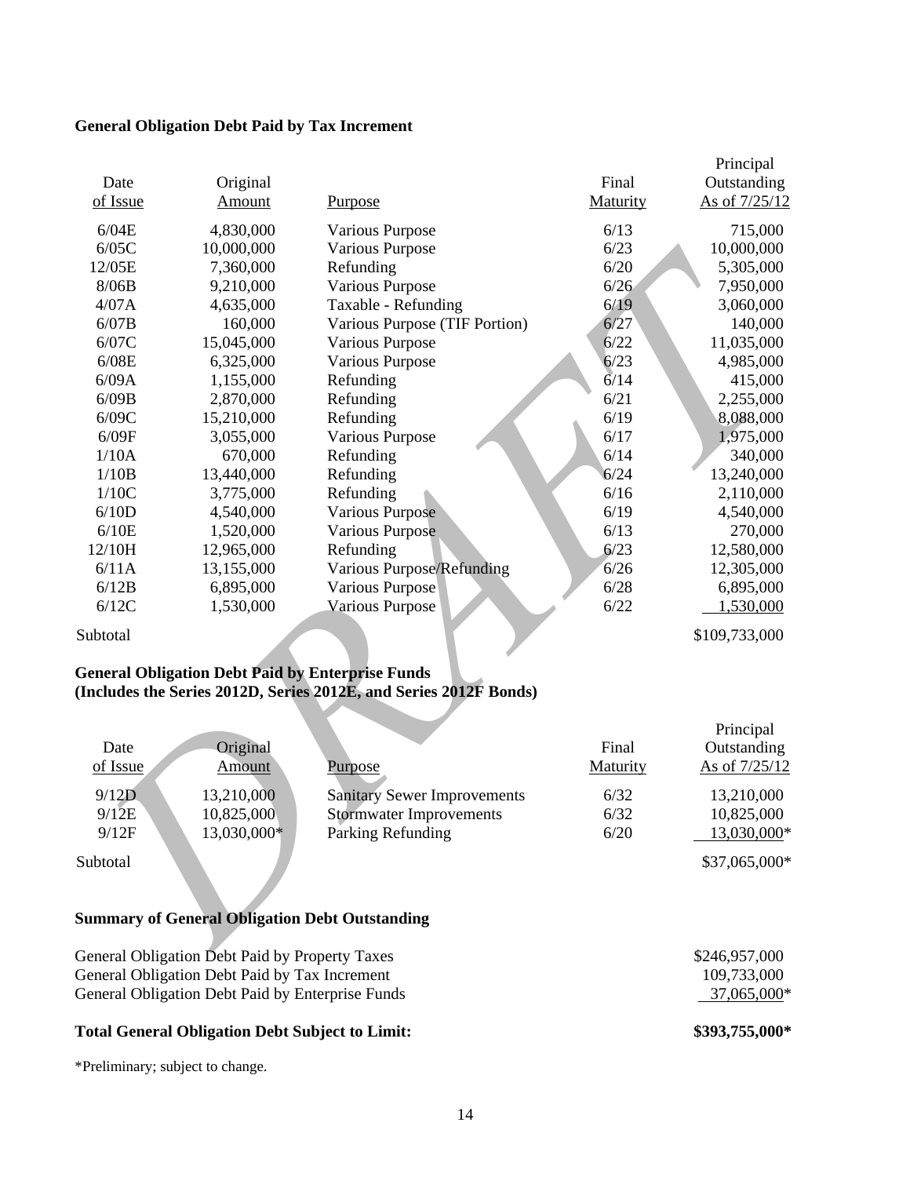# **General Obligation Debt Paid by Tax Increment**

|          |                                                       |                                                                   |                 | Principal     |
|----------|-------------------------------------------------------|-------------------------------------------------------------------|-----------------|---------------|
| Date     | Original                                              |                                                                   | Final           | Outstanding   |
| of Issue | <b>Amount</b>                                         | <b>Purpose</b>                                                    | Maturity        | As of 7/25/12 |
| 6/04E    | 4,830,000                                             | Various Purpose                                                   | 6/13            | 715,000       |
| 6/05C    | 10,000,000                                            | Various Purpose                                                   | 6/23            | 10,000,000    |
| 12/05E   | 7,360,000                                             | Refunding                                                         | 6/20            | 5,305,000     |
| 8/06B    | 9,210,000                                             | Various Purpose                                                   | 6/26            | 7,950,000     |
| 4/07A    | 4,635,000                                             | Taxable - Refunding                                               | 6/19            | 3,060,000     |
| 6/07B    | 160,000                                               | Various Purpose (TIF Portion)                                     | 6/27            | 140,000       |
| 6/07C    | 15,045,000                                            | Various Purpose                                                   | 6/22            | 11,035,000    |
| 6/08E    | 6,325,000                                             | Various Purpose                                                   | 6/23            | 4,985,000     |
| 6/09A    | 1,155,000                                             | Refunding                                                         | 6/14            | 415,000       |
| 6/09B    | 2,870,000                                             | Refunding                                                         | 6/21            | 2,255,000     |
| 6/09C    | 15,210,000                                            | Refunding                                                         | 6/19            | 8,088,000     |
| 6/09F    | 3,055,000                                             | Various Purpose                                                   | 6/17            | 1,975,000     |
| 1/10A    | 670,000                                               | Refunding                                                         | 6/14            | 340,000       |
| 1/10B    | 13,440,000                                            | Refunding                                                         | 6/24            | 13,240,000    |
| 1/10C    | 3,775,000                                             | Refunding                                                         | 6/16            | 2,110,000     |
| 6/10D    | 4,540,000                                             | <b>Various Purpose</b>                                            | 6/19            | 4,540,000     |
| 6/10E    | 1,520,000                                             | Various Purpose                                                   | 6/13            | 270,000       |
| 12/10H   | 12,965,000                                            | Refunding                                                         | 6/23            | 12,580,000    |
| 6/11A    | 13,155,000                                            | <b>Various Purpose/Refunding</b>                                  | 6/26            | 12,305,000    |
| 6/12B    | 6,895,000                                             | Various Purpose                                                   | 6/28            | 6,895,000     |
| 6/12C    | 1,530,000                                             | <b>Various Purpose</b>                                            | 6/22            | 1,530,000     |
| Subtotal |                                                       |                                                                   |                 | \$109,733,000 |
|          |                                                       | <b>General Obligation Debt Paid by Enterprise Funds</b>           |                 |               |
|          |                                                       | (Includes the Series 2012D, Series 2012E, and Series 2012F Bonds) |                 |               |
|          |                                                       |                                                                   |                 | Principal     |
| Date     | Original                                              |                                                                   | Final           | Outstanding   |
| of Issue | Amount                                                | <b>Purpose</b>                                                    | <b>Maturity</b> | As of 7/25/12 |
|          |                                                       |                                                                   |                 |               |
| 9/12D    | 13,210,000                                            | <b>Sanitary Sewer Improvements</b>                                | 6/32            | 13,210,000    |
| 9/12E    | 10,825,000                                            | <b>Stormwater Improvements</b>                                    | 6/32            | 10,825,000    |
| 9/12F    | 13,030,000*                                           | Parking Refunding                                                 | 6/20            | 13,030,000*   |
| Subtotal |                                                       |                                                                   |                 | \$37,065,000* |
|          |                                                       |                                                                   |                 |               |
|          | <b>Summary of General Obligation Debt Outstanding</b> |                                                                   |                 |               |
|          | General Obligation Debt Paid by Property Taxes        |                                                                   |                 | \$246957000   |

# **General Obligation Debt Paid by Enterprise Funds (Includes the Series 2012D, Series 2012E, and Series 2012F Bonds)**

| Date<br>of Issue | Original<br>Amount | Purpose                            | Final<br>Maturity | Principal<br>Outstanding<br>As of 7/25/12 |
|------------------|--------------------|------------------------------------|-------------------|-------------------------------------------|
| 9/12D            | 13,210,000         | <b>Sanitary Sewer Improvements</b> | 6/32              | 13,210,000                                |
| 9/12E            | 10,825,000         | <b>Stormwater Improvements</b>     | 6/32              | 10,825,000                                |
| 9/12F            | 13,030,000*        | Parking Refunding                  | 6/20              | 13,030,000*                               |
| Subtotal         |                    |                                    |                   | \$37,065,000*                             |

# **Summary of General Obligation Debt Outstanding**

| <b>Total General Obligation Debt Subject to Limit:</b> | \$393,755,000* |
|--------------------------------------------------------|----------------|
| General Obligation Debt Paid by Enterprise Funds       | 37,065,000*    |
| General Obligation Debt Paid by Tax Increment          | 109.733.000    |
| General Obligation Debt Paid by Property Taxes         | \$246,957,000  |

\*Preliminary; subject to change.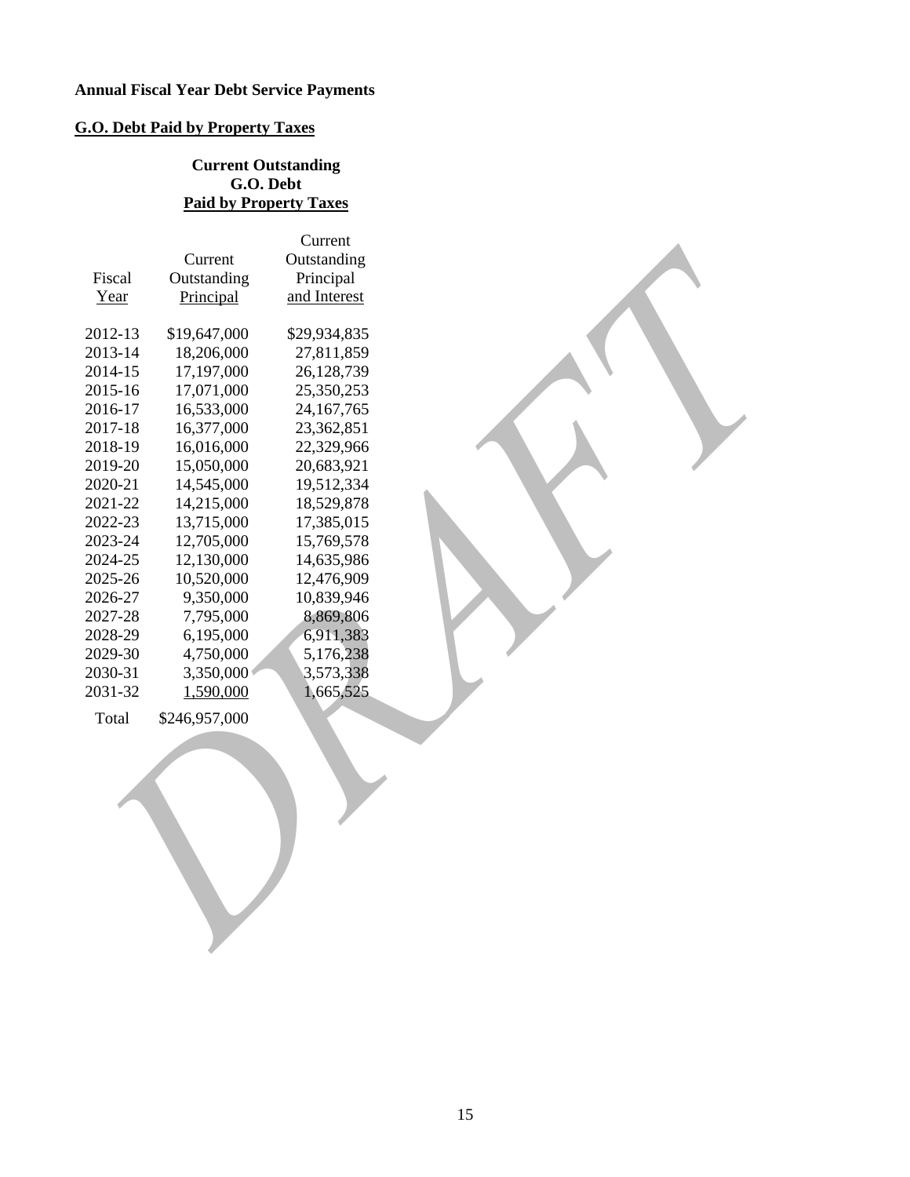# **G.O. Debt Paid by Property Taxes**

# **Current Outstanding G.O. Debt Paid by Property Taxes**

|         |               | Current      |  |
|---------|---------------|--------------|--|
|         | Current       | Outstanding  |  |
| Fiscal  | Outstanding   | Principal    |  |
| Year    | Principal     | and Interest |  |
|         |               |              |  |
| 2012-13 | \$19,647,000  | \$29,934,835 |  |
| 2013-14 | 18,206,000    | 27,811,859   |  |
| 2014-15 | 17,197,000    | 26,128,739   |  |
| 2015-16 | 17,071,000    | 25,350,253   |  |
| 2016-17 | 16,533,000    | 24, 167, 765 |  |
| 2017-18 | 16,377,000    | 23,362,851   |  |
| 2018-19 | 16,016,000    | 22,329,966   |  |
| 2019-20 | 15,050,000    | 20,683,921   |  |
| 2020-21 | 14,545,000    | 19,512,334   |  |
| 2021-22 | 14,215,000    | 18,529,878   |  |
| 2022-23 | 13,715,000    | 17,385,015   |  |
| 2023-24 | 12,705,000    | 15,769,578   |  |
| 2024-25 | 12,130,000    | 14,635,986   |  |
| 2025-26 | 10,520,000    | 12,476,909   |  |
| 2026-27 | 9,350,000     | 10,839,946   |  |
| 2027-28 | 7,795,000     | 8,869,806    |  |
| 2028-29 | 6,195,000     | 6,911,383    |  |
| 2029-30 | 4,750,000     | 5,176,238    |  |
| 2030-31 | 3,350,000     | 3,573,338    |  |
| 2031-32 | 1,590,000     | 1,665,525    |  |
| Total   | \$246,957,000 |              |  |
|         |               |              |  |
|         |               |              |  |
|         |               |              |  |
|         |               |              |  |
|         |               |              |  |
|         |               |              |  |
|         |               |              |  |
|         |               |              |  |
|         |               |              |  |
|         |               |              |  |
|         |               |              |  |
|         |               |              |  |
|         |               |              |  |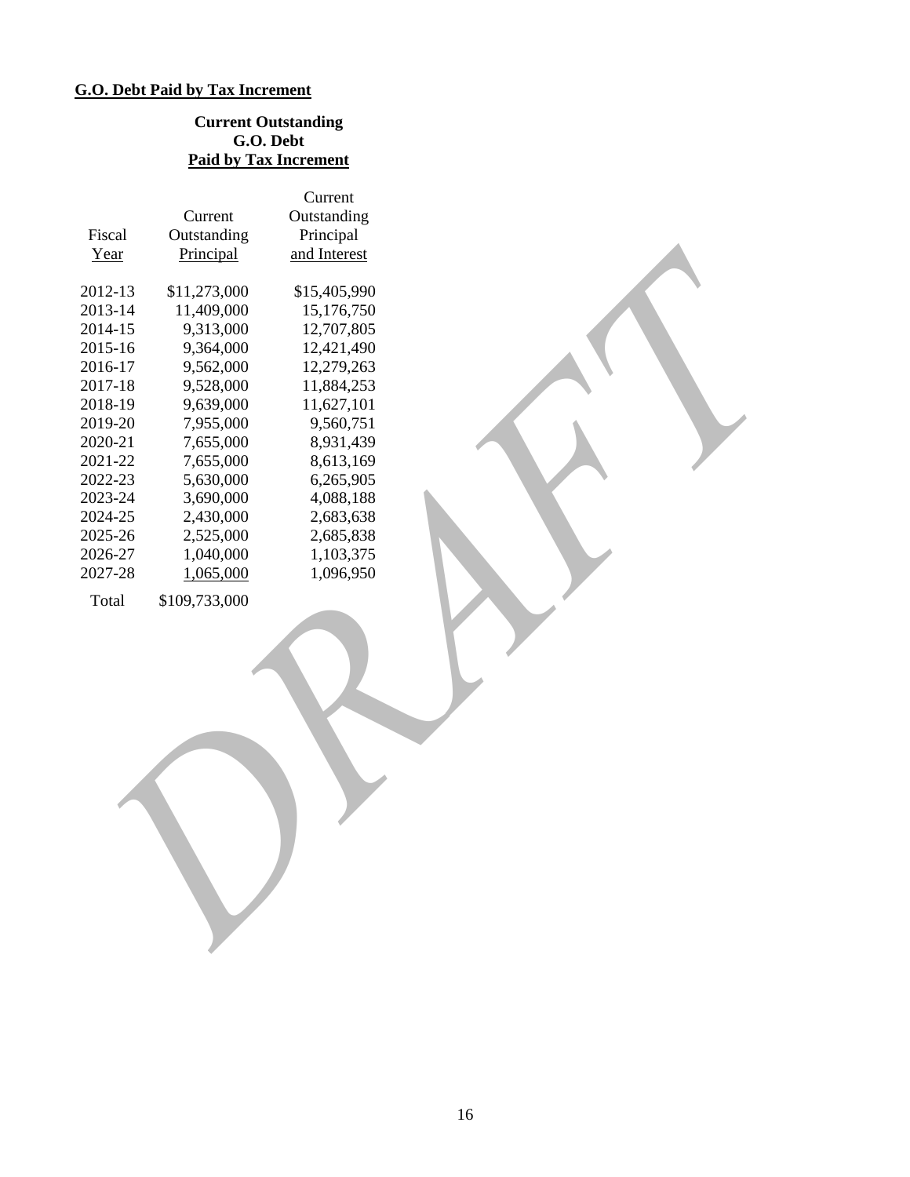# **G.O. Debt Paid by Tax Increment**

# **Current Outstanding G.O. Debt Paid by Tax Increment**

|         |               | Current      |  |
|---------|---------------|--------------|--|
|         | Current       | Outstanding  |  |
| Fiscal  | Outstanding   | Principal    |  |
| Year    | Principal     | and Interest |  |
|         |               |              |  |
| 2012-13 | \$11,273,000  | \$15,405,990 |  |
| 2013-14 | 11,409,000    | 15,176,750   |  |
| 2014-15 | 9,313,000     | 12,707,805   |  |
| 2015-16 | 9,364,000     | 12,421,490   |  |
| 2016-17 | 9,562,000     | 12,279,263   |  |
| 2017-18 | 9,528,000     | 11,884,253   |  |
| 2018-19 | 9,639,000     | 11,627,101   |  |
| 2019-20 | 7,955,000     | 9,560,751    |  |
| 2020-21 | 7,655,000     | 8,931,439    |  |
| 2021-22 | 7,655,000     | 8,613,169    |  |
| 2022-23 | 5,630,000     | 6,265,905    |  |
| 2023-24 | 3,690,000     | 4,088,188    |  |
| 2024-25 | 2,430,000     | 2,683,638    |  |
| 2025-26 | 2,525,000     | 2,685,838    |  |
| 2026-27 | 1,040,000     | 1,103,375    |  |
| 2027-28 | 1,065,000     | 1,096,950    |  |
| Total   | \$109,733,000 |              |  |
|         |               |              |  |
|         |               |              |  |
|         |               |              |  |
|         |               |              |  |
|         |               |              |  |
|         |               |              |  |
|         |               |              |  |
|         |               |              |  |
|         |               |              |  |
|         |               |              |  |
|         |               |              |  |
|         |               |              |  |
|         |               |              |  |
|         |               |              |  |
|         |               |              |  |
|         |               |              |  |
|         |               |              |  |
|         |               |              |  |
|         |               |              |  |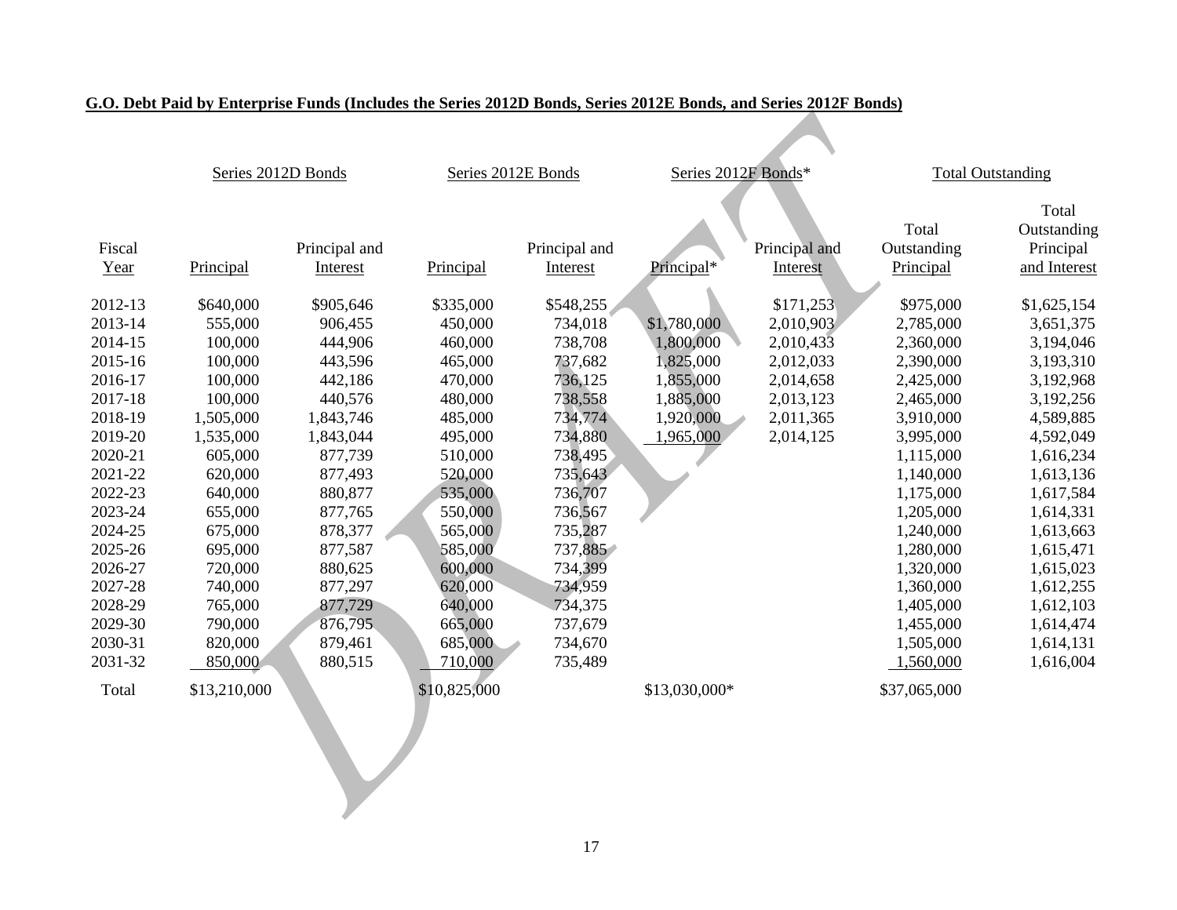## **G.O. Debt Paid by Enterprise Funds (Includes the Series 2012D Bonds, Series 2012E Bonds, and Series 2012F Bonds)**

|                | Series 2012D Bonds |                           | Series 2012E Bonds |                           | Series 2012F Bonds* |                           |                                   | <b>Total Outstanding</b>                          |
|----------------|--------------------|---------------------------|--------------------|---------------------------|---------------------|---------------------------|-----------------------------------|---------------------------------------------------|
| Fiscal<br>Year | Principal          | Principal and<br>Interest | Principal          | Principal and<br>Interest | Principal*          | Principal and<br>Interest | Total<br>Outstanding<br>Principal | Total<br>Outstanding<br>Principal<br>and Interest |
| 2012-13        | \$640,000          | \$905,646                 | \$335,000          | \$548,255                 |                     | \$171,253                 | \$975,000                         | \$1,625,154                                       |
| 2013-14        | 555,000            | 906,455                   | 450,000            | 734,018                   | \$1,780,000         | 2,010,903                 | 2,785,000                         | 3,651,375                                         |
| 2014-15        | 100,000            | 444,906                   | 460,000            | 738,708                   | 1,800,000           | 2,010,433                 | 2,360,000                         | 3,194,046                                         |
| 2015-16        | 100,000            | 443,596                   | 465,000            | 737,682                   | 1,825,000           | 2,012,033                 | 2,390,000                         | 3,193,310                                         |
| 2016-17        | 100,000            | 442,186                   | 470,000            | 736,125                   | 1,855,000           | 2,014,658                 | 2,425,000                         | 3,192,968                                         |
| 2017-18        | 100,000            | 440,576                   | 480,000            | 738,558                   | 1,885,000           | 2,013,123                 | 2,465,000                         | 3,192,256                                         |
| 2018-19        | 1,505,000          | 1,843,746                 | 485,000            | 734,774                   | 1,920,000           | 2,011,365                 | 3,910,000                         | 4,589,885                                         |
| 2019-20        | 1,535,000          | 1,843,044                 | 495,000            | 734,880                   | 1,965,000           | 2,014,125                 | 3,995,000                         | 4,592,049                                         |
| 2020-21        | 605,000            | 877,739                   | 510,000            | 738,495                   |                     |                           | 1,115,000                         | 1,616,234                                         |
| 2021-22        | 620,000            | 877,493                   | 520,000            | 735,643                   |                     |                           | 1,140,000                         | 1,613,136                                         |
| 2022-23        | 640,000            | 880,877                   | 535,000            | 736,707                   |                     |                           | 1,175,000                         | 1,617,584                                         |
| 2023-24        | 655,000            | 877,765                   | 550,000            | 736,567                   |                     |                           | 1,205,000                         | 1,614,331                                         |
| 2024-25        | 675,000            | 878,377                   | 565,000            | 735,287                   |                     |                           | 1,240,000                         | 1,613,663                                         |
| 2025-26        | 695,000            | 877,587                   | 585,000            | 737,885                   |                     |                           | 1,280,000                         | 1,615,471                                         |
| 2026-27        | 720,000            | 880,625                   | 600,000            | 734,399                   |                     |                           | 1,320,000                         | 1,615,023                                         |
| 2027-28        | 740,000            | 877,297                   | 620,000            | 734,959                   |                     |                           | 1,360,000                         | 1,612,255                                         |
| 2028-29        | 765,000            | 877,729                   | 640,000            | 734,375                   |                     |                           | 1,405,000                         | 1,612,103                                         |
| 2029-30        | 790,000            | 876,795                   | 665,000            | 737,679                   |                     |                           | 1,455,000                         | 1,614,474                                         |
| 2030-31        | 820,000            | 879,461                   | 685,000            | 734,670                   |                     |                           | 1,505,000                         | 1,614,131                                         |
| 2031-32        | 850,000            | 880,515                   | 710,000            | 735,489                   |                     |                           | 1,560,000                         | 1,616,004                                         |
| Total          | \$13,210,000       |                           | \$10,825,000       |                           | \$13,030,000*       |                           | \$37,065,000                      |                                                   |
|                |                    |                           |                    |                           |                     |                           |                                   |                                                   |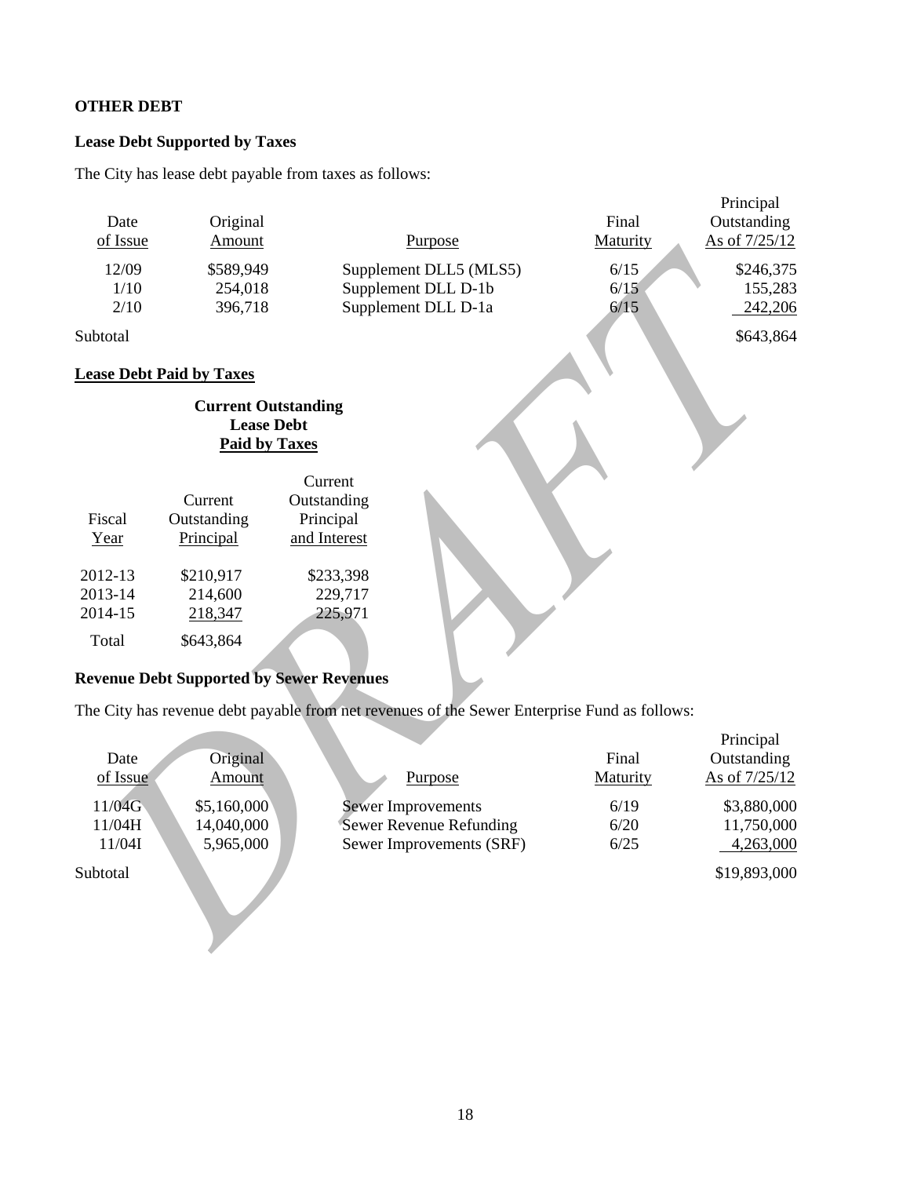# **OTHER DEBT**

# **Lease Debt Supported by Taxes**

The City has lease debt payable from taxes as follows:

|          |                                                 |                                                                                              |          | Principal     |
|----------|-------------------------------------------------|----------------------------------------------------------------------------------------------|----------|---------------|
| Date     | Original                                        |                                                                                              | Final    | Outstanding   |
| of Issue | Amount                                          | Purpose                                                                                      | Maturity | As of 7/25/12 |
| 12/09    | \$589,949                                       | Supplement DLL5 (MLS5)                                                                       | 6/15     | \$246,375     |
| 1/10     | 254,018                                         | Supplement DLL D-1b                                                                          | 6/15     | 155,283       |
| 2/10     | 396,718                                         | Supplement DLL D-1a                                                                          | 6/15     | 242,206       |
| Subtotal |                                                 |                                                                                              |          | \$643,864     |
|          | <b>Lease Debt Paid by Taxes</b>                 |                                                                                              |          |               |
|          | <b>Current Outstanding</b>                      |                                                                                              |          |               |
|          | <b>Lease Debt</b>                               |                                                                                              |          |               |
|          | <b>Paid by Taxes</b>                            |                                                                                              |          |               |
|          |                                                 | Current                                                                                      |          |               |
|          | Current                                         | Outstanding                                                                                  |          |               |
| Fiscal   | Outstanding                                     | Principal                                                                                    |          |               |
| Year     | Principal                                       | and Interest                                                                                 |          |               |
| 2012-13  | \$210,917                                       | \$233,398                                                                                    |          |               |
| 2013-14  | 214,600                                         | 229,717                                                                                      |          |               |
| 2014-15  | 218,347                                         | 225,971                                                                                      |          |               |
| Total    | \$643,864                                       |                                                                                              |          |               |
|          |                                                 |                                                                                              |          |               |
|          | <b>Revenue Debt Supported by Sewer Revenues</b> |                                                                                              |          |               |
|          |                                                 | The City has revenue debt payable from net revenues of the Sewer Enterprise Fund as follows: |          |               |
|          |                                                 |                                                                                              |          | Principal     |
| Date     | Original                                        |                                                                                              | Final    | Outstanding   |
| of Issue | Amount                                          | Purpose                                                                                      | Maturity | As of 7/25/12 |
| 11/04G   | \$5,160,000                                     | <b>Sewer Improvements</b>                                                                    | 6/19     | \$3,880,000   |
| 11/04H   | 14,040,000                                      | <b>Sewer Revenue Refunding</b>                                                               | 6/20     | 11,750,000    |
| 11/04I   | 5,965,000                                       | Sewer Improvements (SRF)                                                                     | $6/25$   | 4,263,000     |
| Subtotal |                                                 |                                                                                              |          | \$19,893,000  |
|          |                                                 |                                                                                              |          |               |
|          |                                                 |                                                                                              |          |               |
|          |                                                 |                                                                                              |          |               |
|          |                                                 |                                                                                              |          |               |

# **Revenue Debt Supported by Sewer Revenues**

|          |             |                           |          | Principal     |
|----------|-------------|---------------------------|----------|---------------|
| Date     | Original    |                           | Final    | Outstanding   |
| of Issue | Amount      | Purpose                   | Maturity | As of 7/25/12 |
| 11/04G   | \$5,160,000 | <b>Sewer Improvements</b> | 6/19     | \$3,880,000   |
| 11/04H   | 14,040,000  | Sewer Revenue Refunding   | 6/20     | 11,750,000    |
| 11/04I   | 5,965,000   | Sewer Improvements (SRF)  | 6/25     | 4,263,000     |
| Subtotal |             |                           |          | \$19,893,000  |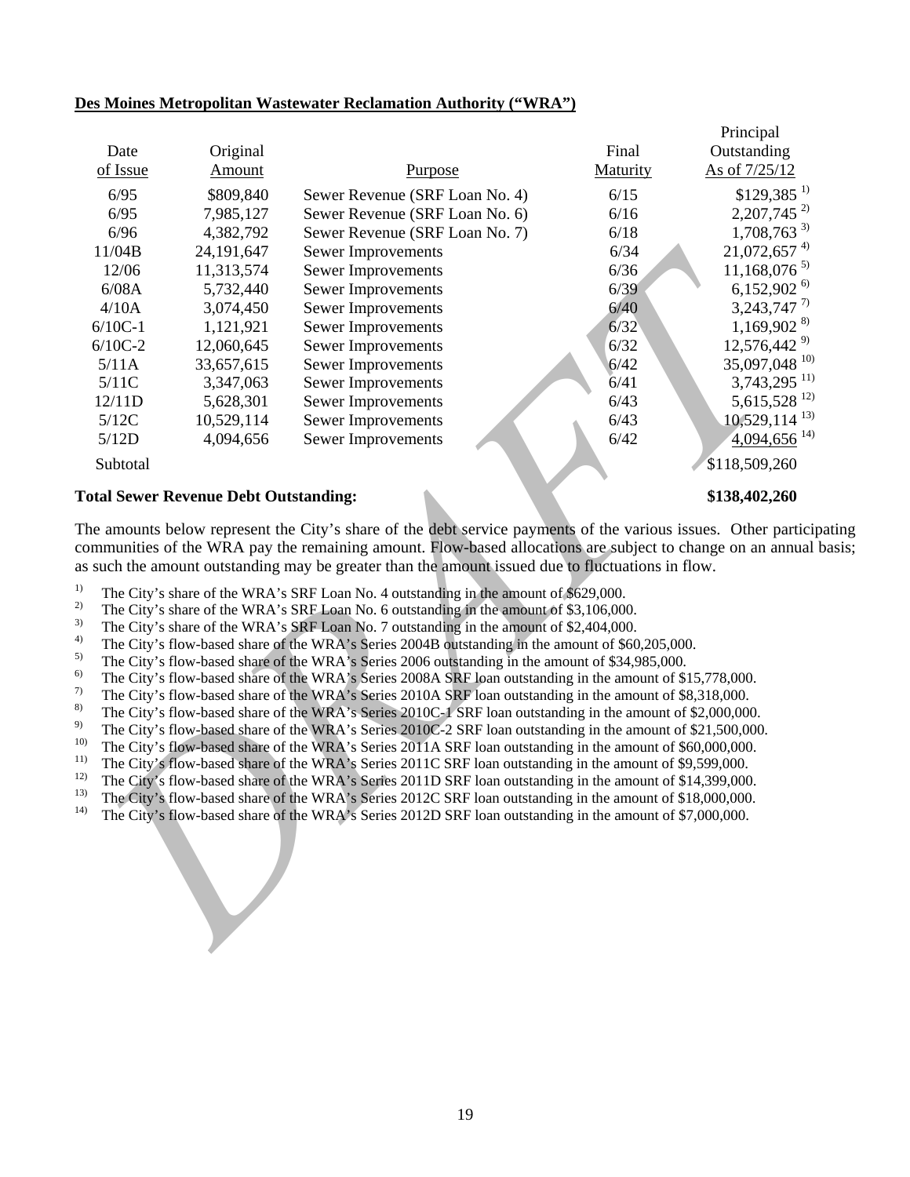| Date                                                                                  | Original                                     |                                                                                                                                                                                                                                                                                                                                                                                                                                                                                                                                                                                                                                                                                                                                                                                                                                                                                                                                                                                                                                                                                                                                                                                                                                                                                                                                                                                                                                                                                                                                                                                                                                                                                                                           | Final    | Principal<br>Outstanding    |
|---------------------------------------------------------------------------------------|----------------------------------------------|---------------------------------------------------------------------------------------------------------------------------------------------------------------------------------------------------------------------------------------------------------------------------------------------------------------------------------------------------------------------------------------------------------------------------------------------------------------------------------------------------------------------------------------------------------------------------------------------------------------------------------------------------------------------------------------------------------------------------------------------------------------------------------------------------------------------------------------------------------------------------------------------------------------------------------------------------------------------------------------------------------------------------------------------------------------------------------------------------------------------------------------------------------------------------------------------------------------------------------------------------------------------------------------------------------------------------------------------------------------------------------------------------------------------------------------------------------------------------------------------------------------------------------------------------------------------------------------------------------------------------------------------------------------------------------------------------------------------------|----------|-----------------------------|
| of Issue                                                                              | Amount                                       | Purpose                                                                                                                                                                                                                                                                                                                                                                                                                                                                                                                                                                                                                                                                                                                                                                                                                                                                                                                                                                                                                                                                                                                                                                                                                                                                                                                                                                                                                                                                                                                                                                                                                                                                                                                   | Maturity | As of 7/25/12               |
| 6/95                                                                                  | \$809,840                                    | Sewer Revenue (SRF Loan No. 4)                                                                                                                                                                                                                                                                                                                                                                                                                                                                                                                                                                                                                                                                                                                                                                                                                                                                                                                                                                                                                                                                                                                                                                                                                                                                                                                                                                                                                                                                                                                                                                                                                                                                                            | 6/15     | $$129,385$ <sup>1)</sup>    |
| 6/95                                                                                  | 7,985,127                                    | Sewer Revenue (SRF Loan No. 6)                                                                                                                                                                                                                                                                                                                                                                                                                                                                                                                                                                                                                                                                                                                                                                                                                                                                                                                                                                                                                                                                                                                                                                                                                                                                                                                                                                                                                                                                                                                                                                                                                                                                                            | 6/16     | $2,207,745^{2}$             |
| 6/96                                                                                  | 4,382,792                                    | Sewer Revenue (SRF Loan No. 7)                                                                                                                                                                                                                                                                                                                                                                                                                                                                                                                                                                                                                                                                                                                                                                                                                                                                                                                                                                                                                                                                                                                                                                                                                                                                                                                                                                                                                                                                                                                                                                                                                                                                                            | 6/18     | $1,708,763^{3}$             |
| 11/04B                                                                                | 24,191,647                                   | Sewer Improvements                                                                                                                                                                                                                                                                                                                                                                                                                                                                                                                                                                                                                                                                                                                                                                                                                                                                                                                                                                                                                                                                                                                                                                                                                                                                                                                                                                                                                                                                                                                                                                                                                                                                                                        | 6/34     | $21,072,657$ <sup>4)</sup>  |
| 12/06                                                                                 | 11,313,574                                   | Sewer Improvements                                                                                                                                                                                                                                                                                                                                                                                                                                                                                                                                                                                                                                                                                                                                                                                                                                                                                                                                                                                                                                                                                                                                                                                                                                                                                                                                                                                                                                                                                                                                                                                                                                                                                                        | 6/36     | $11,168,076^{5}$            |
| 6/08A                                                                                 | 5,732,440                                    | <b>Sewer Improvements</b>                                                                                                                                                                                                                                                                                                                                                                                                                                                                                                                                                                                                                                                                                                                                                                                                                                                                                                                                                                                                                                                                                                                                                                                                                                                                                                                                                                                                                                                                                                                                                                                                                                                                                                 | 6/39     | 6,152,902 $^{6}$            |
| 4/10A                                                                                 | 3,074,450                                    | Sewer Improvements                                                                                                                                                                                                                                                                                                                                                                                                                                                                                                                                                                                                                                                                                                                                                                                                                                                                                                                                                                                                                                                                                                                                                                                                                                                                                                                                                                                                                                                                                                                                                                                                                                                                                                        | 6/40     | 3, 243, 747 7)              |
| $6/10C-1$                                                                             | 1,121,921                                    | Sewer Improvements                                                                                                                                                                                                                                                                                                                                                                                                                                                                                                                                                                                                                                                                                                                                                                                                                                                                                                                                                                                                                                                                                                                                                                                                                                                                                                                                                                                                                                                                                                                                                                                                                                                                                                        | 6/32     | $1,169,902^{8}$             |
| $6/10C-2$                                                                             | 12,060,645                                   | Sewer Improvements                                                                                                                                                                                                                                                                                                                                                                                                                                                                                                                                                                                                                                                                                                                                                                                                                                                                                                                                                                                                                                                                                                                                                                                                                                                                                                                                                                                                                                                                                                                                                                                                                                                                                                        | 6/32     | 12,576,442 9)               |
| 5/11A                                                                                 | 33,657,615                                   | Sewer Improvements                                                                                                                                                                                                                                                                                                                                                                                                                                                                                                                                                                                                                                                                                                                                                                                                                                                                                                                                                                                                                                                                                                                                                                                                                                                                                                                                                                                                                                                                                                                                                                                                                                                                                                        | 6/42     | 35,097,048 10)              |
| 5/11C                                                                                 | 3,347,063                                    | Sewer Improvements                                                                                                                                                                                                                                                                                                                                                                                                                                                                                                                                                                                                                                                                                                                                                                                                                                                                                                                                                                                                                                                                                                                                                                                                                                                                                                                                                                                                                                                                                                                                                                                                                                                                                                        | 6/41     | $3,743,295$ <sup>11)</sup>  |
| 12/11D                                                                                | 5,628,301                                    | Sewer Improvements                                                                                                                                                                                                                                                                                                                                                                                                                                                                                                                                                                                                                                                                                                                                                                                                                                                                                                                                                                                                                                                                                                                                                                                                                                                                                                                                                                                                                                                                                                                                                                                                                                                                                                        | 6/43     | $5,615,528$ <sup>12)</sup>  |
| 5/12C                                                                                 | 10,529,114                                   | Sewer Improvements                                                                                                                                                                                                                                                                                                                                                                                                                                                                                                                                                                                                                                                                                                                                                                                                                                                                                                                                                                                                                                                                                                                                                                                                                                                                                                                                                                                                                                                                                                                                                                                                                                                                                                        | 6/43     | $10,529,114$ <sup>13)</sup> |
| 5/12D                                                                                 | 4,094,656                                    | <b>Sewer Improvements</b>                                                                                                                                                                                                                                                                                                                                                                                                                                                                                                                                                                                                                                                                                                                                                                                                                                                                                                                                                                                                                                                                                                                                                                                                                                                                                                                                                                                                                                                                                                                                                                                                                                                                                                 | 6/42     | $4,094,656$ <sup>14)</sup>  |
| Subtotal                                                                              |                                              |                                                                                                                                                                                                                                                                                                                                                                                                                                                                                                                                                                                                                                                                                                                                                                                                                                                                                                                                                                                                                                                                                                                                                                                                                                                                                                                                                                                                                                                                                                                                                                                                                                                                                                                           |          | \$118,509,260               |
|                                                                                       |                                              |                                                                                                                                                                                                                                                                                                                                                                                                                                                                                                                                                                                                                                                                                                                                                                                                                                                                                                                                                                                                                                                                                                                                                                                                                                                                                                                                                                                                                                                                                                                                                                                                                                                                                                                           |          |                             |
|                                                                                       | <b>Total Sewer Revenue Debt Outstanding:</b> |                                                                                                                                                                                                                                                                                                                                                                                                                                                                                                                                                                                                                                                                                                                                                                                                                                                                                                                                                                                                                                                                                                                                                                                                                                                                                                                                                                                                                                                                                                                                                                                                                                                                                                                           |          | \$138,402,260               |
| 1)<br>2)<br>3)<br>4)<br>5)<br>6)<br>7)<br>8)<br>9)<br>10)<br>11)<br>12)<br>13)<br>14) |                                              | communities of the WRA pay the remaining amount. Flow-based allocations are subject to change on an annual b<br>as such the amount outstanding may be greater than the amount issued due to fluctuations in flow.<br>The City's share of the WRA's SRF Loan No. 4 outstanding in the amount of \$629,000.<br>The City's share of the WRA's SRF Loan No. 6 outstanding in the amount of \$3,106,000.<br>The City's share of the WRA's SRF Loan No. 7 outstanding in the amount of \$2,404,000.<br>The City's flow-based share of the WRA's Series 2004B outstanding in the amount of \$60,205,000.<br>The City's flow-based share of the WRA's Series 2006 outstanding in the amount of \$34,985,000.<br>The City's flow-based share of the WRA's Series 2008A SRF loan outstanding in the amount of \$15,778,000.<br>The City's flow-based share of the WRA's Series 2010A SRF loan outstanding in the amount of \$8,318,000.<br>The City's flow-based share of the WRA's Series 2010C-1 SRF loan outstanding in the amount of \$2,000,000.<br>The City's flow-based share of the WRA's Series 2010C-2 SRF loan outstanding in the amount of \$21,500,000.<br>The City's flow-based share of the WRA's Series 2011A SRF loan outstanding in the amount of \$60,000,000.<br>The City's flow-based share of the WRA's Series 2011C SRF loan outstanding in the amount of \$9,599,000.<br>The City's flow-based share of the WRA's Series 2011D SRF loan outstanding in the amount of \$14,399,000.<br>The City's flow-based share of the WRA's Series 2012C SRF loan outstanding in the amount of \$18,000,000.<br>The City's flow-based share of the WRA's Series 2012D SRF loan outstanding in the amount of \$7,000,000. |          |                             |
|                                                                                       |                                              |                                                                                                                                                                                                                                                                                                                                                                                                                                                                                                                                                                                                                                                                                                                                                                                                                                                                                                                                                                                                                                                                                                                                                                                                                                                                                                                                                                                                                                                                                                                                                                                                                                                                                                                           |          |                             |

#### **Des Moines Metropolitan Wastewater Reclamation Authority ("WRA")**

- <sup>1)</sup> The City's share of the WRA's SRF Loan No. 4 outstanding in the amount of \$629,000.
- <sup>2)</sup> The City's share of the WRA's SRF Loan No. 6 outstanding in the amount of \$3,106,000.<br><sup>3)</sup> The City's share of the WRA's SRF Loan No. 7 outstanding in the amount of \$2,404,000.
- <sup>3)</sup> The City's share of the WRA's SRF Loan No. 7 outstanding in the amount of \$2,404,000.<br><sup>4)</sup> The City's flow based share of the WPA's Series 2004B outstanding in the amount of \$60
- <sup>4)</sup> The City's flow-based share of the WRA's Series 2004B outstanding in the amount of \$60,205,000.<br><sup>5)</sup> The City's flow based share of the WPA's Series 2006 outstanding in the amount of \$34,085,000.
- <sup>5)</sup> The City's flow-based share of the WRA's Series 2006 outstanding in the amount of \$34,985,000.<br><sup>6)</sup> The City's flow based share of the WPA's Series 2008 A SPE loan outstanding in the amount of \$5
- <sup>6)</sup> The City's flow-based share of the WRA's Series 2008A SRF loan outstanding in the amount of \$15,778,000.<br><sup>7)</sup> The City's flow based share of the WPA's Series 2010A SPE loan outstanding in the amount of \$8,218,000.
- <sup>7)</sup> The City's flow-based share of the WRA's Series 2010A SRF loan outstanding in the amount of \$8,318,000.<br><sup>8)</sup> The City's flow based share of the WPA's Series 2010C 1 SPE loan outstanding in the amount of \$2,000,000
- <sup>8)</sup> The City's flow-based share of the WRA's Series 2010C-1 SRF loan outstanding in the amount of \$2,000,000.<br><sup>9)</sup> The City's flow based share of the WRA's Series 2010C-2 SRF loan outstanding in the amount of \$21,500,000
- <sup>9)</sup> The City's flow-based share of the WRA's Series 2010C-2 SRF loan outstanding in the amount of \$21,500,000.<br><sup>10)</sup> The City's flow based share of the WRA's Series 2011A SRF loan outstanding in the amount of \$60,000,000
- <sup>10)</sup> The City's flow-based share of the WRA's Series 2011A SRF loan outstanding in the amount of \$60,000,000.<br><sup>11)</sup> The City's flow head share of the WRA's Series 2011C SRE leap outstanding in the amount of \$0,500,000.
- <sup>11)</sup> The City's flow-based share of the WRA's Series 2011C SRF loan outstanding in the amount of \$9,599,000.<br><sup>12)</sup> The City's flow based share of the WRA's Series 2011D SBE leap outstanding in the amount of \$14,200,000.
- <sup>12)</sup> The City's flow-based share of the WRA's Series 2011D SRF loan outstanding in the amount of \$14,399,000.<br><sup>13)</sup> The City's flow based share of the WPA's Series 2012C SBF loan outstanding in the amount of \$18,000,000.
- <sup>13)</sup> The City's flow-based share of the WRA's Series 2012C SRF loan outstanding in the amount of \$18,000,000.<br><sup>14)</sup> The City's flow-based share of the WRA's Series 2012D SRF loan outstanding in the amount of \$7,000,000.
- 14) The City's flow-based share of the WRA's Series 2012D SRF loan outstanding in the amount of \$7,000,000.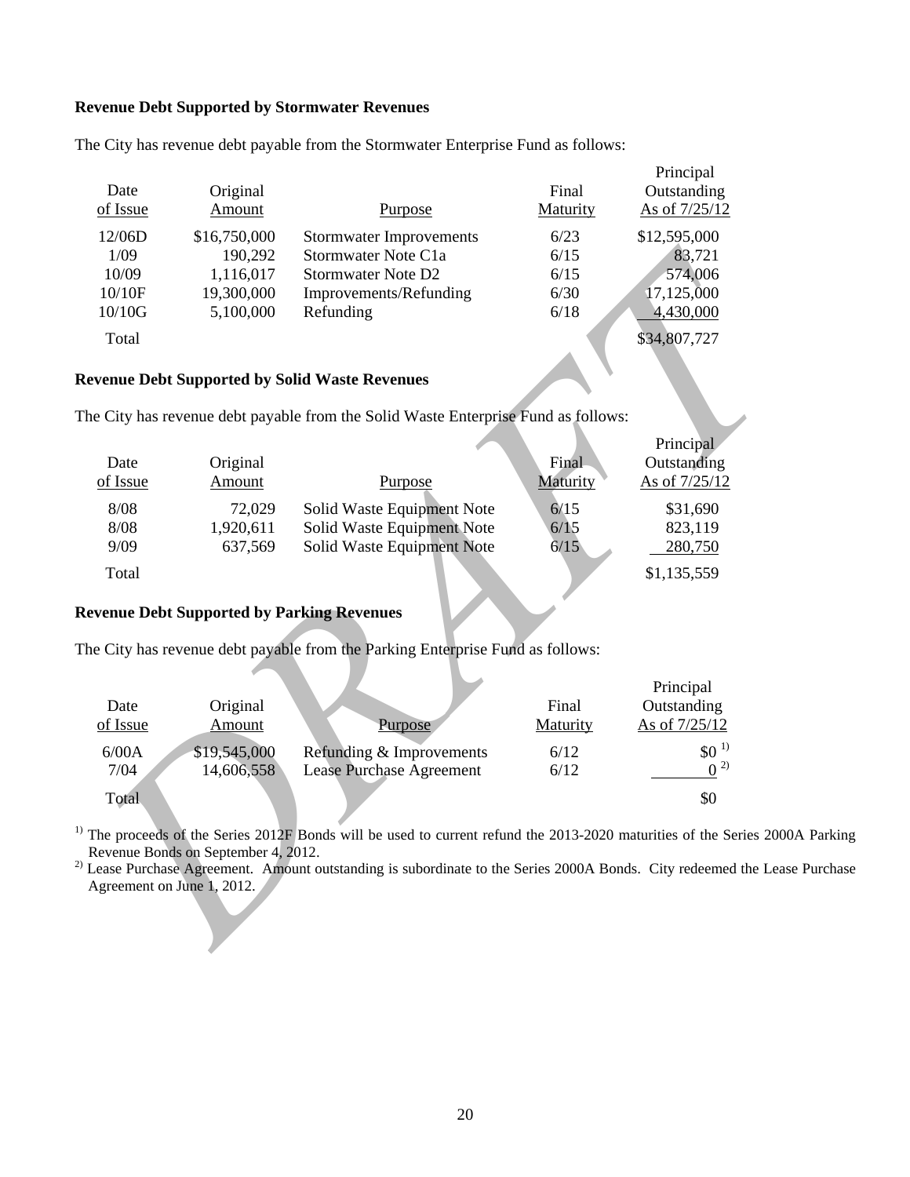### **Revenue Debt Supported by Stormwater Revenues**

| Date<br>of Issue | Original<br>Amount | Purpose                        | Final<br>Maturity | Principal<br>Outstanding<br>As of 7/25/12 |
|------------------|--------------------|--------------------------------|-------------------|-------------------------------------------|
| 12/06D           | \$16,750,000       | <b>Stormwater Improvements</b> | 6/23              | \$12,595,000                              |
| 1/09             | 190,292            | Stormwater Note C1a            | 6/15              | 83,721                                    |
| 10/09            | 1,116,017          | Stormwater Note D <sub>2</sub> | 6/15              | 574,006                                   |
| 10/10F           | 19,300,000         | Improvements/Refunding         | 6/30              | 17,125,000                                |
| 10/10G           | 5,100,000          | Refunding                      | 6/18              | 4,430,000                                 |
| Total            |                    |                                |                   | \$34,807,727                              |

The City has revenue debt payable from the Stormwater Enterprise Fund as follows:

# **Revenue Debt Supported by Solid Waste Revenues**

| 1/09                       | 190,292                             | Stormwater Note C1a                                                                                                                   | 6/15     | 83,721                   |  |
|----------------------------|-------------------------------------|---------------------------------------------------------------------------------------------------------------------------------------|----------|--------------------------|--|
| 10/09                      | 1,116,017                           | <b>Stormwater Note D2</b>                                                                                                             | 6/15     | 574,006                  |  |
| 10/10F                     | 19,300,000                          | Improvements/Refunding                                                                                                                | 6/30     | 17,125,000               |  |
| 10/10G                     | 5,100,000                           | Refunding                                                                                                                             | 6/18     | 4,430,000                |  |
| Total                      |                                     |                                                                                                                                       |          | \$34,807,727             |  |
|                            |                                     | <b>Revenue Debt Supported by Solid Waste Revenues</b>                                                                                 |          |                          |  |
|                            |                                     | The City has revenue debt payable from the Solid Waste Enterprise Fund as follows:                                                    |          |                          |  |
|                            |                                     |                                                                                                                                       |          | Principal                |  |
| Date                       | Original                            |                                                                                                                                       | Final    | Outstanding              |  |
| of Issue                   | Amount                              | Purpose                                                                                                                               | Maturity | As of 7/25/12            |  |
| 8/08                       | 72,029                              | Solid Waste Equipment Note                                                                                                            | 6/15     | \$31,690                 |  |
| 8/08                       | 1,920,611                           | Solid Waste Equipment Note                                                                                                            | 6/15     | 823,119                  |  |
| 9/09                       | 637,569                             | Solid Waste Equipment Note                                                                                                            | 6/15     | 280,750                  |  |
| Total                      |                                     |                                                                                                                                       |          | \$1,135,559              |  |
|                            |                                     | <b>Revenue Debt Supported by Parking Revenues</b>                                                                                     |          |                          |  |
|                            |                                     | The City has revenue debt payable from the Parking Enterprise Fund as follows:                                                        |          |                          |  |
|                            |                                     |                                                                                                                                       |          |                          |  |
| Date                       |                                     |                                                                                                                                       | Final    | Principal<br>Outstanding |  |
| of Issue                   | Original<br>Amount                  | Purpose                                                                                                                               | Maturity | As of 7/25/12            |  |
|                            |                                     |                                                                                                                                       |          |                          |  |
| 6/00A                      | \$19,545,000                        | Refunding & Improvements                                                                                                              | 6/12     | $$0^{-1}$                |  |
| 7/04                       | 14,606,558                          | <b>Lease Purchase Agreement</b>                                                                                                       | 6/12     | $0^{2}$                  |  |
| Total                      |                                     |                                                                                                                                       |          | \$0                      |  |
|                            |                                     | <sup>1)</sup> The proceeds of the Series $2012F$ Bonds will be used to current refund the 2013-2020 maturities of the Series 2000A Pa |          |                          |  |
|                            | Revenue Bonds on September 4, 2012. |                                                                                                                                       |          |                          |  |
|                            |                                     | $^{2)}$ Lease Purchase Agreement. Amount outstanding is subordinate to the Series 2000A Bonds. City redeemed the Lease Purc           |          |                          |  |
| Agreement on June 1, 2012. |                                     |                                                                                                                                       |          |                          |  |
|                            |                                     |                                                                                                                                       |          |                          |  |
|                            |                                     |                                                                                                                                       |          |                          |  |
|                            |                                     |                                                                                                                                       |          |                          |  |

# **Revenue Debt Supported by Parking Revenues**

|          |              |                          |          | Principal     |
|----------|--------------|--------------------------|----------|---------------|
| Date     | Original     |                          | Final    | Outstanding   |
| of Issue | Amount       | Purpose                  | Maturity | As of 7/25/12 |
| 6/00A    | \$19,545,000 | Refunding & Improvements | 6/12     | $$0^{1}$      |
| 7/04     | 14,606,558   | Lease Purchase Agreement | 6/12     | (2)           |
| Total    |              |                          |          | \$0           |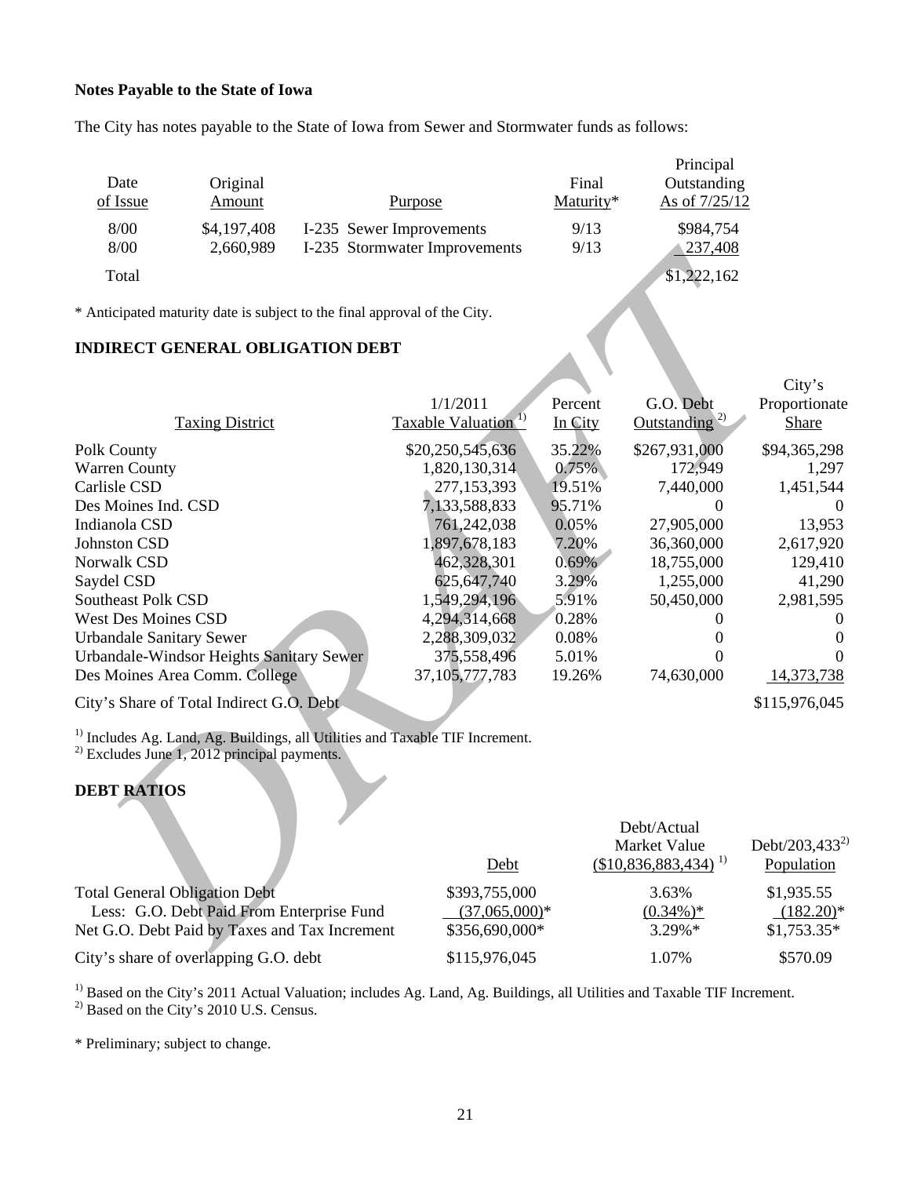# **Notes Payable to the State of Iowa**

The City has notes payable to the State of Iowa from Sewer and Stormwater funds as follows:

| Date<br>of Issue | Original<br>Amount | <b>Purpose</b>                | Final<br>Maturity* | Principal<br>Outstanding<br>As of $7/25/12$ |
|------------------|--------------------|-------------------------------|--------------------|---------------------------------------------|
| 8/00             | \$4,197,408        | I-235 Sewer Improvements      | 9/13               | \$984,754                                   |
| 8/00             | 2,660,989          | I-235 Stormwater Improvements | 9/13               | 1237,408                                    |
| Total            |                    |                               |                    | \$1,222,162                                 |

# **INDIRECT GENERAL OBLIGATION DEBT**

| 8/00<br>2,660,989                                                                        | 1-235 Stormwater Improvements   | 9/13     | <u>237,408</u>                    |                            |
|------------------------------------------------------------------------------------------|---------------------------------|----------|-----------------------------------|----------------------------|
| Total                                                                                    |                                 |          | $\overline{1,222,162}$            |                            |
|                                                                                          |                                 |          |                                   |                            |
| * Anticipated maturity date is subject to the final approval of the City.                |                                 |          |                                   |                            |
|                                                                                          |                                 |          |                                   |                            |
| <b>INDIRECT GENERAL OBLIGATION DEBT</b>                                                  |                                 |          |                                   |                            |
|                                                                                          |                                 |          |                                   | City's                     |
|                                                                                          | 1/1/2011                        | Percent  | G.O. Debt                         | Proportionate              |
| <b>Taxing District</b>                                                                   | Taxable Valuation <sup>1)</sup> | In City  | Outstanding <sup>2)</sup>         | Share                      |
|                                                                                          | \$20,250,545,636                | 35.22%   | \$267,931,000                     | \$94,365,298               |
| Polk County<br><b>Warren County</b>                                                      | 1,820,130,314                   | 0.75%    | 172,949                           | 1,297                      |
| Carlisle CSD                                                                             | 277,153,393                     | 19.51%   | 7,440,000                         | 1,451,544                  |
| Des Moines Ind. CSD                                                                      | 7,133,588,833                   | 95.71%   | 0                                 | $\theta$                   |
| Indianola CSD                                                                            | 761,242,038                     | 0.05%    | 27,905,000                        | 13,953                     |
| Johnston CSD                                                                             | 1,897,678,183                   | 7.20%    | 36,360,000                        | 2,617,920                  |
| Norwalk CSD                                                                              | 462,328,301                     | $0.69\%$ | 18,755,000                        | 129,410                    |
| Saydel CSD                                                                               | 625, 647, 740                   | 3.29%    | 1,255,000                         | 41,290                     |
| <b>Southeast Polk CSD</b>                                                                | 1,549,294,196                   | 5.91%    | 50,450,000                        | 2,981,595                  |
| <b>West Des Moines CSD</b>                                                               | 4,294,314,668                   | 0.28%    | 0                                 | $\theta$                   |
| <b>Urbandale Sanitary Sewer</b>                                                          | 2,288,309,032                   | 0.08%    | 0                                 | $\theta$                   |
| Urbandale-Windsor Heights Sanitary Sewer                                                 | 375,558,496                     | 5.01%    | 0                                 | $\Omega$                   |
| Des Moines Area Comm. College                                                            | 37, 105, 777, 783               | 19.26%   | 74,630,000                        | 14,373,738                 |
| City's Share of Total Indirect G.O. Debt                                                 |                                 |          |                                   | \$115,976,045              |
| <sup>1)</sup> Includes Ag. Land, Ag. Buildings, all Utilities and Taxable TIF Increment. |                                 |          |                                   |                            |
| $^{2)}$ Excludes June 1, 2012 principal payments.                                        |                                 |          |                                   |                            |
|                                                                                          |                                 |          |                                   |                            |
| <b>DEBT RATIOS</b>                                                                       |                                 |          |                                   |                            |
|                                                                                          |                                 |          |                                   |                            |
|                                                                                          |                                 |          | Debt/Actual                       |                            |
|                                                                                          |                                 |          | Market Value                      | Debt/203,433 <sup>2)</sup> |
|                                                                                          | Debt                            |          | $($10,836,883,434)$ <sup>1)</sup> | Population                 |
| <b>Total General Obligation Debt</b>                                                     | \$393,755,000                   |          | 3.63%                             | \$1,935.55                 |
| Less: G.O. Debt Paid From Enterprise Fund                                                | $(37,065,000)*$                 |          | $(0.34\%)*$                       | $(182.20)$ *               |
| Net G.O. Debt Paid by Taxes and Tax Increment                                            | \$356,690,000*                  |          | 3.29%*                            | $$1,753.35*$               |
| $City$ charge of overlapping $G \cap$ dept                                               | 4115076045                      |          | 1.070 <sub>6</sub>                | \$5700                     |

# **DEBT RATIOS**

|                                               |                 | Debt/Actual<br>Market Value | Debt/203,433 <sup>2)</sup> |
|-----------------------------------------------|-----------------|-----------------------------|----------------------------|
|                                               | Debt            | $(\$10,836,883,434)^{1}$    | Population                 |
| <b>Total General Obligation Debt</b>          | \$393,755,000   | 3.63%                       | \$1,935.55                 |
| Less: G.O. Debt Paid From Enterprise Fund     | $(37,065,000)*$ | $(0.34\%)*$                 | $(182.20)^*$               |
| Net G.O. Debt Paid by Taxes and Tax Increment | \$356,690,000*  | $3.29\%*$                   | $$1,753.35*$               |
| City's share of overlapping G.O. debt         | \$115,976,045   | 1.07%                       | \$570.09                   |

<sup>1)</sup> Based on the City's 2011 Actual Valuation; includes Ag. Land, Ag. Buildings, all Utilities and Taxable TIF Increment.  $^{2)}$  Based on the City's 2010 U.S. Census.

\* Preliminary; subject to change.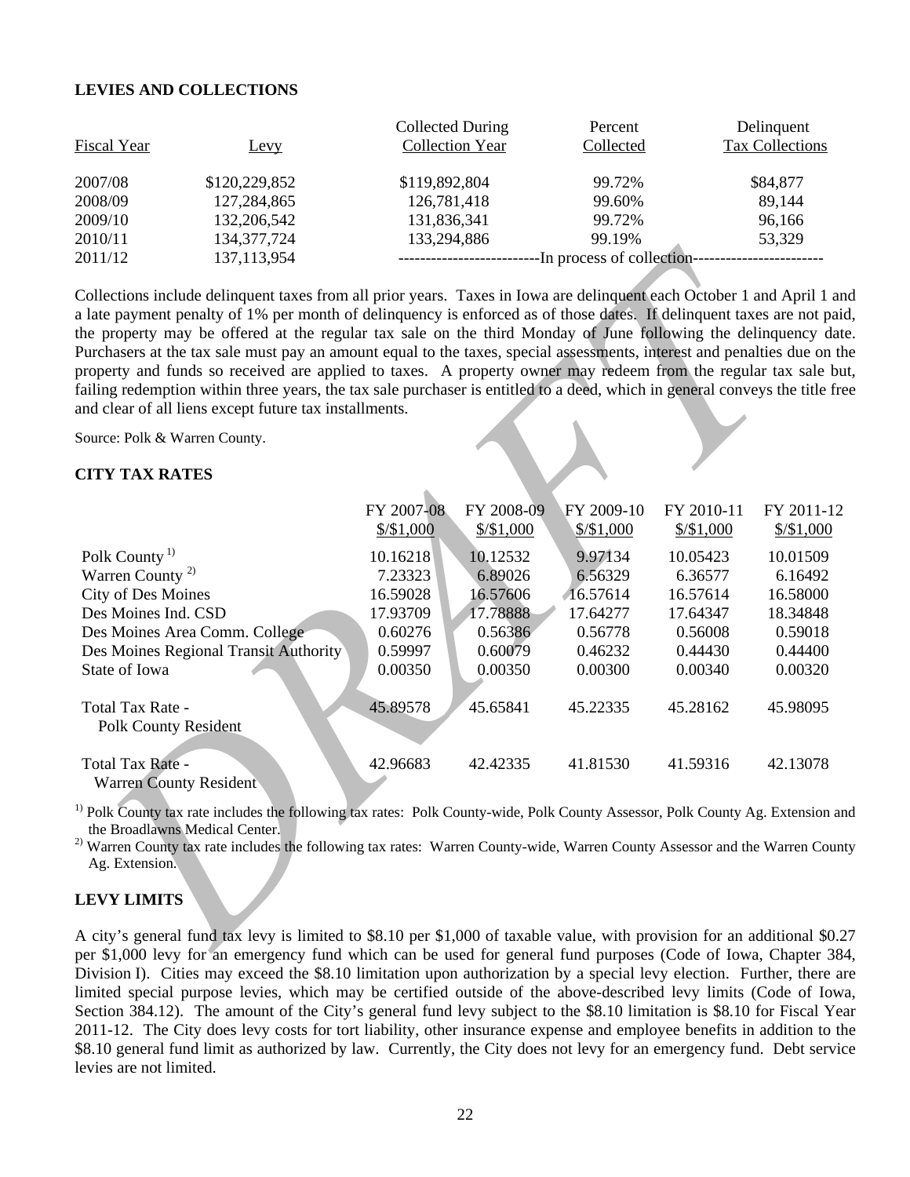# **LEVIES AND COLLECTIONS**

| <b>Fiscal Year</b> | Levy          | Collected During<br><b>Collection Year</b> | Percent<br>Collected       | Delinquent<br>Tax Collections |
|--------------------|---------------|--------------------------------------------|----------------------------|-------------------------------|
| 2007/08            | \$120,229,852 | \$119,892,804                              | 99.72%                     | \$84,877                      |
| 2008/09            | 127,284,865   | 126,781,418                                | 99.60%                     | 89,144                        |
| 2009/10            | 132,206,542   | 131,836,341                                | 99.72%                     | 96,166                        |
| 2010/11            | 134, 377, 724 | 133,294,886                                | 99.19%                     | 53,329                        |
| 2011/12            | 137, 113, 954 |                                            | -In process of collection- |                               |

# **CITY TAX RATES**

| 2011/12                                                                                               | 137,113,954                                                                                                                                                                                                                                                                                                                                                                                                                                                                                                                                                                                                                                                                                                                                                                                            |                                                                          |                                                                                 |                                                                                |                                                                                 |                                                                                 |
|-------------------------------------------------------------------------------------------------------|--------------------------------------------------------------------------------------------------------------------------------------------------------------------------------------------------------------------------------------------------------------------------------------------------------------------------------------------------------------------------------------------------------------------------------------------------------------------------------------------------------------------------------------------------------------------------------------------------------------------------------------------------------------------------------------------------------------------------------------------------------------------------------------------------------|--------------------------------------------------------------------------|---------------------------------------------------------------------------------|--------------------------------------------------------------------------------|---------------------------------------------------------------------------------|---------------------------------------------------------------------------------|
|                                                                                                       | Collections include delinquent taxes from all prior years. Taxes in Iowa are delinquent each October 1 and April 1 an<br>a late payment penalty of 1% per month of delinquency is enforced as of those dates. If delinquent taxes are not paid<br>the property may be offered at the regular tax sale on the third Monday of June following the delinquency date<br>Purchasers at the tax sale must pay an amount equal to the taxes, special assessments, interest and penalties due on the<br>property and funds so received are applied to taxes. A property owner may redeem from the regular tax sale bu<br>failing redemption within three years, the tax sale purchaser is entitled to a deed, which in general conveys the title fre<br>and clear of all liens except future tax installments. |                                                                          |                                                                                 |                                                                                |                                                                                 |                                                                                 |
| Source: Polk & Warren County.                                                                         |                                                                                                                                                                                                                                                                                                                                                                                                                                                                                                                                                                                                                                                                                                                                                                                                        |                                                                          |                                                                                 |                                                                                |                                                                                 |                                                                                 |
| <b>CITY TAX RATES</b>                                                                                 |                                                                                                                                                                                                                                                                                                                                                                                                                                                                                                                                                                                                                                                                                                                                                                                                        |                                                                          |                                                                                 |                                                                                |                                                                                 |                                                                                 |
| Polk County <sup>1)</sup><br>Warren County <sup>2)</sup><br>City of Des Moines<br>Des Moines Ind. CSD |                                                                                                                                                                                                                                                                                                                                                                                                                                                                                                                                                                                                                                                                                                                                                                                                        | FY 2007-08<br>$$/\$1,000$<br>10.16218<br>7.23323<br>16.59028<br>17.93709 | FY 2008-09<br>$\frac{$}{$}1,000$<br>10.12532<br>6.89026<br>16.57606<br>17.78888 | FY 2009-10<br>$\frac{$}{$}1,000$<br>9.97134<br>6.56329<br>16.57614<br>17.64277 | FY 2010-11<br>$\frac{$}{$}1,000$<br>10.05423<br>6.36577<br>16.57614<br>17.64347 | FY 2011-12<br>$\frac{$}{$}1,000$<br>10.01509<br>6.16492<br>16.58000<br>18.34848 |
| State of Iowa                                                                                         | Des Moines Area Comm. College<br>Des Moines Regional Transit Authority                                                                                                                                                                                                                                                                                                                                                                                                                                                                                                                                                                                                                                                                                                                                 | 0.60276<br>0.59997<br>0.00350                                            | 0.56386<br>0.60079<br>0.00350                                                   | 0.56778<br>0.46232<br>0.00300                                                  | 0.56008<br>0.44430<br>0.00340                                                   | 0.59018<br>0.44400<br>0.00320                                                   |
| Total Tax Rate -<br><b>Polk County Resident</b>                                                       |                                                                                                                                                                                                                                                                                                                                                                                                                                                                                                                                                                                                                                                                                                                                                                                                        | 45.89578                                                                 | 45.65841                                                                        | 45.22335                                                                       | 45.28162                                                                        | 45.98095                                                                        |
| Total Tax Rate -<br><b>Warren County Resident</b>                                                     |                                                                                                                                                                                                                                                                                                                                                                                                                                                                                                                                                                                                                                                                                                                                                                                                        | 42.96683                                                                 | 42.42335                                                                        | 41.81530                                                                       | 41.59316                                                                        | 42.13078                                                                        |
| the Broadlawns Medical Center.<br>Ag. Extension.                                                      | <sup>1)</sup> Polk County tax rate includes the following tax rates: Polk County-wide, Polk County Assessor, Polk County Ag. Extension an<br><sup>2)</sup> Warren County tax rate includes the following tax rates: Warren County-wide, Warren County Assessor and the Warren Count                                                                                                                                                                                                                                                                                                                                                                                                                                                                                                                    |                                                                          |                                                                                 |                                                                                |                                                                                 |                                                                                 |
| <b>LEVY LIMITS</b>                                                                                    |                                                                                                                                                                                                                                                                                                                                                                                                                                                                                                                                                                                                                                                                                                                                                                                                        |                                                                          |                                                                                 |                                                                                |                                                                                 |                                                                                 |
|                                                                                                       | A city's general fund tax levy is limited to \$8.10 per \$1,000 of taxable value, with provision for an additional \$0.2<br>oer \$1,000 levy for an emergency fund which can be used for general fund purposes (Code of Jowa, Chapter 384                                                                                                                                                                                                                                                                                                                                                                                                                                                                                                                                                              |                                                                          |                                                                                 |                                                                                |                                                                                 |                                                                                 |

# **LEVY LIMITS**

A city's general fund tax levy is limited to \$8.10 per \$1,000 of taxable value, with provision for an additional \$0.27 per \$1,000 levy for an emergency fund which can be used for general fund purposes (Code of Iowa, Chapter 384, Division I). Cities may exceed the \$8.10 limitation upon authorization by a special levy election. Further, there are limited special purpose levies, which may be certified outside of the above-described levy limits (Code of Iowa, Section 384.12). The amount of the City's general fund levy subject to the \$8.10 limitation is \$8.10 for Fiscal Year 2011-12. The City does levy costs for tort liability, other insurance expense and employee benefits in addition to the \$8.10 general fund limit as authorized by law. Currently, the City does not levy for an emergency fund. Debt service levies are not limited.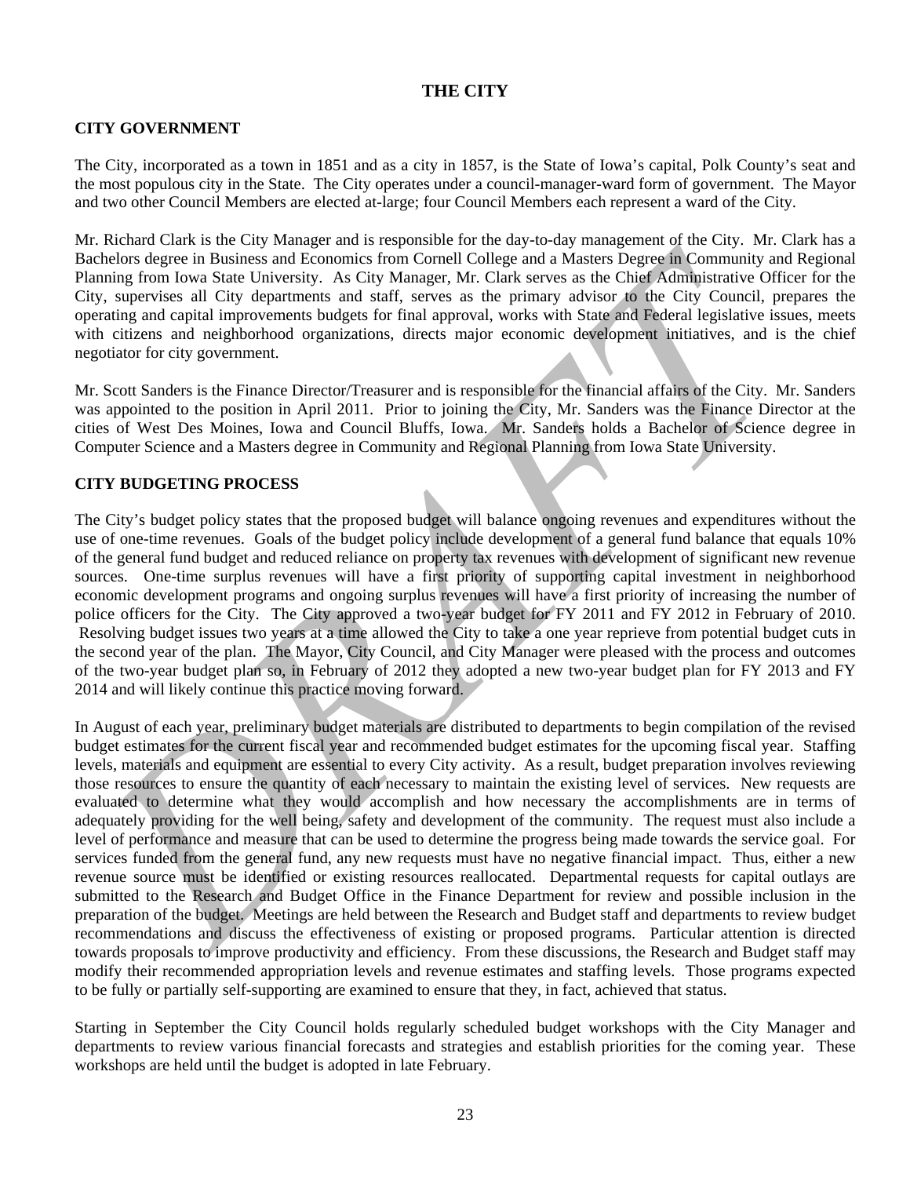# **THE CITY**

## **CITY GOVERNMENT**

The City, incorporated as a town in 1851 and as a city in 1857, is the State of Iowa's capital, Polk County's seat and the most populous city in the State. The City operates under a council-manager-ward form of government. The Mayor and two other Council Members are elected at-large; four Council Members each represent a ward of the City.

Mr. Richard Clark is the City Manager and is responsible for the day-to-day management of the City. Mr. Clark has a Bachelors degree in Business and Economics from Cornell College and a Masters Degree in Community and Regional Planning from Iowa State University. As City Manager, Mr. Clark serves as the Chief Administrative Officer for the City, supervises all City departments and staff, serves as the primary advisor to the City Council, prepares the operating and capital improvements budgets for final approval, works with State and Federal legislative issues, meets with citizens and neighborhood organizations, directs major economic development initiatives, and is the chief negotiator for city government.

Mr. Scott Sanders is the Finance Director/Treasurer and is responsible for the financial affairs of the City. Mr. Sanders was appointed to the position in April 2011. Prior to joining the City, Mr. Sanders was the Finance Director at the cities of West Des Moines, Iowa and Council Bluffs, Iowa. Mr. Sanders holds a Bachelor of Science degree in Computer Science and a Masters degree in Community and Regional Planning from Iowa State University.

## **CITY BUDGETING PROCESS**

The City's budget policy states that the proposed budget will balance ongoing revenues and expenditures without the use of one-time revenues. Goals of the budget policy include development of a general fund balance that equals 10% of the general fund budget and reduced reliance on property tax revenues with development of significant new revenue sources. One-time surplus revenues will have a first priority of supporting capital investment in neighborhood economic development programs and ongoing surplus revenues will have a first priority of increasing the number of police officers for the City. The City approved a two-year budget for FY 2011 and FY 2012 in February of 2010. Resolving budget issues two years at a time allowed the City to take a one year reprieve from potential budget cuts in the second year of the plan. The Mayor, City Council, and City Manager were pleased with the process and outcomes of the two-year budget plan so, in February of 2012 they adopted a new two-year budget plan for FY 2013 and FY 2014 and will likely continue this practice moving forward.

achebas denge in Business and Enomines from Coronal College and a Master. Demogram Constraint and Regime to the master of the constraints of the rest in the limit of the constraints of the principal material and the state. In August of each year, preliminary budget materials are distributed to departments to begin compilation of the revised budget estimates for the current fiscal year and recommended budget estimates for the upcoming fiscal year. Staffing levels, materials and equipment are essential to every City activity. As a result, budget preparation involves reviewing those resources to ensure the quantity of each necessary to maintain the existing level of services. New requests are evaluated to determine what they would accomplish and how necessary the accomplishments are in terms of adequately providing for the well being, safety and development of the community. The request must also include a level of performance and measure that can be used to determine the progress being made towards the service goal. For services funded from the general fund, any new requests must have no negative financial impact. Thus, either a new revenue source must be identified or existing resources reallocated. Departmental requests for capital outlays are submitted to the Research and Budget Office in the Finance Department for review and possible inclusion in the preparation of the budget. Meetings are held between the Research and Budget staff and departments to review budget recommendations and discuss the effectiveness of existing or proposed programs. Particular attention is directed towards proposals to improve productivity and efficiency. From these discussions, the Research and Budget staff may modify their recommended appropriation levels and revenue estimates and staffing levels. Those programs expected to be fully or partially self-supporting are examined to ensure that they, in fact, achieved that status.

Starting in September the City Council holds regularly scheduled budget workshops with the City Manager and departments to review various financial forecasts and strategies and establish priorities for the coming year. These workshops are held until the budget is adopted in late February.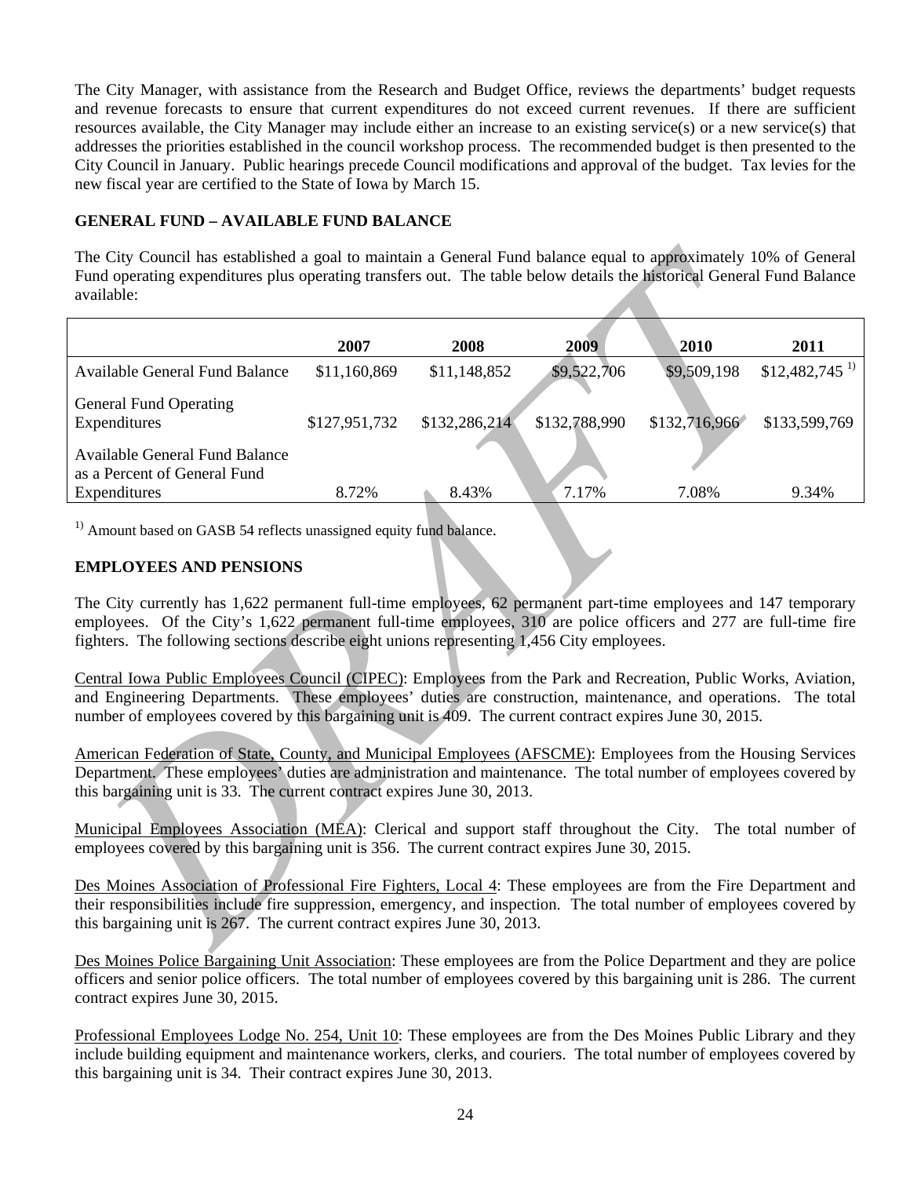The City Manager, with assistance from the Research and Budget Office, reviews the departments' budget requests and revenue forecasts to ensure that current expenditures do not exceed current revenues. If there are sufficient resources available, the City Manager may include either an increase to an existing service(s) or a new service(s) that addresses the priorities established in the council workshop process. The recommended budget is then presented to the City Council in January. Public hearings precede Council modifications and approval of the budget. Tax levies for the new fiscal year are certified to the State of Iowa by March 15.

# **GENERAL FUND – AVAILABLE FUND BALANCE**

| The City Council has established a goal to maintain a General Fund balance equal to approximately 10% of General<br>Fund operating expenditures plus operating transfers out. The table below details the historical General Fund Balance<br>available:                                                                                    |               |               |               |               |                             |
|--------------------------------------------------------------------------------------------------------------------------------------------------------------------------------------------------------------------------------------------------------------------------------------------------------------------------------------------|---------------|---------------|---------------|---------------|-----------------------------|
|                                                                                                                                                                                                                                                                                                                                            | 2007          | 2008          | 2009          | 2010          | 2011                        |
| <b>Available General Fund Balance</b>                                                                                                                                                                                                                                                                                                      | \$11,160,869  | \$11,148,852  | \$9,522,706   | \$9,509,198   | $$12,482,745$ <sup>1)</sup> |
| <b>General Fund Operating</b><br>Expenditures                                                                                                                                                                                                                                                                                              | \$127,951,732 | \$132,286,214 | \$132,788,990 | \$132,716,966 | \$133,599,769               |
| <b>Available General Fund Balance</b><br>as a Percent of General Fund                                                                                                                                                                                                                                                                      | 8.72%         |               | 7.17%         | 7.08%         | 9.34%                       |
| Expenditures                                                                                                                                                                                                                                                                                                                               |               | 8.43%         |               |               |                             |
| <sup>1)</sup> Amount based on GASB 54 reflects unassigned equity fund balance.                                                                                                                                                                                                                                                             |               |               |               |               |                             |
| <b>EMPLOYEES AND PENSIONS</b>                                                                                                                                                                                                                                                                                                              |               |               |               |               |                             |
| The City currently has 1,622 permanent full-time employees, 62 permanent part-time employees and 147 temporary<br>employees. Of the City's 1,622 permanent full-time employees, 310 are police officers and 277 are full-time fire<br>fighters. The following sections describe eight unions representing 1,456 City employees.            |               |               |               |               |                             |
| Central Iowa Public Employees Council (CIPEC): Employees from the Park and Recreation, Public Works, Aviation,<br>and Engineering Departments. These employees' duties are construction, maintenance, and operations. The total<br>number of employees covered by this bargaining unit is 409. The current contract expires June 30, 2015. |               |               |               |               |                             |
| American Federation of State, County, and Municipal Employees (AFSCME): Employees from the Housing Services<br>Department. These employees' duties are administration and maintenance. The total number of employees covered by<br>this bargaining unit is 33. The current contract expires June 30, 2013.                                 |               |               |               |               |                             |
| Municipal Employees Association (MEA): Clerical and support staff throughout the City.<br>The total number of<br>employees covered by this bargaining unit is 356. The current contract expires June 30, 2015.                                                                                                                             |               |               |               |               |                             |
| Des Moines Association of Professional Fire Fighters, Local 4: These employees are from the Fire Department and<br>their responsibilities include fire suppression, emergency, and inspection. The total number of employees covered by<br>this bargaining unit is 267. The current contract expires June 30, 2013.                        |               |               |               |               |                             |
| $\mathbf{D} \mapsto \mathbf{M}$ , then $\mathbf{D}$ , $\mathbf{D}$ , $\mathbf{D}$ and the $\mathbf{M}$ are the training $\mathbf{m}$ , and $\mathbf{m}$ are the $\mathbf{D}$ , $\mathbf{D}$ , $\mathbf{D}$ , $\mathbf{m}$ and $\mathbf{m}$ and $\mathbf{d}$ are the                                                                        |               |               |               |               |                             |

# **EMPLOYEES AND PENSIONS**

Des Moines Police Bargaining Unit Association: These employees are from the Police Department and they are police officers and senior police officers. The total number of employees covered by this bargaining unit is 286. The current contract expires June 30, 2015.

Professional Employees Lodge No. 254, Unit 10: These employees are from the Des Moines Public Library and they include building equipment and maintenance workers, clerks, and couriers. The total number of employees covered by this bargaining unit is 34. Their contract expires June 30, 2013.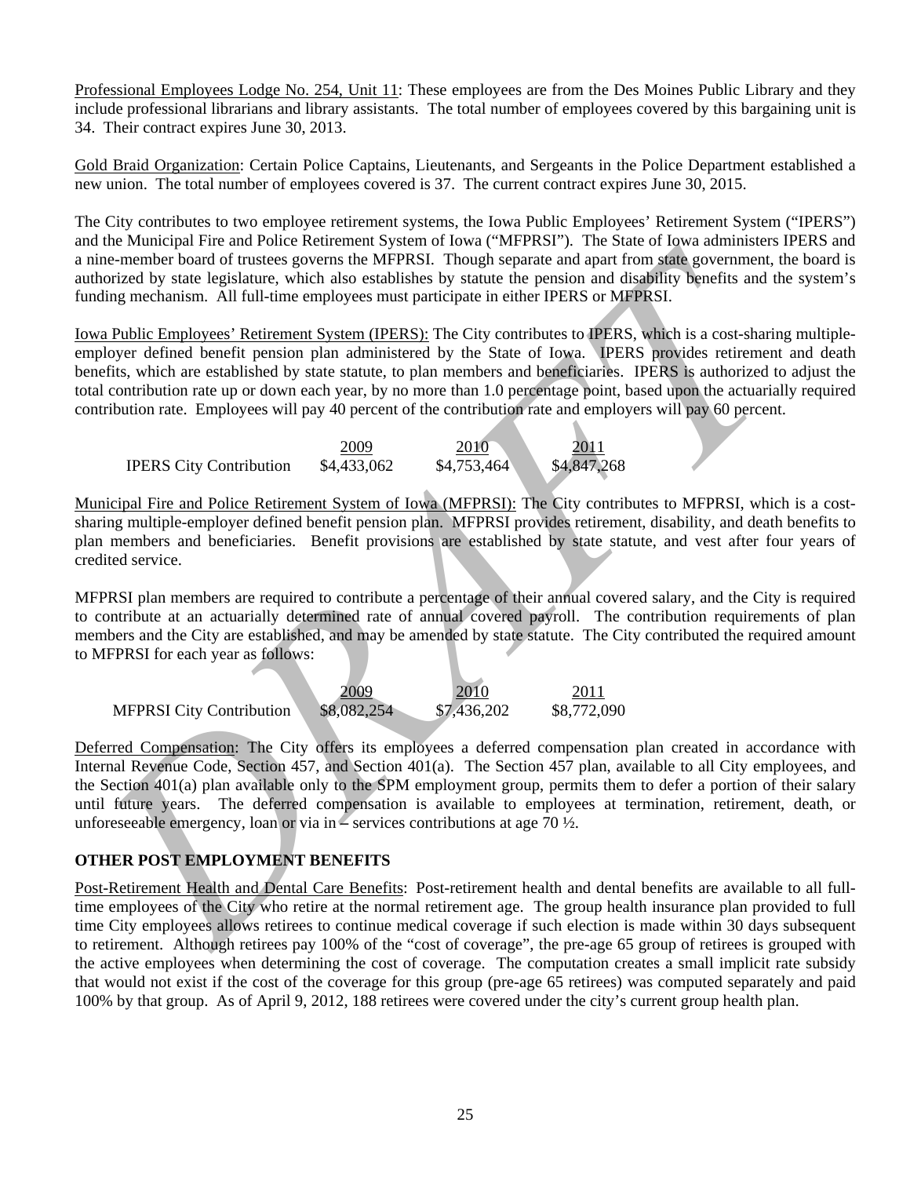Professional Employees Lodge No. 254, Unit 11: These employees are from the Des Moines Public Library and they include professional librarians and library assistants. The total number of employees covered by this bargaining unit is 34. Their contract expires June 30, 2013.

Gold Braid Organization: Certain Police Captains, Lieutenants, and Sergeants in the Police Department established a new union. The total number of employees covered is 37. The current contract expires June 30, 2015.

The City contributes to two employee retirement systems, the Iowa Public Employees' Retirement System ("IPERS") and the Municipal Fire and Police Retirement System of Iowa ("MFPRSI"). The State of Iowa administers IPERS and a nine-member board of trustees governs the MFPRSI. Though separate and apart from state government, the board is authorized by state legislature, which also establishes by statute the pension and disability benefits and the system's funding mechanism. All full-time employees must participate in either IPERS or MFPRSI.

nine-member bond of rankes gonoma he MFPRSI. Though sparning than then they also realisting the results and the spatial member and the spatial member and the spatial member of members and the spatial members and the spatia Iowa Public Employees' Retirement System (IPERS): The City contributes to IPERS, which is a cost-sharing multipleemployer defined benefit pension plan administered by the State of Iowa. IPERS provides retirement and death benefits, which are established by state statute, to plan members and beneficiaries. IPERS is authorized to adjust the total contribution rate up or down each year, by no more than 1.0 percentage point, based upon the actuarially required contribution rate. Employees will pay 40 percent of the contribution rate and employers will pay 60 percent.

|                                | 2009        | 2010        | 2011        |
|--------------------------------|-------------|-------------|-------------|
| <b>IPERS City Contribution</b> | \$4,433,062 | \$4,753,464 | \$4,847,268 |

Municipal Fire and Police Retirement System of Iowa (MFPRSI): The City contributes to MFPRSI, which is a costsharing multiple-employer defined benefit pension plan. MFPRSI provides retirement, disability, and death benefits to plan members and beneficiaries. Benefit provisions are established by state statute, and vest after four years of credited service.

MFPRSI plan members are required to contribute a percentage of their annual covered salary, and the City is required to contribute at an actuarially determined rate of annual covered payroll. The contribution requirements of plan members and the City are established, and may be amended by state statute. The City contributed the required amount to MFPRSI for each year as follows:

|                                 | 2009        | 2010        | 201 <sup>-</sup> |
|---------------------------------|-------------|-------------|------------------|
| <b>MFPRSI City Contribution</b> | \$8,082,254 | \$7,436,202 | \$8,772,090      |

Deferred Compensation: The City offers its employees a deferred compensation plan created in accordance with Internal Revenue Code, Section 457, and Section 401(a). The Section 457 plan, available to all City employees, and the Section 401(a) plan available only to the SPM employment group, permits them to defer a portion of their salary until future years. The deferred compensation is available to employees at termination, retirement, death, or unforeseeable emergency, loan or via in **–** services contributions at age 70 ½.

# **OTHER POST EMPLOYMENT BENEFITS**

Post-Retirement Health and Dental Care Benefits: Post-retirement health and dental benefits are available to all fulltime employees of the City who retire at the normal retirement age. The group health insurance plan provided to full time City employees allows retirees to continue medical coverage if such election is made within 30 days subsequent to retirement. Although retirees pay 100% of the "cost of coverage", the pre-age 65 group of retirees is grouped with the active employees when determining the cost of coverage. The computation creates a small implicit rate subsidy that would not exist if the cost of the coverage for this group (pre-age 65 retirees) was computed separately and paid 100% by that group. As of April 9, 2012, 188 retirees were covered under the city's current group health plan.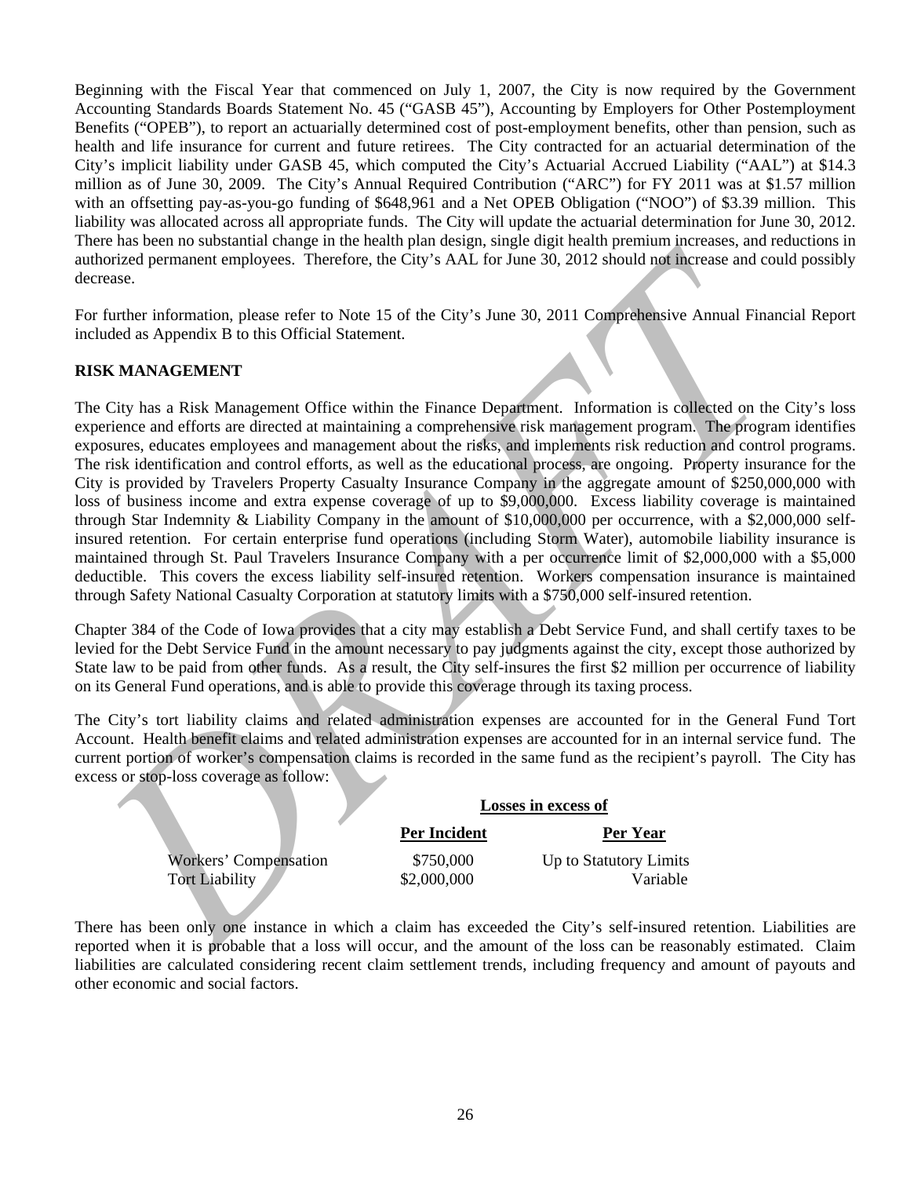Beginning with the Fiscal Year that commenced on July 1, 2007, the City is now required by the Government Accounting Standards Boards Statement No. 45 ("GASB 45"), Accounting by Employers for Other Postemployment Benefits ("OPEB"), to report an actuarially determined cost of post-employment benefits, other than pension, such as health and life insurance for current and future retirees. The City contracted for an actuarial determination of the City's implicit liability under GASB 45, which computed the City's Actuarial Accrued Liability ("AAL") at \$14.3 million as of June 30, 2009. The City's Annual Required Contribution ("ARC") for FY 2011 was at \$1.57 million with an offsetting pay-as-you-go funding of \$648,961 and a Net OPEB Obligation ("NOO") of \$3.39 million. This liability was allocated across all appropriate funds. The City will update the actuarial determination for June 30, 2012. There has been no substantial change in the health plan design, single digit health premium increases, and reductions in authorized permanent employees. Therefore, the City's AAL for June 30, 2012 should not increase and could possibly decrease.

For further information, please refer to Note 15 of the City's June 30, 2011 Comprehensive Annual Financial Report included as Appendix B to this Official Statement.

# **RISK MANAGEMENT**

uthrized permanent employees. Therefore, the City's AAI: for June 30, 2012 should not increase and could possess<br>
DRAFT Correction: The City's AAI: for June 30, 2012 should not increase and could possess of the City's Bure The City has a Risk Management Office within the Finance Department. Information is collected on the City's loss experience and efforts are directed at maintaining a comprehensive risk management program. The program identifies exposures, educates employees and management about the risks, and implements risk reduction and control programs. The risk identification and control efforts, as well as the educational process, are ongoing. Property insurance for the City is provided by Travelers Property Casualty Insurance Company in the aggregate amount of \$250,000,000 with loss of business income and extra expense coverage of up to \$9,000,000. Excess liability coverage is maintained through Star Indemnity & Liability Company in the amount of \$10,000,000 per occurrence, with a \$2,000,000 selfinsured retention. For certain enterprise fund operations (including Storm Water), automobile liability insurance is maintained through St. Paul Travelers Insurance Company with a per occurrence limit of \$2,000,000 with a \$5,000 deductible. This covers the excess liability self-insured retention. Workers compensation insurance is maintained through Safety National Casualty Corporation at statutory limits with a \$750,000 self-insured retention.

Chapter 384 of the Code of Iowa provides that a city may establish a Debt Service Fund, and shall certify taxes to be levied for the Debt Service Fund in the amount necessary to pay judgments against the city, except those authorized by State law to be paid from other funds. As a result, the City self-insures the first \$2 million per occurrence of liability on its General Fund operations, and is able to provide this coverage through its taxing process.

The City's tort liability claims and related administration expenses are accounted for in the General Fund Tort Account. Health benefit claims and related administration expenses are accounted for in an internal service fund. The current portion of worker's compensation claims is recorded in the same fund as the recipient's payroll. The City has excess or stop-loss coverage as follow:

|                       | Losses in excess of |                        |  |
|-----------------------|---------------------|------------------------|--|
|                       | Per Incident        | Per Year               |  |
| Workers' Compensation | \$750,000           | Up to Statutory Limits |  |
| <b>Tort Liability</b> | \$2,000,000         | Variable               |  |

There has been only one instance in which a claim has exceeded the City's self-insured retention. Liabilities are reported when it is probable that a loss will occur, and the amount of the loss can be reasonably estimated. Claim liabilities are calculated considering recent claim settlement trends, including frequency and amount of payouts and other economic and social factors.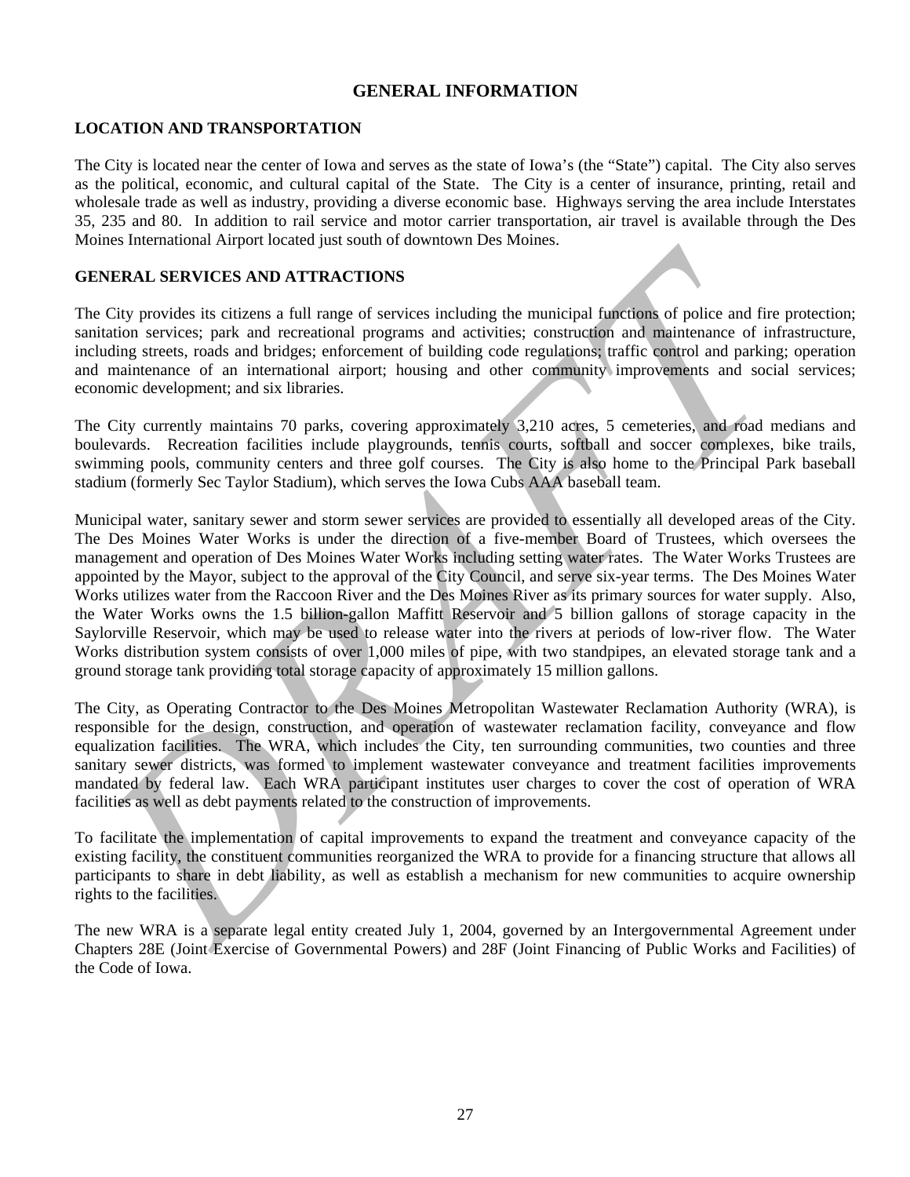# **GENERAL INFORMATION**

# **LOCATION AND TRANSPORTATION**

The City is located near the center of Iowa and serves as the state of Iowa's (the "State") capital. The City also serves as the political, economic, and cultural capital of the State. The City is a center of insurance, printing, retail and wholesale trade as well as industry, providing a diverse economic base. Highways serving the area include Interstates 35, 235 and 80. In addition to rail service and motor carrier transportation, air travel is available through the Des Moines International Airport located just south of downtown Des Moines.

# **GENERAL SERVICES AND ATTRACTIONS**

The City provides its citizens a full range of services including the municipal functions of police and fire protection; sanitation services; park and recreational programs and activities; construction and maintenance of infrastructure, including streets, roads and bridges; enforcement of building code regulations; traffic control and parking; operation and maintenance of an international airport; housing and other community improvements and social services; economic development; and six libraries.

The City currently maintains 70 parks, covering approximately 3,210 acres, 5 cemeteries, and road medians and boulevards. Recreation facilities include playgrounds, tennis courts, softball and soccer complexes, bike trails, swimming pools, community centers and three golf courses. The City is also home to the Principal Park baseball stadium (formerly Sec Taylor Stadium), which serves the Iowa Cubs AAA baseball team.

EXERICAL SERVICES AND ATTRACTIONS<br>
TERRENT SERVICES AND ATTRACTIONS<br>
TERRENT SERVICES AND ATTRACTIONS<br>
TERRENT SERVICES AND ATTRACTIONS<br>
TERRENT SERVICES and protectional programs and creditions is constructed and maintena Municipal water, sanitary sewer and storm sewer services are provided to essentially all developed areas of the City. The Des Moines Water Works is under the direction of a five-member Board of Trustees, which oversees the management and operation of Des Moines Water Works including setting water rates. The Water Works Trustees are appointed by the Mayor, subject to the approval of the City Council, and serve six-year terms. The Des Moines Water Works utilizes water from the Raccoon River and the Des Moines River as its primary sources for water supply. Also, the Water Works owns the 1.5 billion-gallon Maffitt Reservoir and 5 billion gallons of storage capacity in the Saylorville Reservoir, which may be used to release water into the rivers at periods of low-river flow. The Water Works distribution system consists of over 1,000 miles of pipe, with two standpipes, an elevated storage tank and a ground storage tank providing total storage capacity of approximately 15 million gallons.

The City, as Operating Contractor to the Des Moines Metropolitan Wastewater Reclamation Authority (WRA), is responsible for the design, construction, and operation of wastewater reclamation facility, conveyance and flow equalization facilities. The WRA, which includes the City, ten surrounding communities, two counties and three sanitary sewer districts, was formed to implement wastewater conveyance and treatment facilities improvements mandated by federal law. Each WRA participant institutes user charges to cover the cost of operation of WRA facilities as well as debt payments related to the construction of improvements.

To facilitate the implementation of capital improvements to expand the treatment and conveyance capacity of the existing facility, the constituent communities reorganized the WRA to provide for a financing structure that allows all participants to share in debt liability, as well as establish a mechanism for new communities to acquire ownership rights to the facilities.

The new WRA is a separate legal entity created July 1, 2004, governed by an Intergovernmental Agreement under Chapters 28E (Joint Exercise of Governmental Powers) and 28F (Joint Financing of Public Works and Facilities) of the Code of Iowa.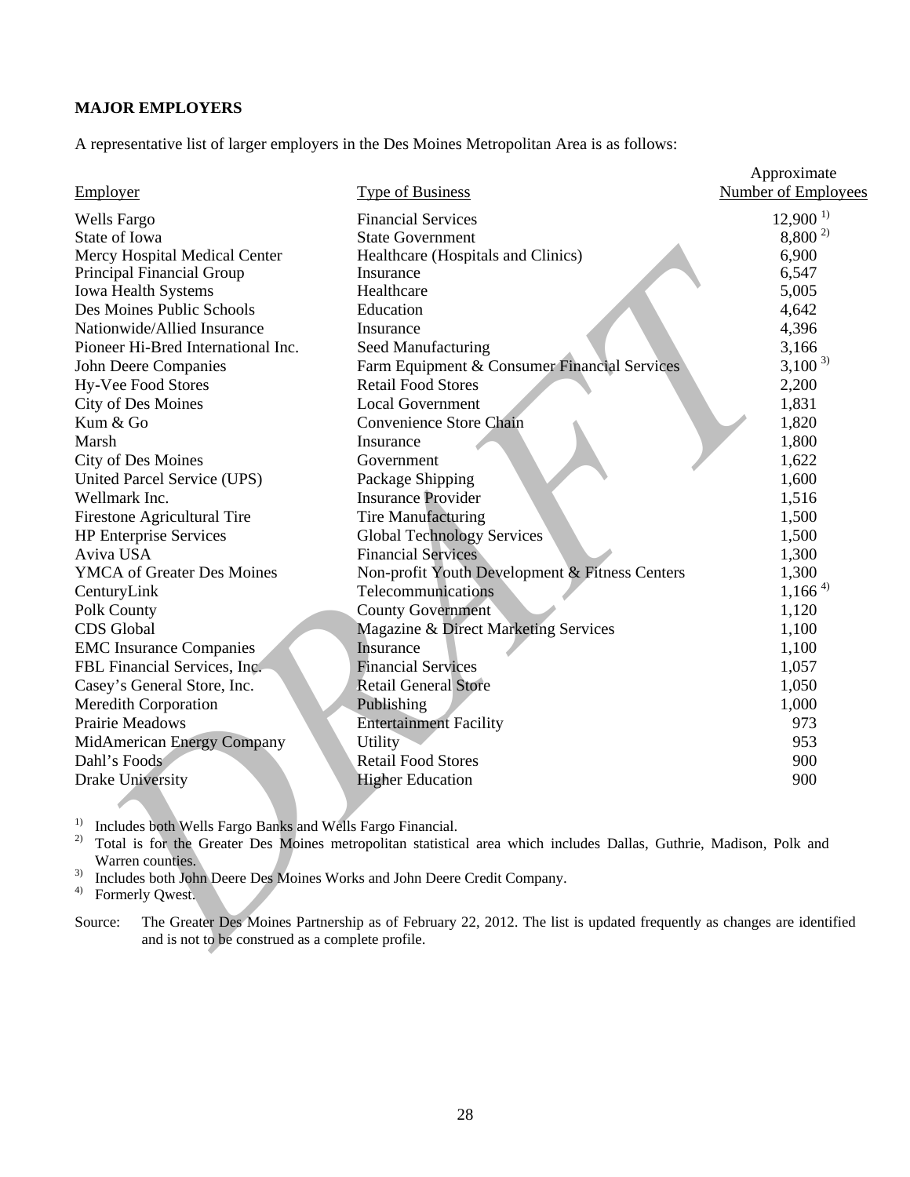# **MAJOR EMPLOYERS**

A representative list of larger employers in the Des Moines Metropolitan Area is as follows:

| Employer                                                                                                                                                                                  | <b>Type of Business</b>                                                                                             | Approximate<br><b>Number of Employees</b> |  |  |
|-------------------------------------------------------------------------------------------------------------------------------------------------------------------------------------------|---------------------------------------------------------------------------------------------------------------------|-------------------------------------------|--|--|
| <b>Wells Fargo</b>                                                                                                                                                                        | <b>Financial Services</b>                                                                                           | $12,900^{1}$                              |  |  |
| State of Iowa                                                                                                                                                                             | <b>State Government</b>                                                                                             | $8,800^{2}$                               |  |  |
| Mercy Hospital Medical Center                                                                                                                                                             | Healthcare (Hospitals and Clinics)                                                                                  | 6,900                                     |  |  |
| Principal Financial Group                                                                                                                                                                 | Insurance                                                                                                           | 6,547                                     |  |  |
| Iowa Health Systems                                                                                                                                                                       | Healthcare                                                                                                          | 5,005                                     |  |  |
| Des Moines Public Schools                                                                                                                                                                 | Education                                                                                                           | 4,642                                     |  |  |
| Nationwide/Allied Insurance                                                                                                                                                               | Insurance                                                                                                           | 4,396                                     |  |  |
| Pioneer Hi-Bred International Inc.                                                                                                                                                        | Seed Manufacturing                                                                                                  | 3,166                                     |  |  |
| John Deere Companies                                                                                                                                                                      | Farm Equipment & Consumer Financial Services                                                                        | $3,100^{3}$                               |  |  |
| Hy-Vee Food Stores                                                                                                                                                                        | <b>Retail Food Stores</b>                                                                                           | 2,200                                     |  |  |
| <b>City of Des Moines</b>                                                                                                                                                                 | <b>Local Government</b>                                                                                             | 1,831                                     |  |  |
| Kum & Go                                                                                                                                                                                  | Convenience Store Chain                                                                                             | 1,820                                     |  |  |
| Marsh                                                                                                                                                                                     | Insurance                                                                                                           | 1,800                                     |  |  |
| <b>City of Des Moines</b>                                                                                                                                                                 | Government                                                                                                          | 1,622                                     |  |  |
| <b>United Parcel Service (UPS)</b>                                                                                                                                                        | Package Shipping                                                                                                    | 1,600                                     |  |  |
| Wellmark Inc.                                                                                                                                                                             | <b>Insurance Provider</b>                                                                                           | 1,516                                     |  |  |
| <b>Firestone Agricultural Tire</b>                                                                                                                                                        | <b>Tire Manufacturing</b>                                                                                           | 1,500                                     |  |  |
| <b>HP Enterprise Services</b>                                                                                                                                                             | <b>Global Technology Services</b>                                                                                   | 1,500                                     |  |  |
| Aviva USA                                                                                                                                                                                 | <b>Financial Services</b>                                                                                           | 1,300                                     |  |  |
| <b>YMCA</b> of Greater Des Moines                                                                                                                                                         | Non-profit Youth Development & Fitness Centers                                                                      | 1,300                                     |  |  |
| CenturyLink                                                                                                                                                                               | Telecommunications                                                                                                  | $1,166^{4}$                               |  |  |
| Polk County                                                                                                                                                                               | <b>County Government</b>                                                                                            | 1,120                                     |  |  |
| CDS Global                                                                                                                                                                                | Magazine & Direct Marketing Services                                                                                | 1,100                                     |  |  |
| <b>EMC</b> Insurance Companies                                                                                                                                                            | Insurance                                                                                                           | 1,100                                     |  |  |
| FBL Financial Services, Inc.                                                                                                                                                              | <b>Financial Services</b>                                                                                           | 1,057                                     |  |  |
| Casey's General Store, Inc.                                                                                                                                                               | <b>Retail General Store</b>                                                                                         | 1,050                                     |  |  |
| <b>Meredith Corporation</b>                                                                                                                                                               | Publishing                                                                                                          | 1,000                                     |  |  |
| Prairie Meadows                                                                                                                                                                           | <b>Entertainment Facility</b>                                                                                       | 973                                       |  |  |
| MidAmerican Energy Company                                                                                                                                                                | <b>Utility</b>                                                                                                      | 953                                       |  |  |
| Dahl's Foods                                                                                                                                                                              | <b>Retail Food Stores</b>                                                                                           | 900                                       |  |  |
| <b>Drake University</b>                                                                                                                                                                   | <b>Higher Education</b>                                                                                             | 900                                       |  |  |
|                                                                                                                                                                                           |                                                                                                                     |                                           |  |  |
| Includes both Wells Fargo Banks and Wells Fargo Financial.<br>Warren counties.<br>3)<br>Includes both John Deere Des Moines Works and John Deere Credit Company.<br>4)<br>Formerly Qwest. | Total is for the Greater Des Moines metropolitan statistical area which includes Dallas, Guthrie, Madison, Polk and |                                           |  |  |
| Source:<br>The Greater Des Moines Partnership as of February 22, 2012. The list is updated frequently as changes are identified<br>and is not to be construed as a complete profile.      |                                                                                                                     |                                           |  |  |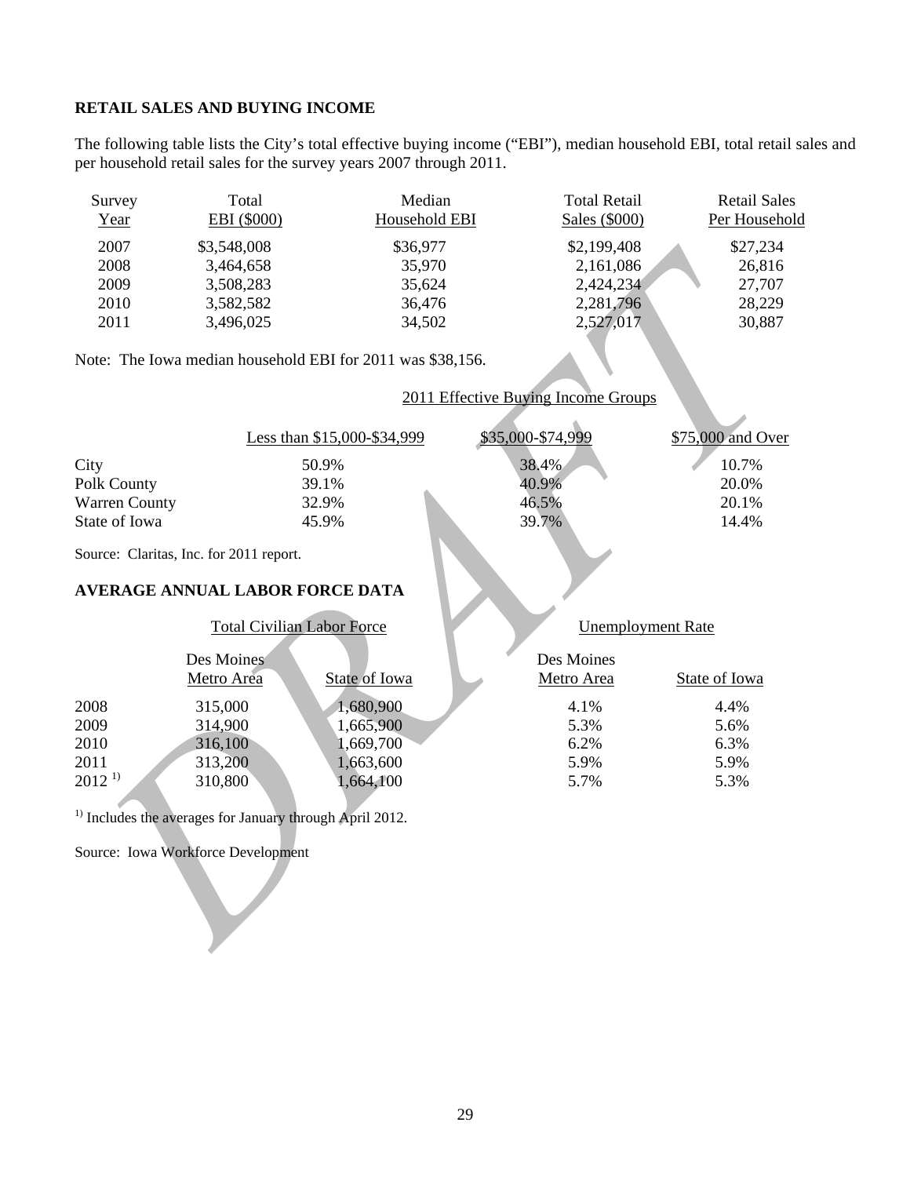#### **RETAIL SALES AND BUYING INCOME**

The following table lists the City's total effective buying income ("EBI"), median household EBI, total retail sales and per household retail sales for the survey years 2007 through 2011.

| Survey<br>Year | Total<br>EBI (\$000) | Median<br>Household EBI | <b>Total Retail</b><br>Sales (\$000) | <b>Retail Sales</b><br>Per Household |
|----------------|----------------------|-------------------------|--------------------------------------|--------------------------------------|
| 2007           | \$3,548,008          | \$36,977                | \$2,199,408                          | \$27,234                             |
| 2008           | 3,464,658            | 35,970                  | 2,161,086                            | 26,816                               |
| 2009           | 3,508,283            | 35.624                  | 2,424,234                            | 27,707                               |
| 2010           | 3,582,582            | 36,476                  | 2,281,796                            | 28,229                               |
| 2011           | 3,496,025            | 34,502                  | 2,527,017                            | 30,887                               |

Note: The Iowa median household EBI for 2011 was \$38,156.

## 2011 Effective Buying Income Groups

|                      | Less than \$15,000-\$34,999 | \$35,000-\$74,999 | \$75,000 and Over |
|----------------------|-----------------------------|-------------------|-------------------|
| City                 | 50.9%                       | 38.4%             | 10.7%             |
| Polk County          | 39.1%                       | 40.9%             | 20.0%             |
| <b>Warren County</b> | 32.9%                       | 46.5%             | 20.1%             |
| State of Iowa        | 45.9%                       | 39.7%             | 14.4%             |

Source: Claritas, Inc. for 2011 report.

# **AVERAGE ANNUAL LABOR FORCE DATA**

#### Total Civilian Labor Force Unemployment Rate

# 2006 33-58.000<br>
2008 3.464.658 35.970 2.161.086 527.22<br>
2008 3.662.85 35.970 2.161.086 227.707<br>
2010 3.582.382 35.624 34.476 22.221.07<br>
2011 3.496.025 34.562<br>
2011 3.496.025 34.592 36.476 2.227.017 3.0.887<br>
2011 3.496.025 Des Moines Metro Area State of Iowa Des Moines Metro Area State of Iowa 2008 315,000 1,680,900 4.1% 4.4% 2009 314,900 1,665,900 5.3% 5.6% 2010 316,100 1,669,700 6.2% 6.3% 2011 313,200 1,663,600 5.9% 5.9% 2012<sup>1)</sup> 310,800 1,664,100 5.7% 5.3%

<sup>1)</sup> Includes the averages for January through April 2012.

Source: Iowa Workforce Development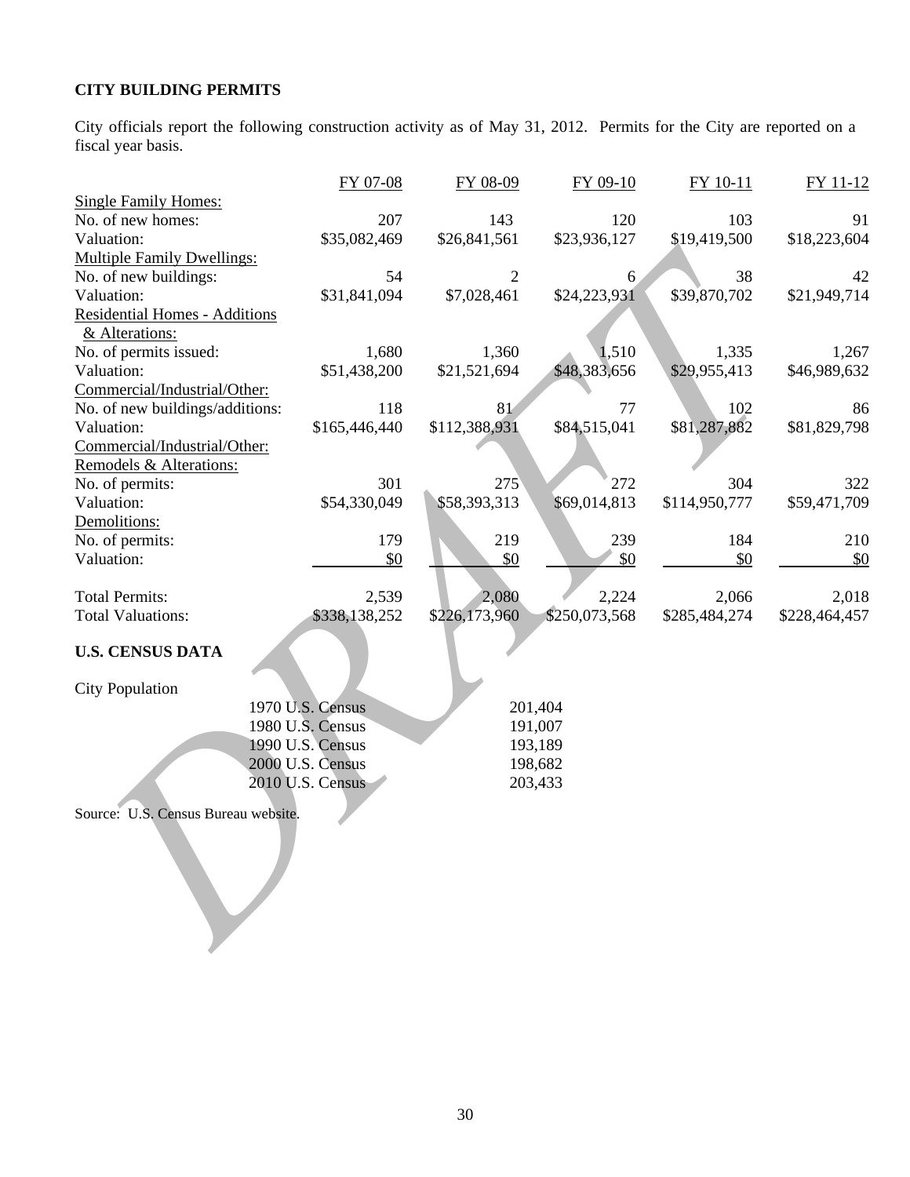# **CITY BUILDING PERMITS**

City officials report the following construction activity as of May 31, 2012. Permits for the City are reported on a fiscal year basis.

|                                     | FY 07-08         | FY 08-09       | FY 09-10      | FY 10-11      | FY 11-12      |
|-------------------------------------|------------------|----------------|---------------|---------------|---------------|
| <b>Single Family Homes:</b>         |                  |                |               |               |               |
| No. of new homes:                   | 207              | 143            | 120           | 103           | 91            |
| Valuation:                          | \$35,082,469     | \$26,841,561   | \$23,936,127  | \$19,419,500  | \$18,223,604  |
| <b>Multiple Family Dwellings:</b>   |                  |                |               |               |               |
| No. of new buildings:               | 54               | $\overline{2}$ | 6             | 38            | 42            |
| Valuation:                          | \$31,841,094     | \$7,028,461    | \$24,223,931  | \$39,870,702  | \$21,949,714  |
| Residential Homes - Additions       |                  |                |               |               |               |
| & Alterations:                      |                  |                |               |               |               |
| No. of permits issued:              | 1,680            | 1,360          | 1,510         | 1,335         | 1,267         |
| Valuation:                          | \$51,438,200     | \$21,521,694   | \$48,383,656  | \$29,955,413  | \$46,989,632  |
| Commercial/Industrial/Other:        |                  |                |               |               |               |
| No. of new buildings/additions:     | 118              | 81             | 77            | 102           | 86            |
| Valuation:                          | \$165,446,440    | \$112,388,931  | \$84,515,041  | \$81,287,882  | \$81,829,798  |
| Commercial/Industrial/Other:        |                  |                |               |               |               |
| Remodels & Alterations:             |                  |                |               |               |               |
| No. of permits:                     | 301              | 275            | 272           | 304           | 322           |
| Valuation:                          | \$54,330,049     | \$58,393,313   | \$69,014,813  | \$114,950,777 | \$59,471,709  |
| Demolitions:                        |                  |                |               |               |               |
| No. of permits:                     | 179              | 219            | 239           | 184           | 210           |
| Valuation:                          | \$0              | \$0            | \$0           | \$0           | \$0           |
|                                     |                  |                |               |               |               |
| <b>Total Permits:</b>               | 2,539            | 2,080          | 2,224         | 2,066         | 2,018         |
| <b>Total Valuations:</b>            | \$338,138,252    | \$226,173,960  | \$250,073,568 | \$285,484,274 | \$228,464,457 |
|                                     |                  |                |               |               |               |
| <b>U.S. CENSUS DATA</b>             |                  |                |               |               |               |
|                                     |                  |                |               |               |               |
| <b>City Population</b>              |                  |                |               |               |               |
|                                     | 1970 U.S. Census |                | 201,404       |               |               |
|                                     | 1980 U.S. Census |                | 191,007       |               |               |
|                                     | 1990 U.S. Census |                | 193,189       |               |               |
|                                     | 2000 U.S. Census |                | 198,682       |               |               |
|                                     | 2010 U.S. Census |                | 203,433       |               |               |
|                                     |                  |                |               |               |               |
| Source: U.S. Census Bureau website. |                  |                |               |               |               |
|                                     |                  |                |               |               |               |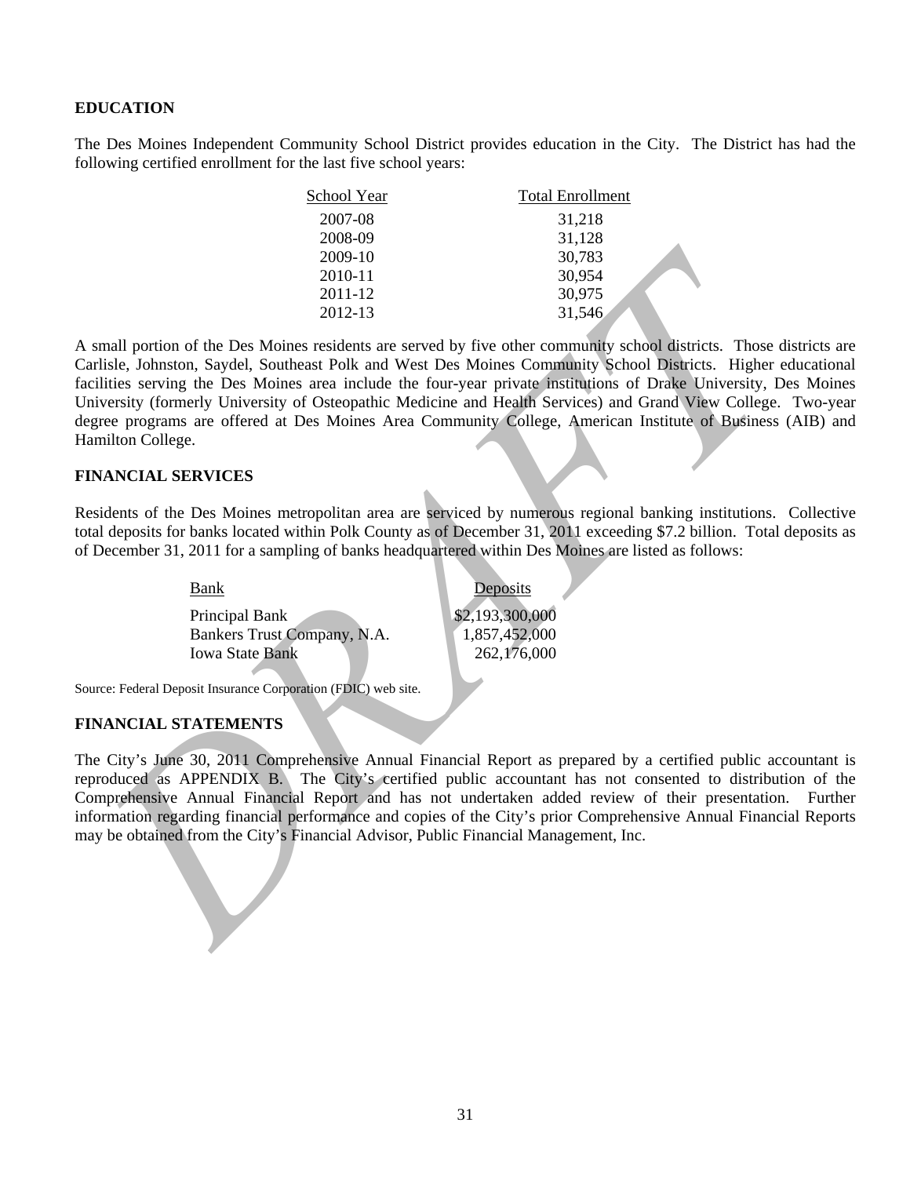# **EDUCATION**

The Des Moines Independent Community School District provides education in the City. The District has had the following certified enrollment for the last five school years:

| School Year | <b>Total Enrollment</b> |
|-------------|-------------------------|
| 2007-08     | 31,218                  |
| 2008-09     | 31,128                  |
| 2009-10     | 30,783                  |
| 2010-11     | 30,954                  |
| 2011-12     | 30,975                  |
| 2012-13     | 31,546                  |

2003-10<br>
2010-11<br>
2012-12<br>
2012-12<br>
2012-12<br>
2012-12<br>
2012-12<br>
2012-12<br>
2012-12<br>
2012-12<br>
2012-12<br>
2012-12<br>
2012-12<br>
2012-12<br>
2012-12<br>
2012-12<br>
2012-12<br>
2012-12<br>
2012-12<br>
2012-12<br>
2012-12<br>
2012-12<br>
2012-12<br>
2012-12<br>
2012-1 A small portion of the Des Moines residents are served by five other community school districts. Those districts are Carlisle, Johnston, Saydel, Southeast Polk and West Des Moines Community School Districts. Higher educational facilities serving the Des Moines area include the four-year private institutions of Drake University, Des Moines University (formerly University of Osteopathic Medicine and Health Services) and Grand View College. Two-year degree programs are offered at Des Moines Area Community College, American Institute of Business (AIB) and Hamilton College.

#### **FINANCIAL SERVICES**

Residents of the Des Moines metropolitan area are serviced by numerous regional banking institutions. Collective total deposits for banks located within Polk County as of December 31, 2011 exceeding \$7.2 billion. Total deposits as of December 31, 2011 for a sampling of banks headquartered within Des Moines are listed as follows:

| Bank                        | Deposits        |
|-----------------------------|-----------------|
| Principal Bank              | \$2,193,300,000 |
| Bankers Trust Company, N.A. | 1,857,452,000   |
| <b>Iowa State Bank</b>      | 262,176,000     |
|                             |                 |

Source: Federal Deposit Insurance Corporation (FDIC) web site.

## **FINANCIAL STATEMENTS**

The City's June 30, 2011 Comprehensive Annual Financial Report as prepared by a certified public accountant is reproduced as APPENDIX B. The City's certified public accountant has not consented to distribution of the Comprehensive Annual Financial Report and has not undertaken added review of their presentation. Further information regarding financial performance and copies of the City's prior Comprehensive Annual Financial Reports may be obtained from the City's Financial Advisor, Public Financial Management, Inc.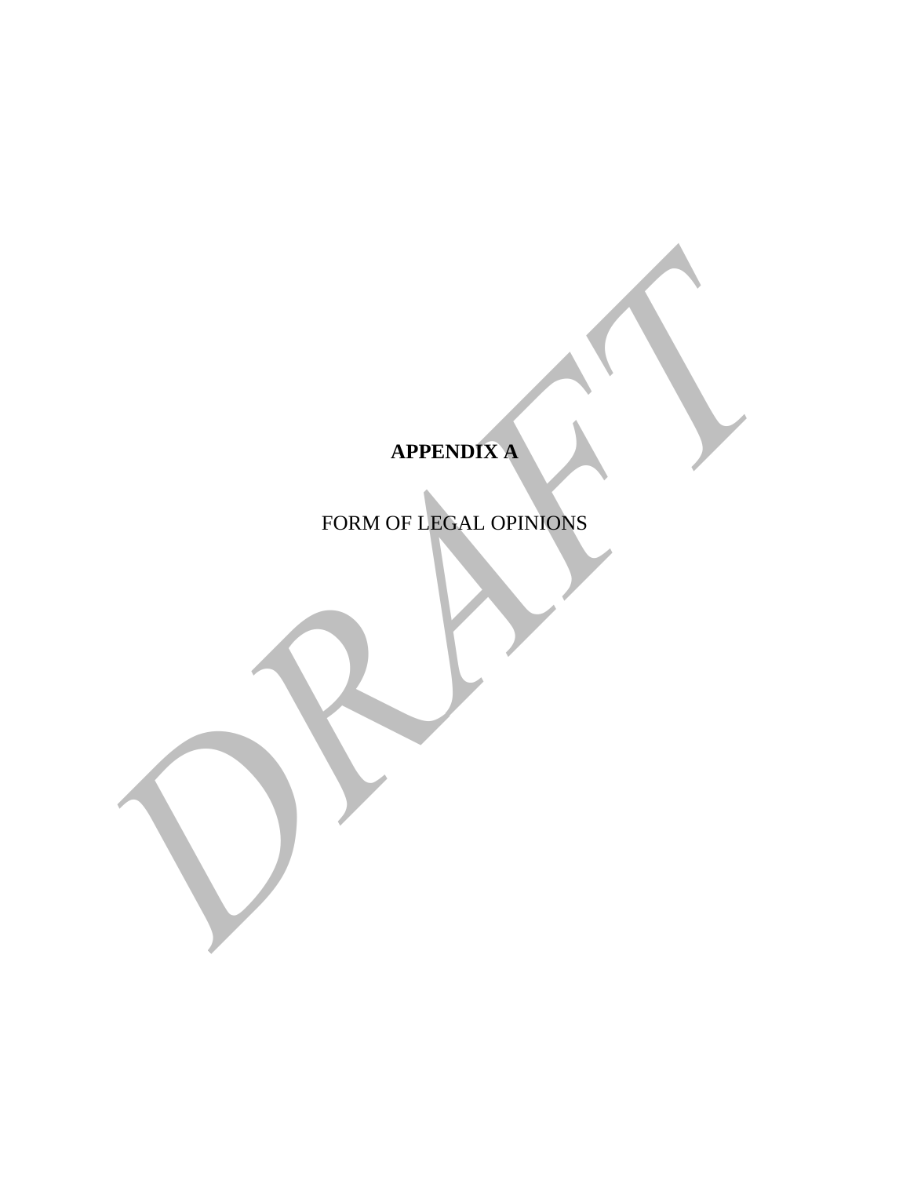# **APPENDIX A**

APPENDIX A PRODUCED AL OPINIONS FORM OF LEGAL OPINIONS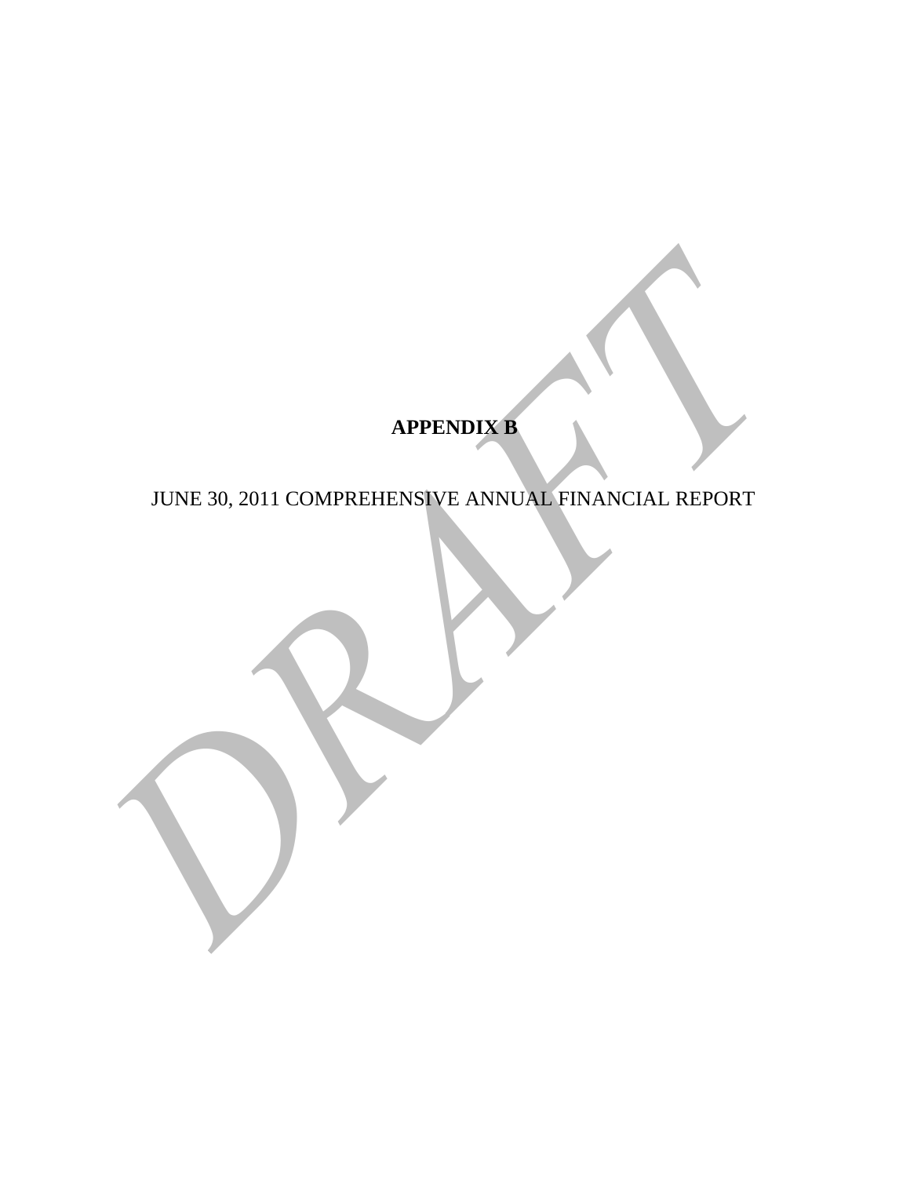# **APPENDIX B**

APPENDIX B<br>JUNE 30, 2011 COMPREHENSIVE ANNUAL FINANCIAL REPORT JUNE 30, 2011 COMPREHENSIVE ANNUAL FINANCIAL REPORT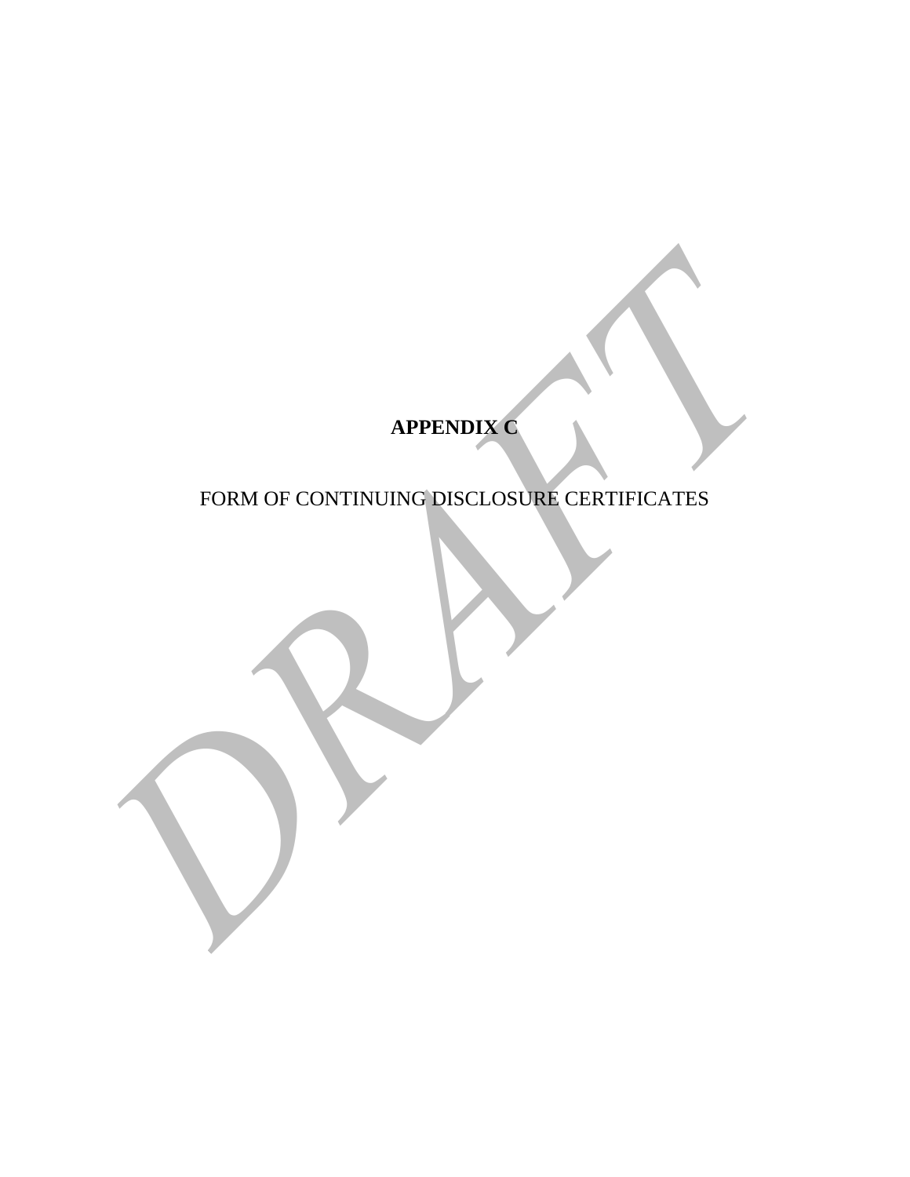# **APPENDIX C**

# FORM OF CONTINUING DISCLOSURE CERTIFICATES

APPENDIX C<br>FORM OF CONTINUING DISCLOSURE CERTIFICATES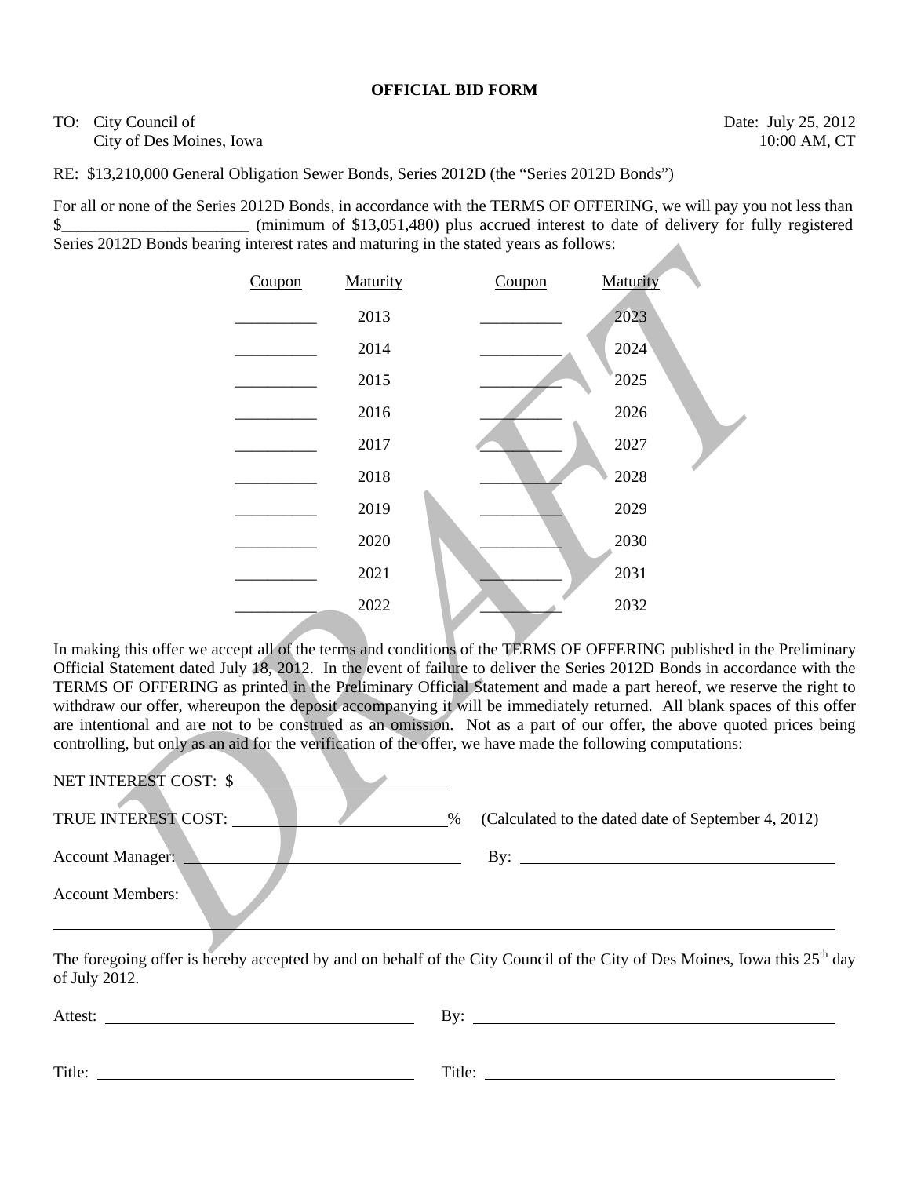# **OFFICIAL BID FORM**

TO: City Council of Date: July 25, 2012 City of Des Moines, Iowa 10:00 AM, CT

RE: \$13,210,000 General Obligation Sewer Bonds, Series 2012D (the "Series 2012D Bonds")

For all or none of the Series 2012D Bonds, in accordance with the TERMS OF OFFERING, we will pay you not less than \$\_\_\_\_\_\_\_\_\_\_\_\_\_\_\_\_\_\_\_\_\_\_\_ (minimum of \$13,051,480) plus accrued interest to date of delivery for fully registered Series 2012D Bonds bearing interest rates and maturing in the stated years as follows:



In making this offer we accept all of the terms and conditions of the TERMS OF OFFERING published in the Preliminary Official Statement dated July 18, 2012. In the event of failure to deliver the Series 2012D Bonds in accordance with the TERMS OF OFFERING as printed in the Preliminary Official Statement and made a part hereof, we reserve the right to withdraw our offer, whereupon the deposit accompanying it will be immediately returned. All blank spaces of this offer are intentional and are not to be construed as an omission. Not as a part of our offer, the above quoted prices being controlling, but only as an aid for the verification of the offer, we have made the following computations:

| NET INTEREST COST: \$   |                                                             |
|-------------------------|-------------------------------------------------------------|
| TRUE INTEREST COST:     | (Calculated to the dated date of September 4, 2012)<br>$\%$ |
| <b>Account Manager:</b> | Bv:                                                         |
| <b>Account Members:</b> |                                                             |

The foregoing offer is hereby accepted by and on behalf of the City Council of the City of Des Moines, Iowa this 25<sup>th</sup> day of July 2012.

| Attest: | Bv:    |
|---------|--------|
|         |        |
| Title:  | Title: |
|         |        |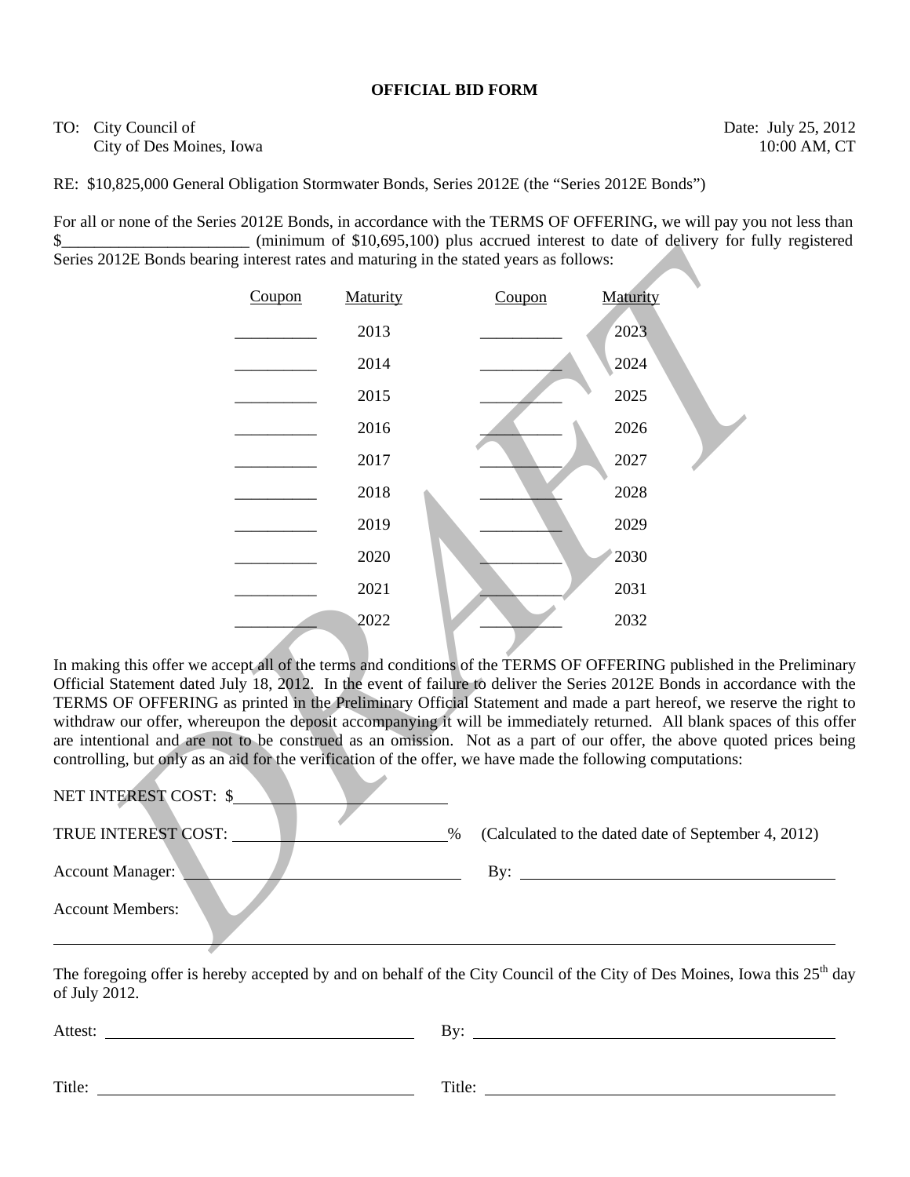# **OFFICIAL BID FORM**

# TO: City Council of Date: July 25, 2012 City of Des Moines, Iowa 10:00 AM, CT

RE: \$10,825,000 General Obligation Stormwater Bonds, Series 2012E (the "Series 2012E Bonds")

For all or none of the Series 2012E Bonds, in accordance with the TERMS OF OFFERING, we will pay you not less than \$\_\_\_\_\_\_\_\_\_\_\_\_\_\_\_\_\_\_\_\_\_\_\_\_\_ (minimum of \$10,695,100) plus accrued interest to date of delivery for fully registered Series 2012E Bonds bearing interest rates and maturing in the stated years as follows:

|                                                                                    |        |          | $\sim$ (humman of $\varphi_1$ 0,000,100) plus accrued mercial to date of definer |                                                                                                                                                                                                                                                                                                                                                                                                                                                                                                                                                                                                                                                                                           |
|------------------------------------------------------------------------------------|--------|----------|----------------------------------------------------------------------------------|-------------------------------------------------------------------------------------------------------------------------------------------------------------------------------------------------------------------------------------------------------------------------------------------------------------------------------------------------------------------------------------------------------------------------------------------------------------------------------------------------------------------------------------------------------------------------------------------------------------------------------------------------------------------------------------------|
| is 2012E Bonds bearing interest rates and maturing in the stated years as follows: |        |          |                                                                                  |                                                                                                                                                                                                                                                                                                                                                                                                                                                                                                                                                                                                                                                                                           |
|                                                                                    | Coupon | Maturity | Coupon                                                                           | Maturity                                                                                                                                                                                                                                                                                                                                                                                                                                                                                                                                                                                                                                                                                  |
|                                                                                    |        | 2013     |                                                                                  | 2023                                                                                                                                                                                                                                                                                                                                                                                                                                                                                                                                                                                                                                                                                      |
|                                                                                    |        | 2014     |                                                                                  | 2024                                                                                                                                                                                                                                                                                                                                                                                                                                                                                                                                                                                                                                                                                      |
|                                                                                    |        | 2015     |                                                                                  | 2025                                                                                                                                                                                                                                                                                                                                                                                                                                                                                                                                                                                                                                                                                      |
|                                                                                    |        | 2016     |                                                                                  | 2026                                                                                                                                                                                                                                                                                                                                                                                                                                                                                                                                                                                                                                                                                      |
|                                                                                    |        | 2017     |                                                                                  | 2027                                                                                                                                                                                                                                                                                                                                                                                                                                                                                                                                                                                                                                                                                      |
|                                                                                    |        | 2018     |                                                                                  | 2028                                                                                                                                                                                                                                                                                                                                                                                                                                                                                                                                                                                                                                                                                      |
|                                                                                    |        | 2019     |                                                                                  | 2029                                                                                                                                                                                                                                                                                                                                                                                                                                                                                                                                                                                                                                                                                      |
|                                                                                    |        | 2020     |                                                                                  | 2030                                                                                                                                                                                                                                                                                                                                                                                                                                                                                                                                                                                                                                                                                      |
|                                                                                    |        | 2021     |                                                                                  | 2031                                                                                                                                                                                                                                                                                                                                                                                                                                                                                                                                                                                                                                                                                      |
|                                                                                    |        | 2022     |                                                                                  | 2032                                                                                                                                                                                                                                                                                                                                                                                                                                                                                                                                                                                                                                                                                      |
| <b>INTEREST COST: \$</b>                                                           |        |          |                                                                                  | aking this offer we accept all of the terms and conditions of the TERMS OF OFFERING published in the Prelimi<br>cial Statement dated July 18, 2012. In the event of failure to deliver the Series 2012E Bonds in accordance with<br>MS OF OFFERING as printed in the Preliminary Official Statement and made a part hereof, we reserve the rig<br>draw our offer, whereupon the deposit accompanying it will be immediately returned. All blank spaces of this<br>ntentional and are not to be construed as an omission. Not as a part of our offer, the above quoted prices b<br>colling, but only as an aid for the verification of the offer, we have made the following computations: |
| E INTEREST COST:                                                                   |        |          | $\%$                                                                             | (Calculated to the dated date of September 4, 2012)                                                                                                                                                                                                                                                                                                                                                                                                                                                                                                                                                                                                                                       |
| unt Manager:<br>bunt Members:                                                      |        |          |                                                                                  | By: $\qquad \qquad$                                                                                                                                                                                                                                                                                                                                                                                                                                                                                                                                                                                                                                                                       |
|                                                                                    |        |          |                                                                                  |                                                                                                                                                                                                                                                                                                                                                                                                                                                                                                                                                                                                                                                                                           |

In making this offer we accept all of the terms and conditions of the TERMS OF OFFERING published in the Preliminary Official Statement dated July 18, 2012. In the event of failure to deliver the Series 2012E Bonds in accordance with the TERMS OF OFFERING as printed in the Preliminary Official Statement and made a part hereof, we reserve the right to withdraw our offer, whereupon the deposit accompanying it will be immediately returned. All blank spaces of this offer are intentional and are not to be construed as an omission. Not as a part of our offer, the above quoted prices being controlling, but only as an aid for the verification of the offer, we have made the following computations:

| NET INTEREST COST: \$   |                                                             |
|-------------------------|-------------------------------------------------------------|
| TRUE INTEREST COST:     | (Calculated to the dated date of September 4, 2012)<br>$\%$ |
| <b>Account Manager:</b> | $\rm\,By:$                                                  |
| <b>Account Members:</b> |                                                             |
|                         |                                                             |

The foregoing offer is hereby accepted by and on behalf of the City Council of the City of Des Moines, Iowa this  $25<sup>th</sup>$  day of July 2012.

| Attest: | Bv:    |
|---------|--------|
| Title:  | Title: |